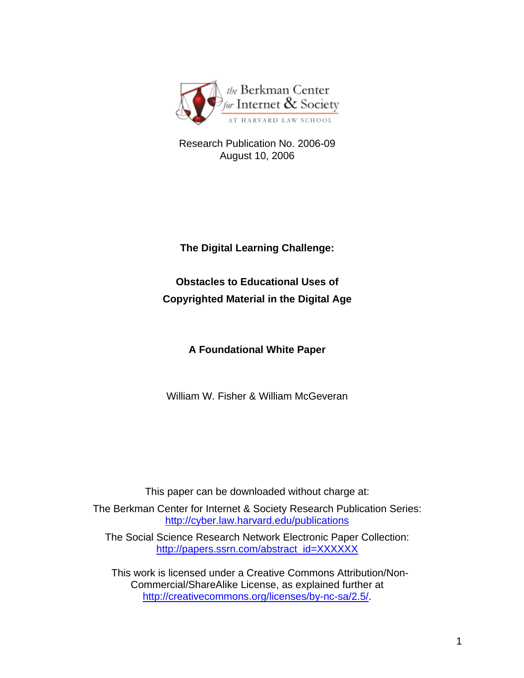

Research Publication No. 2006-09 August 10, 2006

**The Digital Learning Challenge:** 

**Obstacles to Educational Uses of Copyrighted Material in the Digital Age** 

## **A Foundational White Paper**

William W. Fisher & William McGeveran

This paper can be downloaded without charge at:

The Berkman Center for Internet & Society Research Publication Series: http://cyber.law.harvard.edu/publications

The Social Science Research Network Electronic Paper Collection: http://papers.ssrn.com/abstract\_id=XXXXXX

 This work is licensed under a Creative Commons Attribution/Non-Commercial/ShareAlike License, as explained further at http://creativecommons.org/licenses/by-nc-sa/2.5/.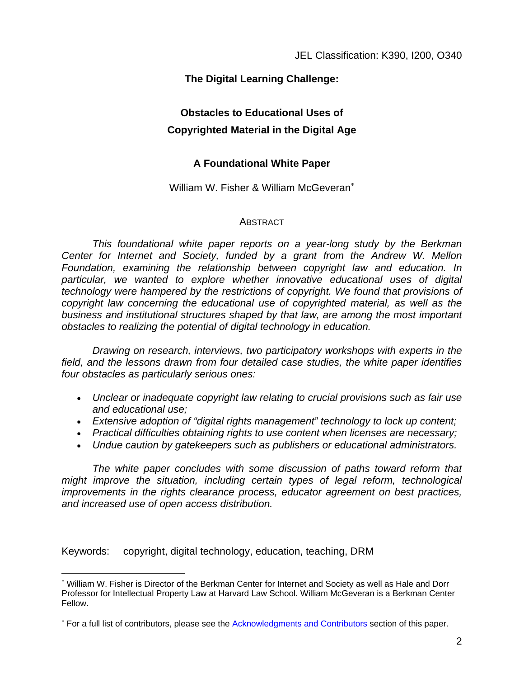### **The Digital Learning Challenge:**

## **Obstacles to Educational Uses of Copyrighted Material in the Digital Age**

### **A Foundational White Paper**

William W. Fisher & William McGeveran<sup>∗</sup>

### **ABSTRACT**

*This foundational white paper reports on a year-long study by the Berkman Center for Internet and Society, funded by a grant from the Andrew W. Mellon Foundation, examining the relationship between copyright law and education. In particular, we wanted to explore whether innovative educational uses of digital technology were hampered by the restrictions of copyright. We found that provisions of copyright law concerning the educational use of copyrighted material, as well as the business and institutional structures shaped by that law, are among the most important obstacles to realizing the potential of digital technology in education.* 

*Drawing on research, interviews, two participatory workshops with experts in the field, and the lessons drawn from four detailed case studies, the white paper identifies four obstacles as particularly serious ones:* 

- *Unclear or inadequate copyright law relating to crucial provisions such as fair use and educational use;*
- *Extensive adoption of "digital rights management" technology to lock up content;*
- *Practical difficulties obtaining rights to use content when licenses are necessary;*
- *Undue caution by gatekeepers such as publishers or educational administrators.*

*The white paper concludes with some discussion of paths toward reform that might improve the situation, including certain types of legal reform, technological improvements in the rights clearance process, educator agreement on best practices, and increased use of open access distribution.* 

Keywords: copyright, digital technology, education, teaching, DRM

 $\overline{a}$ 

<sup>∗</sup> William W. Fisher is Director of the Berkman Center for Internet and Society as well as Hale and Dorr Professor for Intellectual Property Law at Harvard Law School. William McGeveran is a Berkman Center Fellow.

<sup>∗</sup> For a full list of contributors, please see the [Acknowledgments and Contributors](#page-112-0) section of this paper.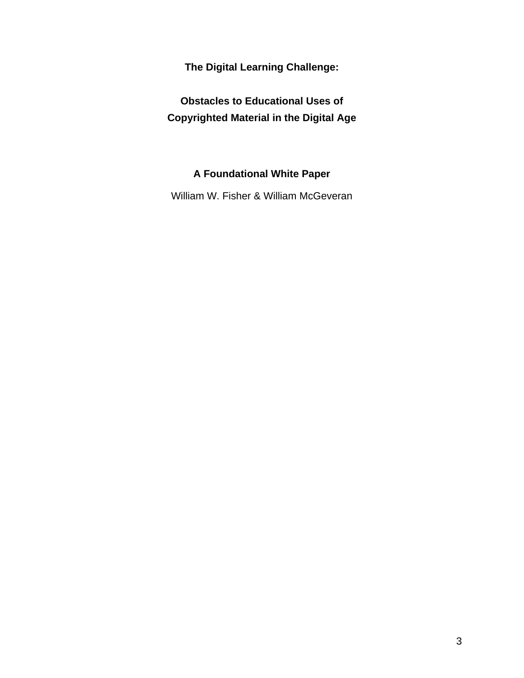**The Digital Learning Challenge:** 

**Obstacles to Educational Uses of Copyrighted Material in the Digital Age** 

## **A Foundational White Paper**

William W. Fisher & William McGeveran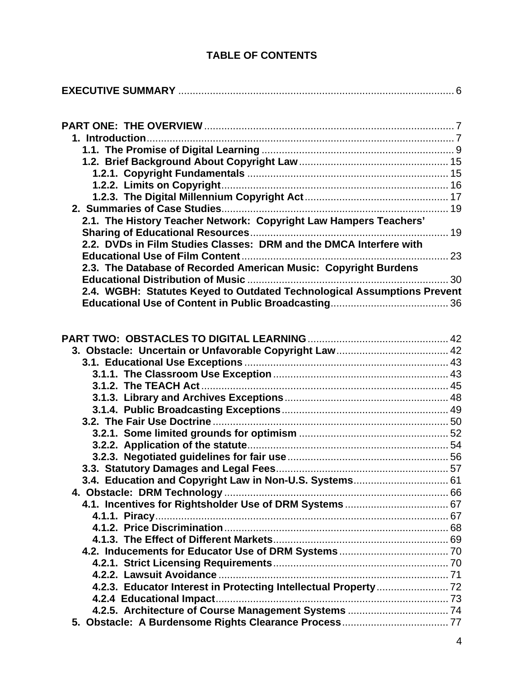## **TABLE OF CONTENTS**

| 2.1. The History Teacher Network: Copyright Law Hampers Teachers'       |  |
|-------------------------------------------------------------------------|--|
|                                                                         |  |
| 2.2. DVDs in Film Studies Classes: DRM and the DMCA Interfere with      |  |
|                                                                         |  |
| 2.3. The Database of Recorded American Music: Copyright Burdens         |  |
|                                                                         |  |
| 2.4. WGBH: Statutes Keyed to Outdated Technological Assumptions Prevent |  |
|                                                                         |  |
|                                                                         |  |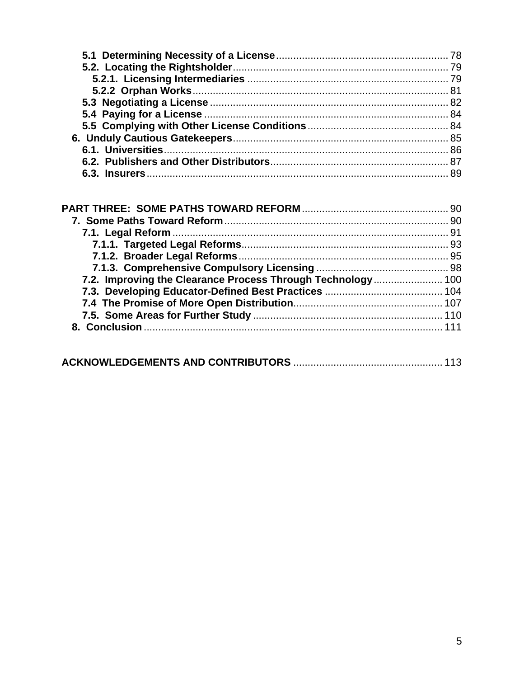| 7.2. Improving the Clearance Process Through Technology 100 |  |
|-------------------------------------------------------------|--|
|                                                             |  |
|                                                             |  |
|                                                             |  |
|                                                             |  |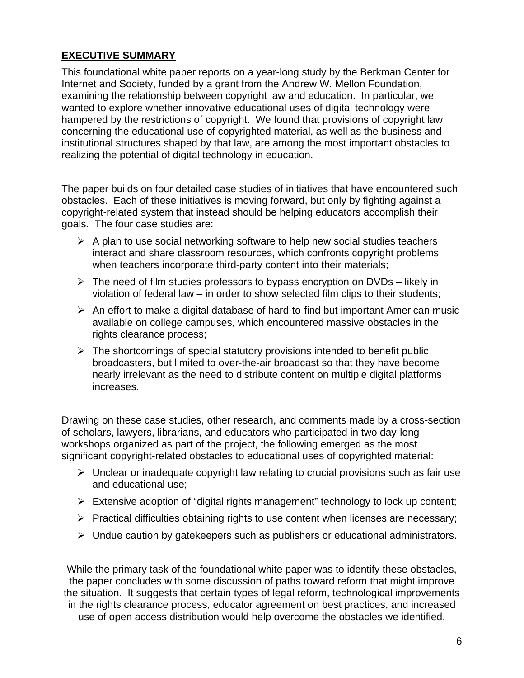### **EXECUTIVE SUMMARY**

This foundational white paper reports on a year-long study by the Berkman Center for Internet and Society, funded by a grant from the Andrew W. Mellon Foundation, examining the relationship between copyright law and education. In particular, we wanted to explore whether innovative educational uses of digital technology were hampered by the restrictions of copyright. We found that provisions of copyright law concerning the educational use of copyrighted material, as well as the business and institutional structures shaped by that law, are among the most important obstacles to realizing the potential of digital technology in education.

The paper builds on four detailed case studies of initiatives that have encountered such obstacles. Each of these initiatives is moving forward, but only by fighting against a copyright-related system that instead should be helping educators accomplish their goals. The four case studies are:

- $\triangleright$  A plan to use social networking software to help new social studies teachers interact and share classroom resources, which confronts copyright problems when teachers incorporate third-party content into their materials;
- $\triangleright$  The need of film studies professors to bypass encryption on DVDs likely in violation of federal law – in order to show selected film clips to their students;
- $\triangleright$  An effort to make a digital database of hard-to-find but important American music available on college campuses, which encountered massive obstacles in the rights clearance process;
- $\triangleright$  The shortcomings of special statutory provisions intended to benefit public broadcasters, but limited to over-the-air broadcast so that they have become nearly irrelevant as the need to distribute content on multiple digital platforms increases.

Drawing on these case studies, other research, and comments made by a cross-section of scholars, lawyers, librarians, and educators who participated in two day-long workshops organized as part of the project, the following emerged as the most significant copyright-related obstacles to educational uses of copyrighted material:

- $\triangleright$  Unclear or inadequate copyright law relating to crucial provisions such as fair use and educational use;
- $\triangleright$  Extensive adoption of "digital rights management" technology to lock up content;
- $\triangleright$  Practical difficulties obtaining rights to use content when licenses are necessary;
- $\triangleright$  Undue caution by gatekeepers such as publishers or educational administrators.

While the primary task of the foundational white paper was to identify these obstacles, the paper concludes with some discussion of paths toward reform that might improve the situation. It suggests that certain types of legal reform, technological improvements in the rights clearance process, educator agreement on best practices, and increased use of open access distribution would help overcome the obstacles we identified.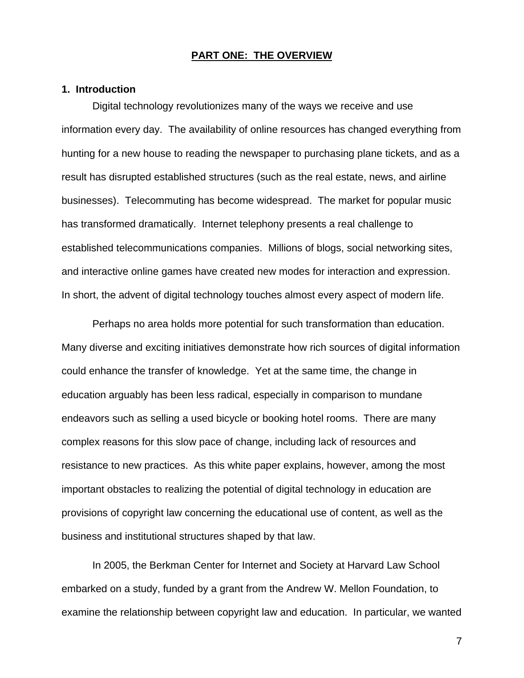#### **PART ONE: THE OVERVIEW**

#### **1. Introduction**

Digital technology revolutionizes many of the ways we receive and use information every day. The availability of online resources has changed everything from hunting for a new house to reading the newspaper to purchasing plane tickets, and as a result has disrupted established structures (such as the real estate, news, and airline businesses). Telecommuting has become widespread. The market for popular music has transformed dramatically. Internet telephony presents a real challenge to established telecommunications companies. Millions of blogs, social networking sites, and interactive online games have created new modes for interaction and expression. In short, the advent of digital technology touches almost every aspect of modern life.

Perhaps no area holds more potential for such transformation than education. Many diverse and exciting initiatives demonstrate how rich sources of digital information could enhance the transfer of knowledge. Yet at the same time, the change in education arguably has been less radical, especially in comparison to mundane endeavors such as selling a used bicycle or booking hotel rooms. There are many complex reasons for this slow pace of change, including lack of resources and resistance to new practices. As this white paper explains, however, among the most important obstacles to realizing the potential of digital technology in education are provisions of copyright law concerning the educational use of content, as well as the business and institutional structures shaped by that law.

In 2005, the Berkman Center for Internet and Society at Harvard Law School embarked on a study, funded by a grant from the Andrew W. Mellon Foundation, to examine the relationship between copyright law and education. In particular, we wanted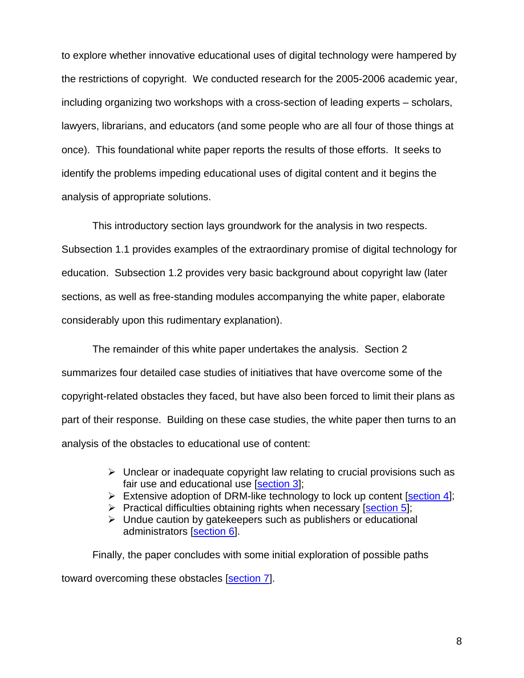to explore whether innovative educational uses of digital technology were hampered by the restrictions of copyright. We conducted research for the 2005-2006 academic year, including organizing two workshops with a cross-section of leading experts – scholars, lawyers, librarians, and educators (and some people who are all four of those things at once). This foundational white paper reports the results of those efforts. It seeks to identify the problems impeding educational uses of digital content and it begins the analysis of appropriate solutions.

This introductory section lays groundwork for the analysis in two respects. Subsection 1.1 provides examples of the extraordinary promise of digital technology for education. Subsection 1.2 provides very basic background about copyright law (later sections, as well as free-standing modules accompanying the white paper, elaborate considerably upon this rudimentary explanation).

The remainder of this white paper undertakes the analysis. Section 2 summarizes four detailed case studies of initiatives that have overcome some of the copyright-related obstacles they faced, but have also been forced to limit their plans as part of their response. Building on these case studies, the white paper then turns to an analysis of the obstacles to educational use of content:

- $\triangleright$  Unclear or inadequate copyright law relating to crucial provisions such as fair use and educational use [[section 3\]](#page-41-0);
- $\triangleright$  Extensive adoption of DRM-like technology to lock up content [[section 4\]](#page-65-0);
- $\triangleright$  Practical difficulties obtaining rights when necessary [\[section 5](#page-75-0)];
- $\triangleright$  Undue caution by gatekeepers such as publishers or educational administrators [\[section 6](#page-84-0)].

Finally, the paper concludes with some initial exploration of possible paths toward overcoming these obstacles [[section 7\]](#page-88-0).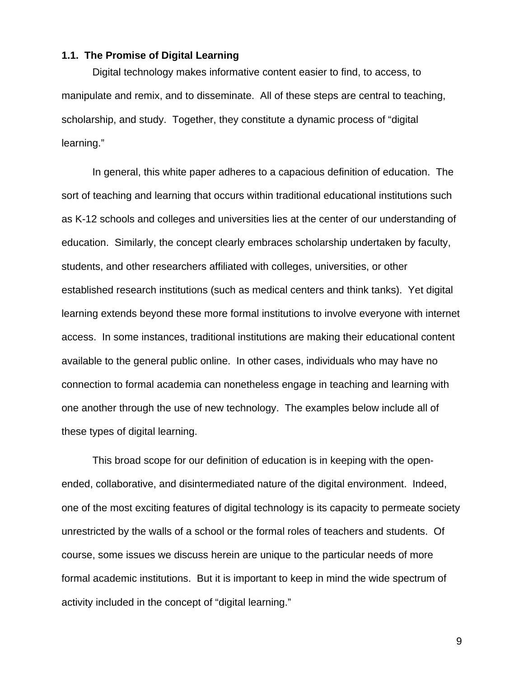#### **1.1. The Promise of Digital Learning**

Digital technology makes informative content easier to find, to access, to manipulate and remix, and to disseminate. All of these steps are central to teaching, scholarship, and study. Together, they constitute a dynamic process of "digital learning."

In general, this white paper adheres to a capacious definition of education. The sort of teaching and learning that occurs within traditional educational institutions such as K-12 schools and colleges and universities lies at the center of our understanding of education. Similarly, the concept clearly embraces scholarship undertaken by faculty, students, and other researchers affiliated with colleges, universities, or other established research institutions (such as medical centers and think tanks). Yet digital learning extends beyond these more formal institutions to involve everyone with internet access. In some instances, traditional institutions are making their educational content available to the general public online. In other cases, individuals who may have no connection to formal academia can nonetheless engage in teaching and learning with one another through the use of new technology. The examples below include all of these types of digital learning.

This broad scope for our definition of education is in keeping with the openended, collaborative, and disintermediated nature of the digital environment. Indeed, one of the most exciting features of digital technology is its capacity to permeate society unrestricted by the walls of a school or the formal roles of teachers and students. Of course, some issues we discuss herein are unique to the particular needs of more formal academic institutions. But it is important to keep in mind the wide spectrum of activity included in the concept of "digital learning."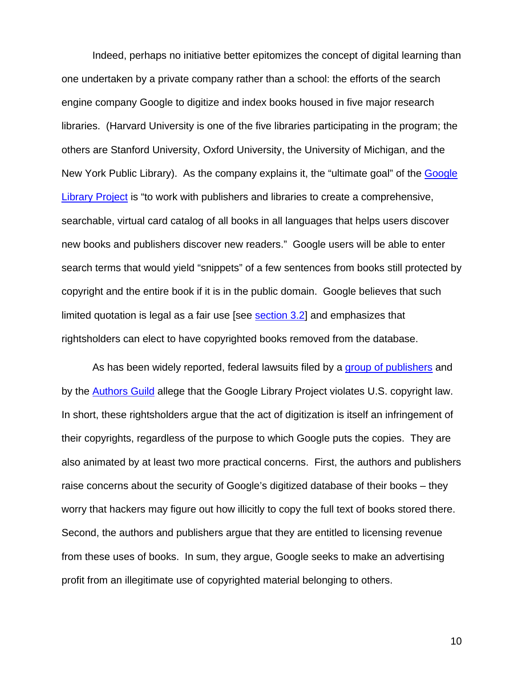Indeed, perhaps no initiative better epitomizes the concept of digital learning than one undertaken by a private company rather than a school: the efforts of the search engine company Google to digitize and index books housed in five major research libraries. (Harvard University is one of the five libraries participating in the program; the others are Stanford University, Oxford University, the University of Michigan, and the New York Public Library). As the company explains it, the "ultimate goal" of the Google Library Project is "to work with publishers and libraries to create a comprehensive, searchable, virtual card catalog of all books in all languages that helps users discover new books and publishers discover new readers." Google users will be able to enter search terms that would yield "snippets" of a few sentences from books still protected by copyright and the entire book if it is in the public domain. Google believes that such limited quotation is legal as a fair use [see [section 3.2](#page-49-0)] and emphasizes that rightsholders can elect to have copyrighted books removed from the database.

As has been widely reported, federal lawsuits filed by a [group of publishers](http://publishers.org/press/pdf/40 McGraw-Hill v. Google.pdf) and by the [Authors Guild](http://www.authorsguild.org/news/sues_google_citing.htm) allege that the Google Library Project violates U.S. copyright law. In short, these rightsholders argue that the act of digitization is itself an infringement of their copyrights, regardless of the purpose to which Google puts the copies. They are also animated by at least two more practical concerns. First, the authors and publishers raise concerns about the security of Google's digitized database of their books – they worry that hackers may figure out how illicitly to copy the full text of books stored there. Second, the authors and publishers argue that they are entitled to licensing revenue from these uses of books. In sum, they argue, Google seeks to make an advertising profit from an illegitimate use of copyrighted material belonging to others.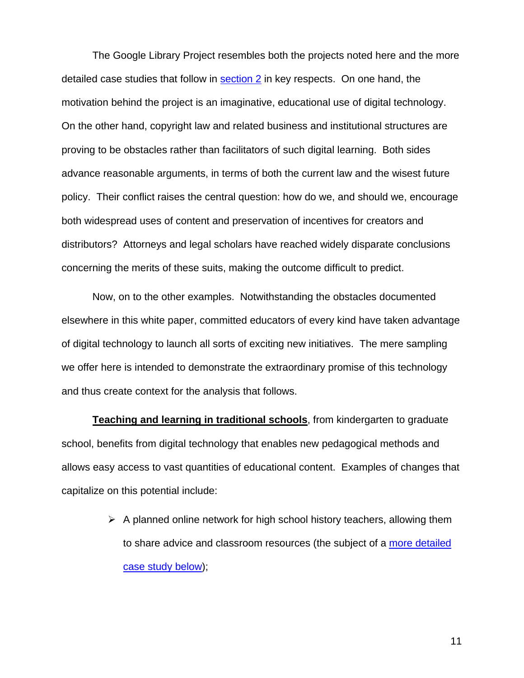The Google Library Project resembles both the projects noted here and the more detailed case studies that follow in [section 2](#page-18-0) in key respects. On one hand, the motivation behind the project is an imaginative, educational use of digital technology. On the other hand, copyright law and related business and institutional structures are proving to be obstacles rather than facilitators of such digital learning. Both sides advance reasonable arguments, in terms of both the current law and the wisest future policy. Their conflict raises the central question: how do we, and should we, encourage both widespread uses of content and preservation of incentives for creators and distributors? Attorneys and legal scholars have reached widely disparate conclusions concerning the merits of these suits, making the outcome difficult to predict.

Now, on to the other examples. Notwithstanding the obstacles documented elsewhere in this white paper, committed educators of every kind have taken advantage of digital technology to launch all sorts of exciting new initiatives. The mere sampling we offer here is intended to demonstrate the extraordinary promise of this technology and thus create context for the analysis that follows.

**Teaching and learning in traditional schools**, from kindergarten to graduate school, benefits from digital technology that enables new pedagogical methods and allows easy access to vast quantities of educational content. Examples of changes that capitalize on this potential include:

> $\triangleright$  A planned online network for high school history teachers, allowing them [to share advice and classroom resources \(the subject of a more detailed](#page-18-0)  case study below);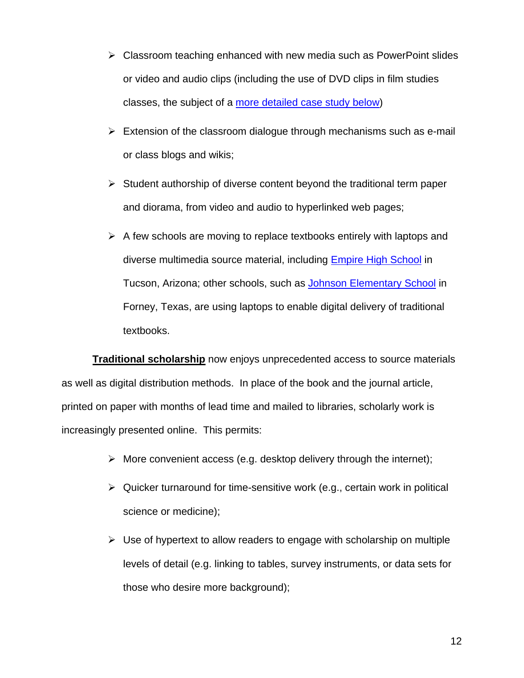- $\triangleright$  Classroom teaching enhanced with new media such as PowerPoint slides or video and audio clips (including the use of DVD clips in film studies classes, the subject of a [more detailed case study below\)](#page-22-0)
- $\triangleright$  Extension of the classroom dialogue through mechanisms such as e-mail or class blogs and wikis;
- $\triangleright$  Student authorship of diverse content beyond the traditional term paper and diorama, from video and audio to hyperlinked web pages;
- $\triangleright$  A few schools are moving to replace textbooks entirely with laptops and diverse multimedia source material, including [Empire High School](http://ehs.vail.k12.az.us/index.php) in Tucson, Arizona; other schools, such as [Johnson Elementary School](http://forney.ednet10.net/prod_site/announcement/announcement_electrontext/elect_text_book_01/elect_text_book_01.html) in Forney, Texas, are using laptops to enable digital delivery of traditional textbooks.

**Traditional scholarship** now enjoys unprecedented access to source materials as well as digital distribution methods. In place of the book and the journal article, printed on paper with months of lead time and mailed to libraries, scholarly work is increasingly presented online. This permits:

- $\triangleright$  More convenient access (e.g. desktop delivery through the internet);
- $\triangleright$  Quicker turnaround for time-sensitive work (e.g., certain work in political science or medicine);
- $\triangleright$  Use of hypertext to allow readers to engage with scholarship on multiple levels of detail (e.g. linking to tables, survey instruments, or data sets for those who desire more background);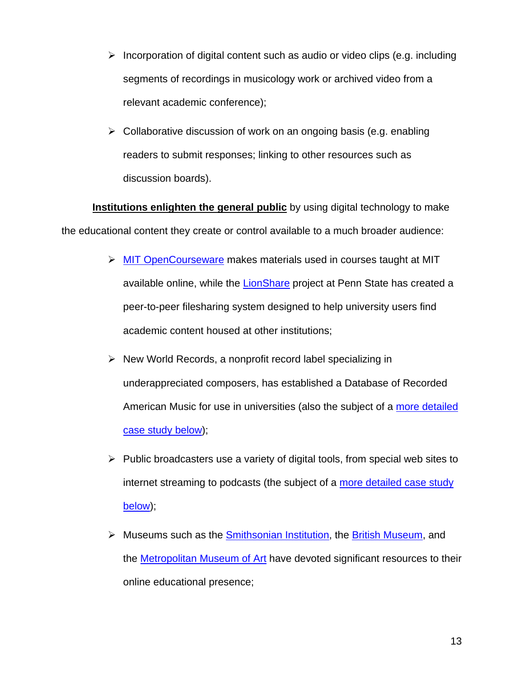- $\triangleright$  Incorporation of digital content such as audio or video clips (e.g. including segments of recordings in musicology work or archived video from a relevant academic conference);
- $\triangleright$  Collaborative discussion of work on an ongoing basis (e.g. enabling readers to submit responses; linking to other resources such as discussion boards).

**Institutions enlighten the general public** by using digital technology to make the educational content they create or control available to a much broader audience:

- $\triangleright$  [MIT OpenCourseware](http://ocw.mit.edu/index.html) makes materials used in courses taught at MIT available online, while the [LionShare](http://lionshare.its.psu.edu/main/) project at Penn State has created a peer-to-peer filesharing system designed to help university users find academic content housed at other institutions;
- $\triangleright$  New World Records, a nonprofit record label specializing in underappreciated composers, has established a Database of Recorded [American Music for use in universities \(also the subject of a more detailed](#page-29-0) case study below);
- $\triangleright$  Public broadcasters use a variety of digital tools, from special web sites to [internet streaming to podcasts \(the subject of a more detailed case study](#page-35-0) below);
- $\triangleright$  Museums such as the [Smithsonian Institution,](http://www.si.edu/) the [British Museum](http://www.thebritishmuseum.ac.uk/education/onlinelearning/home.html), and the [Metropolitan Museum of Art](http://www.metmuseum.org/explore/index.asp?HomePageLink=explore_l) have devoted significant resources to their online educational presence;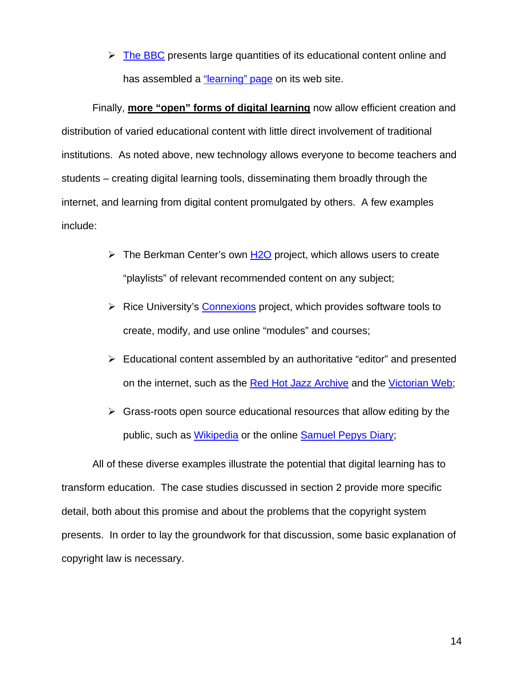$\triangleright$  [The BBC](http://www.bbc.co.uk/learning/) presents large quantities of its educational content online and has assembled a ["learning" page](http://www.bbc.co.uk/learning/) on its web site.

Finally, **more "open" forms of digital learning** now allow efficient creation and distribution of varied educational content with little direct involvement of traditional institutions. As noted above, new technology allows everyone to become teachers and students – creating digital learning tools, disseminating them broadly through the internet, and learning from digital content promulgated by others. A few examples include:

- $\triangleright$  The Berkman Center's own [H2O](http://h2oproject.law.harvard.edu/) project, which allows users to create "playlists" of relevant recommended content on any subject;
- $\triangleright$  Rice University's [Connexions](http://cnx.org) project, which provides software tools to create, modify, and use online "modules" and courses;
- $\triangleright$  Educational content assembled by an authoritative "editor" and presented on the internet, such as the [Red Hot Jazz Archive](http://www.redhotjazz.com/) and the [Victorian Web;](http://www.victorianweb.org/)
- $\triangleright$  Grass-roots open source educational resources that allow editing by the public, such as [Wikipedia](http://www.wikipedia.org/) or the online [Samuel Pepys Diary](http://www.pepysdiary.com/);

All of these diverse examples illustrate the potential that digital learning has to transform education. The case studies discussed in section 2 provide more specific detail, both about this promise and about the problems that the copyright system presents. In order to lay the groundwork for that discussion, some basic explanation of copyright law is necessary.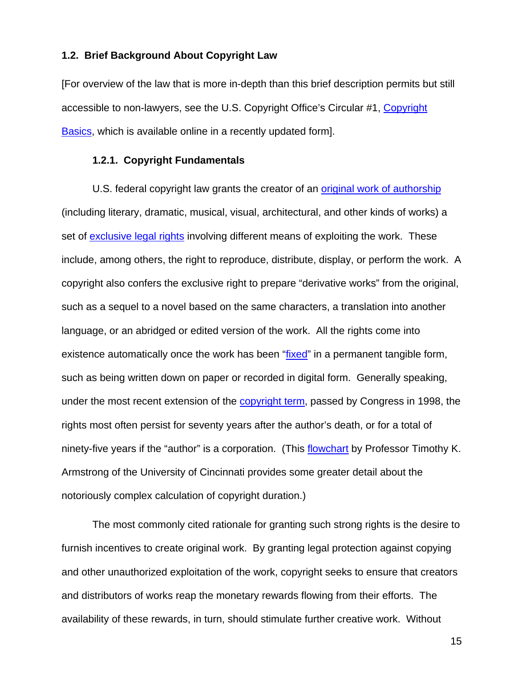#### **1.2. Brief Background About Copyright Law**

[For overview of the law that is more in-depth than this brief description permits but still [accessible to non-lawyers, see the U.S. Copyright Office's Circular #1, Copyright](http://www.copyright.gov/circs/circ1.html) Basics, which is available online in a recently updated form].

#### **1.2.1. Copyright Fundamentals**

U.S. federal copyright law grants the creator of an [original work of authorship](http://www.law.cornell.edu/uscode/html/uscode17/usc_sec_17_00000102----000-.html) (including literary, dramatic, musical, visual, architectural, and other kinds of works) a set of [exclusive legal rights](http://www.law.cornell.edu/uscode/html/uscode17/usc_sec_17_00000106----000-.html) involving different means of exploiting the work. These include, among others, the right to reproduce, distribute, display, or perform the work. A copyright also confers the exclusive right to prepare "derivative works" from the original, such as a sequel to a novel based on the same characters, a translation into another language, or an abridged or edited version of the work. All the rights come into existence automatically once the work has been ["fixed](http://www.law.cornell.edu/uscode/html/uscode17/usc_sec_17_00000101----000-.html)" in a permanent tangible form, such as being written down on paper or recorded in digital form. Generally speaking, under the most recent extension of the [copyright term](http://www.law.cornell.edu/uscode/html/uscode17/usc_sup_01_17_10_3.html), passed by Congress in 1998, the rights most often persist for seventy years after the author's death, or for a total of ninety-five years if the "author" is a corporation. (This [flowchart](http://media-cyber.law.harvard.edu/blogs/gems/tka/renewalflowchart2.pdf) by Professor Timothy K. Armstrong of the University of Cincinnati provides some greater detail about the notoriously complex calculation of copyright duration.)

The most commonly cited rationale for granting such strong rights is the desire to furnish incentives to create original work. By granting legal protection against copying and other unauthorized exploitation of the work, copyright seeks to ensure that creators and distributors of works reap the monetary rewards flowing from their efforts. The availability of these rewards, in turn, should stimulate further creative work. Without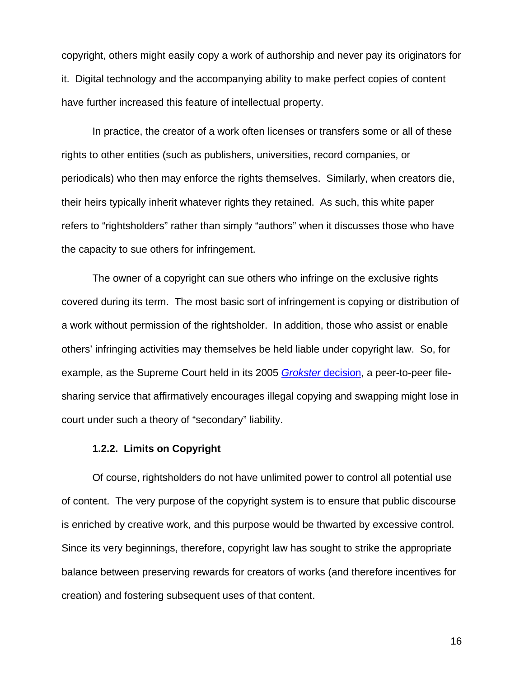copyright, others might easily copy a work of authorship and never pay its originators for it. Digital technology and the accompanying ability to make perfect copies of content have further increased this feature of intellectual property.

In practice, the creator of a work often licenses or transfers some or all of these rights to other entities (such as publishers, universities, record companies, or periodicals) who then may enforce the rights themselves. Similarly, when creators die, their heirs typically inherit whatever rights they retained. As such, this white paper refers to "rightsholders" rather than simply "authors" when it discusses those who have the capacity to sue others for infringement.

The owner of a copyright can sue others who infringe on the exclusive rights covered during its term. The most basic sort of infringement is copying or distribution of a work without permission of the rightsholder. In addition, those who assist or enable others' infringing activities may themselves be held liable under copyright law. So, for example, as the Supreme Court held in its 2005 *Grokster* [decision](http://www.law.cornell.edu/supct/html/04-480.ZS.html), a peer-to-peer filesharing service that affirmatively encourages illegal copying and swapping might lose in court under such a theory of "secondary" liability.

#### **1.2.2. Limits on Copyright**

Of course, rightsholders do not have unlimited power to control all potential use of content. The very purpose of the copyright system is to ensure that public discourse is enriched by creative work, and this purpose would be thwarted by excessive control. Since its very beginnings, therefore, copyright law has sought to strike the appropriate balance between preserving rewards for creators of works (and therefore incentives for creation) and fostering subsequent uses of that content.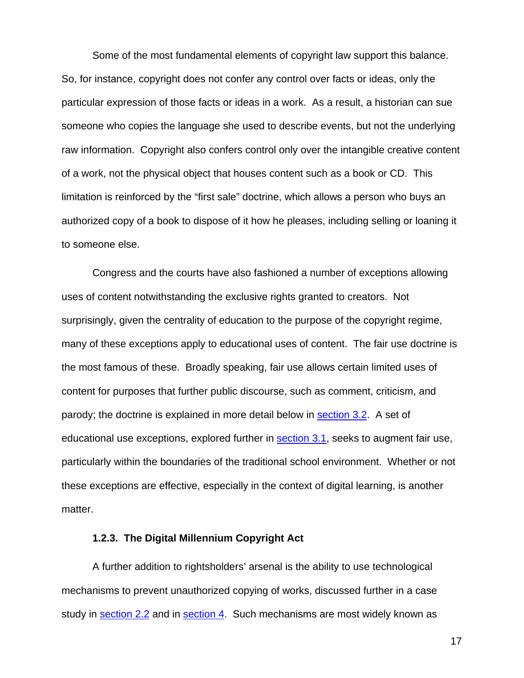<span id="page-16-0"></span>Some of the most fundamental elements of copyright law support this balance. So, for instance, copyright does not confer any control over facts or ideas, only the particular expression of those facts or ideas in a work. As a result, a historian can sue someone who copies the language she used to describe events, but not the underlying raw information. Copyright also confers control only over the intangible creative content of a work, not the physical object that houses content such as a book or CD. This limitation is reinforced by the "first sale" doctrine, which allows a person who buys an authorized copy of a book to dispose of it how he pleases, including selling or loaning it to someone else.

Congress and the courts have also fashioned a number of exceptions allowing uses of content notwithstanding the exclusive rights granted to creators. Not surprisingly, given the centrality of education to the purpose of the copyright regime, many of these exceptions apply to educational uses of content. The fair use doctrine is the most famous of these. Broadly speaking, fair use allows certain limited uses of content for purposes that further public discourse, such as comment, criticism, and parody; the doctrine is explained in more detail below in [section 3.2.](#page-49-0) A set of educational use exceptions, explored further in [section 3.1,](#page-42-0) seeks to augment fair use, particularly within the boundaries of the traditional school environment. Whether or not these exceptions are effective, especially in the context of digital learning, is another matter.

### **1.2.3. The Digital Millennium Copyright Act**

A further addition to rightsholders' arsenal is the ability to use technological mechanisms to prevent unauthorized copying of works, discussed further in a case study in [section 2.2](#page-22-0) and in [section 4](#page-65-0). Such mechanisms are most widely known as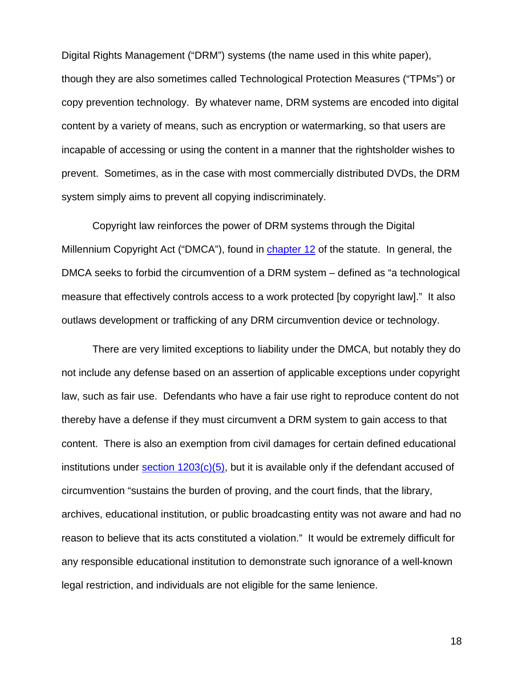Digital Rights Management ("DRM") systems (the name used in this white paper), though they are also sometimes called Technological Protection Measures ("TPMs") or copy prevention technology. By whatever name, DRM systems are encoded into digital content by a variety of means, such as encryption or watermarking, so that users are incapable of accessing or using the content in a manner that the rightsholder wishes to prevent. Sometimes, as in the case with most commercially distributed DVDs, the DRM system simply aims to prevent all copying indiscriminately.

Copyright law reinforces the power of DRM systems through the Digital Millennium Copyright Act ("DMCA"), found in [chapter 12](http://www.law.cornell.edu/uscode/html/uscode17/usc_sup_01_17_10_12.html) of the statute. In general, the DMCA seeks to forbid the circumvention of a DRM system – defined as "a technological measure that effectively controls access to a work protected [by copyright law]." It also outlaws development or trafficking of any DRM circumvention device or technology.

There are very limited exceptions to liability under the DMCA, but notably they do not include any defense based on an assertion of applicable exceptions under copyright law, such as fair use. Defendants who have a fair use right to reproduce content do not thereby have a defense if they must circumvent a DRM system to gain access to that content. There is also an exemption from civil damages for certain defined educational institutions under section  $1203(c)(5)$ , but it is available only if the defendant accused of circumvention "sustains the burden of proving, and the court finds, that the library, archives, educational institution, or public broadcasting entity was not aware and had no reason to believe that its acts constituted a violation." It would be extremely difficult for any responsible educational institution to demonstrate such ignorance of a well-known legal restriction, and individuals are not eligible for the same lenience.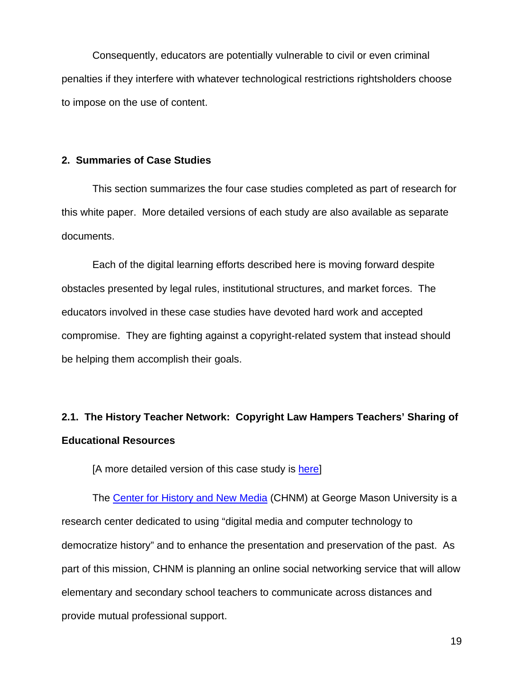<span id="page-18-0"></span>Consequently, educators are potentially vulnerable to civil or even criminal penalties if they interfere with whatever technological restrictions rightsholders choose to impose on the use of content.

#### **2. Summaries of Case Studies**

This section summarizes the four case studies completed as part of research for this white paper. More detailed versions of each study are also available as separate documents.

Each of the digital learning efforts described here is moving forward despite obstacles presented by legal rules, institutional structures, and market forces. The educators involved in these case studies have devoted hard work and accepted compromise. They are fighting against a copyright-related system that instead should be helping them accomplish their goals.

# **2.1. The History Teacher Network: Copyright Law Hampers Teachers' Sharing of Educational Resources**

[A more detailed version of this case study is [here\]](http://cyber.law.harvard.edu/home/dl_chnm)

The Center for History and New Media (CHNM) at George Mason University is a research center dedicated to using "digital media and computer technology to democratize history" and to enhance the presentation and preservation of the past. As part of this mission, CHNM is planning an online social networking service that will allow elementary and secondary school teachers to communicate across distances and provide mutual professional support.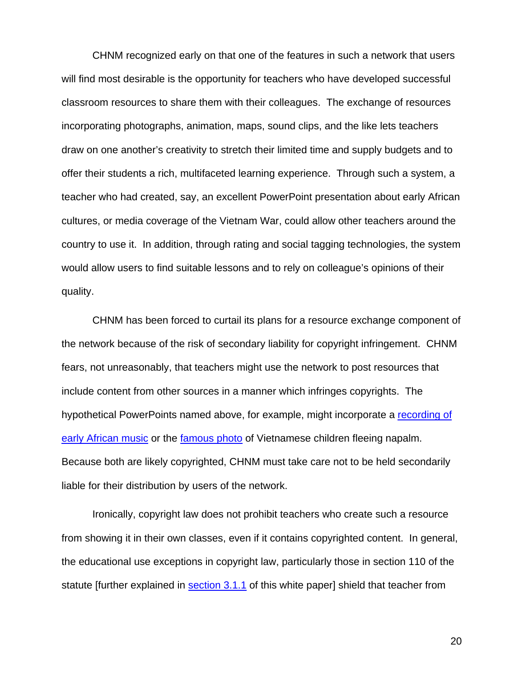CHNM recognized early on that one of the features in such a network that users will find most desirable is the opportunity for teachers who have developed successful classroom resources to share them with their colleagues. The exchange of resources incorporating photographs, animation, maps, sound clips, and the like lets teachers draw on one another's creativity to stretch their limited time and supply budgets and to offer their students a rich, multifaceted learning experience. Through such a system, a teacher who had created, say, an excellent PowerPoint presentation about early African cultures, or media coverage of the Vietnam War, could allow other teachers around the country to use it. In addition, through rating and social tagging technologies, the system would allow users to find suitable lessons and to rely on colleague's opinions of their quality.

CHNM has been forced to curtail its plans for a resource exchange component of the network because of the risk of secondary liability for copyright infringement. CHNM fears, not unreasonably, that teachers might use the network to post resources that include content from other sources in a manner which infringes copyrights. The [hypothetical PowerPoints named above, for example, might incorporate a recording of](http://cadensa.bl.uk/uhtbin/cgisirsi/x/0/5?searchdata1=id5.wma&library=ALL) early African music or the [famous photo](http://en.wikipedia.org/wiki/Image:TrangBang.jpg) of Vietnamese children fleeing napalm. Because both are likely copyrighted, CHNM must take care not to be held secondarily liable for their distribution by users of the network.

Ironically, copyright law does not prohibit teachers who create such a resource from showing it in their own classes, even if it contains copyrighted content. In general, the educational use exceptions in copyright law, particularly those in section 110 of the statute [further explained in [section 3.1.1](#page-42-0) of this white paper] shield that teacher from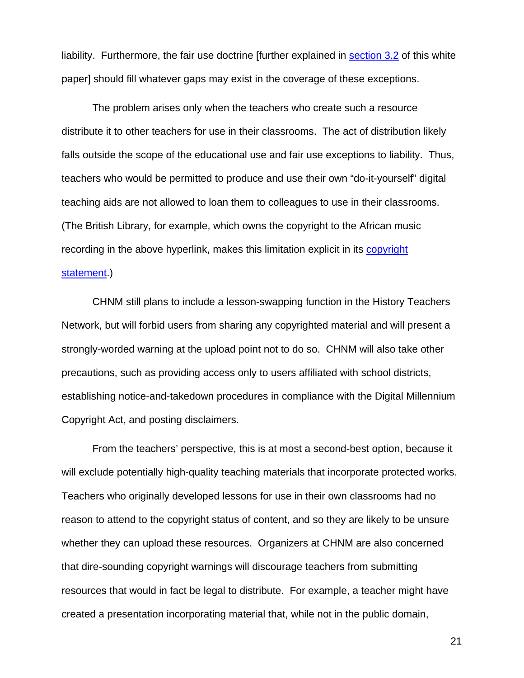liability. Furthermore, the fair use doctrine [further explained in [section 3.2](#page-49-0) of this white paper] should fill whatever gaps may exist in the coverage of these exceptions.

The problem arises only when the teachers who create such a resource distribute it to other teachers for use in their classrooms. The act of distribution likely falls outside the scope of the educational use and fair use exceptions to liability. Thus, teachers who would be permitted to produce and use their own "do-it-yourself" digital teaching aids are not allowed to loan them to colleagues to use in their classrooms. (The British Library, for example, which owns the copyright to the African music recording in the above hyperlink, makes this limitation explicit in its copyright statement.)

CHNM still plans to include a lesson-swapping function in the History Teachers Network, but will forbid users from sharing any copyrighted material and will present a strongly-worded warning at the upload point not to do so. CHNM will also take other precautions, such as providing access only to users affiliated with school districts, establishing notice-and-takedown procedures in compliance with the Digital Millennium Copyright Act, and posting disclaimers.

From the teachers' perspective, this is at most a second-best option, because it will exclude potentially high-quality teaching materials that incorporate protected works. Teachers who originally developed lessons for use in their own classrooms had no reason to attend to the copyright status of content, and so they are likely to be unsure whether they can upload these resources. Organizers at CHNM are also concerned that dire-sounding copyright warnings will discourage teachers from submitting resources that would in fact be legal to distribute. For example, a teacher might have created a presentation incorporating material that, while not in the public domain,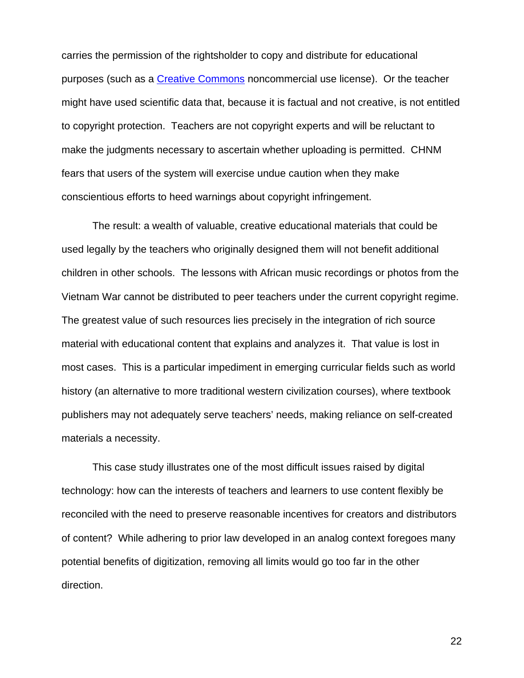carries the permission of the rightsholder to copy and distribute for educational purposes (such as a Creative Commons noncommercial use license). Or the teacher might have used scientific data that, because it is factual and not creative, is not entitled to copyright protection. Teachers are not copyright experts and will be reluctant to make the judgments necessary to ascertain whether uploading is permitted. CHNM fears that users of the system will exercise undue caution when they make conscientious efforts to heed warnings about copyright infringement.

The result: a wealth of valuable, creative educational materials that could be used legally by the teachers who originally designed them will not benefit additional children in other schools. The lessons with African music recordings or photos from the Vietnam War cannot be distributed to peer teachers under the current copyright regime. The greatest value of such resources lies precisely in the integration of rich source material with educational content that explains and analyzes it. That value is lost in most cases. This is a particular impediment in emerging curricular fields such as world history (an alternative to more traditional western civilization courses), where textbook publishers may not adequately serve teachers' needs, making reliance on self-created materials a necessity.

This case study illustrates one of the most difficult issues raised by digital technology: how can the interests of teachers and learners to use content flexibly be reconciled with the need to preserve reasonable incentives for creators and distributors of content? While adhering to prior law developed in an analog context foregoes many potential benefits of digitization, removing all limits would go too far in the other direction.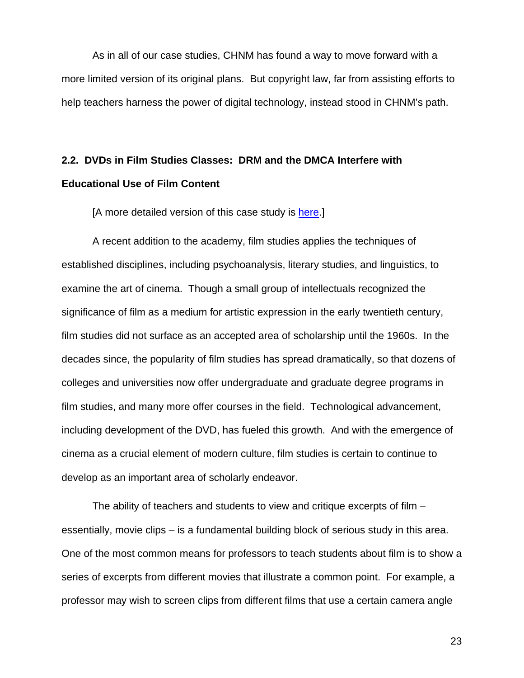<span id="page-22-0"></span>As in all of our case studies, CHNM has found a way to move forward with a more limited version of its original plans. But copyright law, far from assisting efforts to help teachers harness the power of digital technology, instead stood in CHNM's path.

# **2.2. DVDs in Film Studies Classes: DRM and the DMCA Interfere with Educational Use of Film Content**

[A more detailed version of this case study is [here.](http://cyber.law.harvard.edu/home/dl_filmstudies)]

A recent addition to the academy, film studies applies the techniques of established disciplines, including psychoanalysis, literary studies, and linguistics, to examine the art of cinema. Though a small group of intellectuals recognized the significance of film as a medium for artistic expression in the early twentieth century, film studies did not surface as an accepted area of scholarship until the 1960s. In the decades since, the popularity of film studies has spread dramatically, so that dozens of colleges and universities now offer undergraduate and graduate degree programs in film studies, and many more offer courses in the field. Technological advancement, including development of the DVD, has fueled this growth. And with the emergence of cinema as a crucial element of modern culture, film studies is certain to continue to develop as an important area of scholarly endeavor.

The ability of teachers and students to view and critique excerpts of film – essentially, movie clips – is a fundamental building block of serious study in this area. One of the most common means for professors to teach students about film is to show a series of excerpts from different movies that illustrate a common point. For example, a professor may wish to screen clips from different films that use a certain camera angle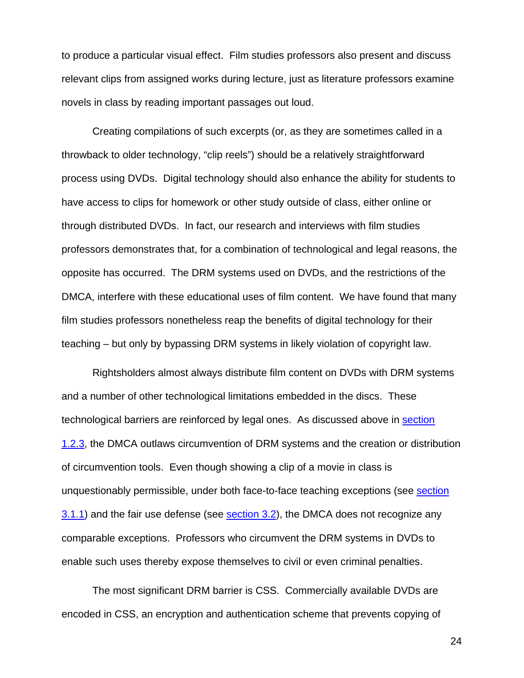to produce a particular visual effect. Film studies professors also present and discuss relevant clips from assigned works during lecture, just as literature professors examine novels in class by reading important passages out loud.

Creating compilations of such excerpts (or, as they are sometimes called in a throwback to older technology, "clip reels") should be a relatively straightforward process using DVDs. Digital technology should also enhance the ability for students to have access to clips for homework or other study outside of class, either online or through distributed DVDs. In fact, our research and interviews with film studies professors demonstrates that, for a combination of technological and legal reasons, the opposite has occurred. The DRM systems used on DVDs, and the restrictions of the DMCA, interfere with these educational uses of film content. We have found that many film studies professors nonetheless reap the benefits of digital technology for their teaching – but only by bypassing DRM systems in likely violation of copyright law.

Rightsholders almost always distribute film content on DVDs with DRM systems and a number of other technological limitations embedded in the discs. These technological barriers are reinforced by legal ones. As discussed above in section [1.2.3, the DMCA outlaws circumvention of DRM systems and the creation or distrib](#page-16-0)ution of circumvention tools. Even though showing a clip of a movie in class is [unquestionably permissible, under both face-to-face teaching exceptions \(see section](#page-42-0)  3.1.1) and the fair use defense (see [section 3.2\)](#page-49-0), the DMCA does not recognize any comparable exceptions. Professors who circumvent the DRM systems in DVDs to enable such uses thereby expose themselves to civil or even criminal penalties.

The most significant DRM barrier is CSS. Commercially available DVDs are encoded in CSS, an encryption and authentication scheme that prevents copying of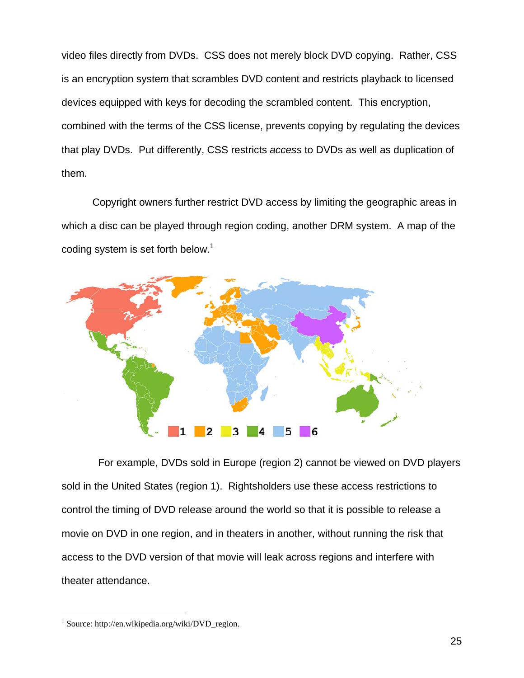video files directly from DVDs. CSS does not merely block DVD copying. Rather, CSS is an encryption system that scrambles DVD content and restricts playback to licensed devices equipped with keys for decoding the scrambled content. This encryption, combined with the terms of the CSS license, prevents copying by regulating the devices that play DVDs. Put differently, CSS restricts *access* to DVDs as well as duplication of them.

Copyright owners further restrict DVD access by limiting the geographic areas in which a disc can be played through region coding, another DRM system. A map of the coding system is set forth below.<sup>1</sup>



 For example, DVDs sold in Europe (region 2) cannot be viewed on DVD players sold in the United States (region 1). Rightsholders use these access restrictions to control the timing of DVD release around the world so that it is possible to release a movie on DVD in one region, and in theaters in another, without running the risk that access to the DVD version of that movie will leak across regions and interfere with theater attendance.

<sup>&</sup>lt;sup>1</sup> Source: http://en.wikipedia.org/wiki/DVD\_region.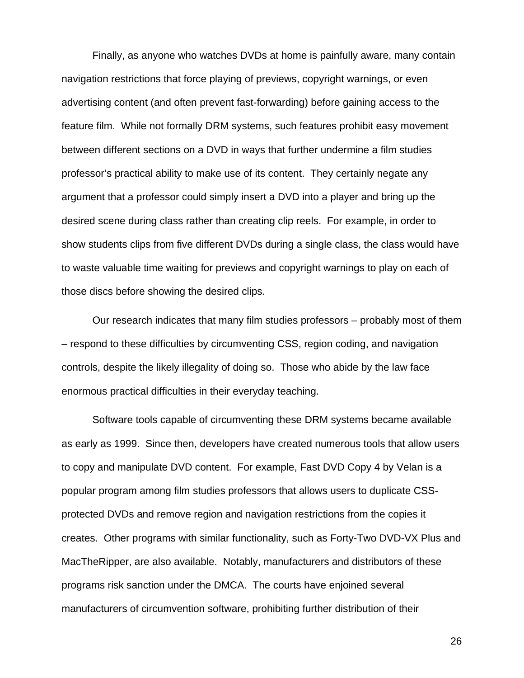Finally, as anyone who watches DVDs at home is painfully aware, many contain navigation restrictions that force playing of previews, copyright warnings, or even advertising content (and often prevent fast-forwarding) before gaining access to the feature film. While not formally DRM systems, such features prohibit easy movement between different sections on a DVD in ways that further undermine a film studies professor's practical ability to make use of its content. They certainly negate any argument that a professor could simply insert a DVD into a player and bring up the desired scene during class rather than creating clip reels. For example, in order to show students clips from five different DVDs during a single class, the class would have to waste valuable time waiting for previews and copyright warnings to play on each of those discs before showing the desired clips.

Our research indicates that many film studies professors – probably most of them – respond to these difficulties by circumventing CSS, region coding, and navigation controls, despite the likely illegality of doing so. Those who abide by the law face enormous practical difficulties in their everyday teaching.

Software tools capable of circumventing these DRM systems became available as early as 1999. Since then, developers have created numerous tools that allow users to copy and manipulate DVD content. For example, Fast DVD Copy 4 by Velan is a popular program among film studies professors that allows users to duplicate CSSprotected DVDs and remove region and navigation restrictions from the copies it creates. Other programs with similar functionality, such as Forty-Two DVD-VX Plus and MacTheRipper, are also available. Notably, manufacturers and distributors of these programs risk sanction under the DMCA. The courts have enjoined several manufacturers of circumvention software, prohibiting further distribution of their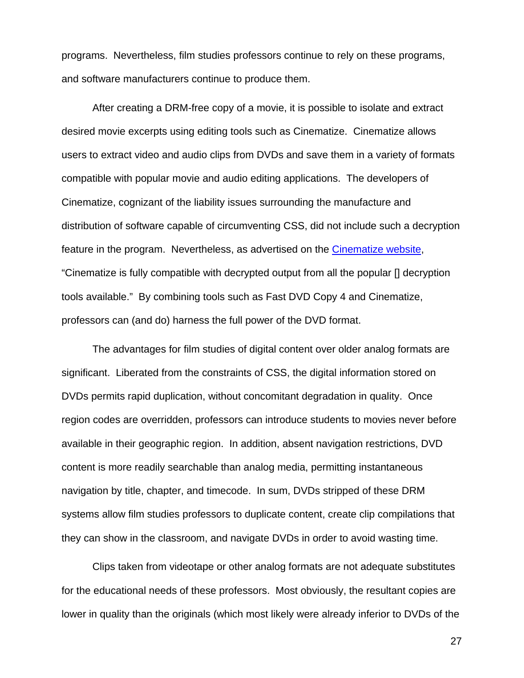programs. Nevertheless, film studies professors continue to rely on these programs, and software manufacturers continue to produce them.

After creating a DRM-free copy of a movie, it is possible to isolate and extract desired movie excerpts using editing tools such as Cinematize. Cinematize allows users to extract video and audio clips from DVDs and save them in a variety of formats compatible with popular movie and audio editing applications. The developers of Cinematize, cognizant of the liability issues surrounding the manufacture and distribution of software capable of circumventing CSS, did not include such a decryption feature in the program. Nevertheless, as advertised on the [Cinematize website](http://www.miraizon.com/support/faq.html), "Cinematize is fully compatible with decrypted output from all the popular [] decryption tools available." By combining tools such as Fast DVD Copy 4 and Cinematize, professors can (and do) harness the full power of the DVD format.

The advantages for film studies of digital content over older analog formats are significant. Liberated from the constraints of CSS, the digital information stored on DVDs permits rapid duplication, without concomitant degradation in quality. Once region codes are overridden, professors can introduce students to movies never before available in their geographic region. In addition, absent navigation restrictions, DVD content is more readily searchable than analog media, permitting instantaneous navigation by title, chapter, and timecode. In sum, DVDs stripped of these DRM systems allow film studies professors to duplicate content, create clip compilations that they can show in the classroom, and navigate DVDs in order to avoid wasting time.

Clips taken from videotape or other analog formats are not adequate substitutes for the educational needs of these professors. Most obviously, the resultant copies are lower in quality than the originals (which most likely were already inferior to DVDs of the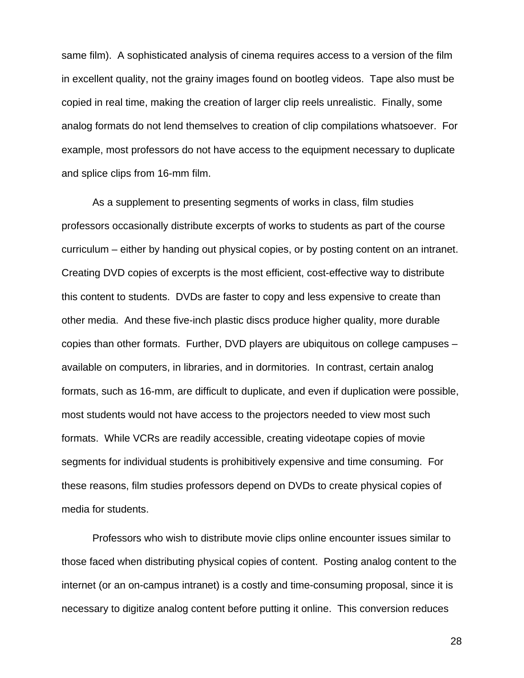same film). A sophisticated analysis of cinema requires access to a version of the film in excellent quality, not the grainy images found on bootleg videos. Tape also must be copied in real time, making the creation of larger clip reels unrealistic. Finally, some analog formats do not lend themselves to creation of clip compilations whatsoever. For example, most professors do not have access to the equipment necessary to duplicate and splice clips from 16-mm film.

As a supplement to presenting segments of works in class, film studies professors occasionally distribute excerpts of works to students as part of the course curriculum – either by handing out physical copies, or by posting content on an intranet. Creating DVD copies of excerpts is the most efficient, cost-effective way to distribute this content to students. DVDs are faster to copy and less expensive to create than other media. And these five-inch plastic discs produce higher quality, more durable copies than other formats. Further, DVD players are ubiquitous on college campuses – available on computers, in libraries, and in dormitories. In contrast, certain analog formats, such as 16-mm, are difficult to duplicate, and even if duplication were possible, most students would not have access to the projectors needed to view most such formats. While VCRs are readily accessible, creating videotape copies of movie segments for individual students is prohibitively expensive and time consuming. For these reasons, film studies professors depend on DVDs to create physical copies of media for students.

Professors who wish to distribute movie clips online encounter issues similar to those faced when distributing physical copies of content. Posting analog content to the internet (or an on-campus intranet) is a costly and time-consuming proposal, since it is necessary to digitize analog content before putting it online. This conversion reduces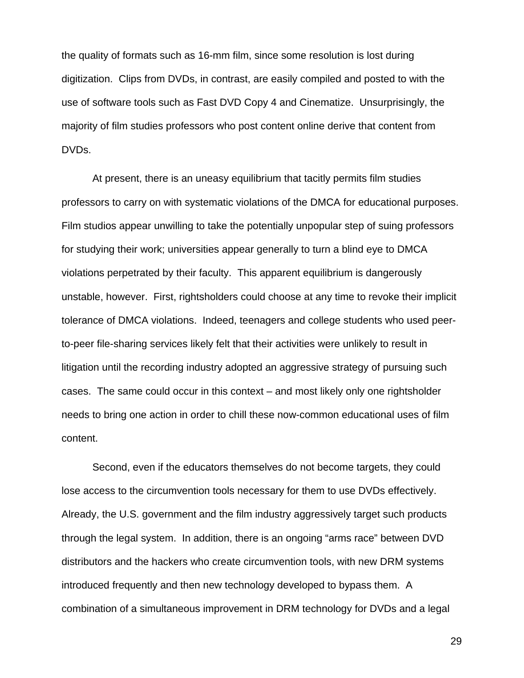the quality of formats such as 16-mm film, since some resolution is lost during digitization. Clips from DVDs, in contrast, are easily compiled and posted to with the use of software tools such as Fast DVD Copy 4 and Cinematize. Unsurprisingly, the majority of film studies professors who post content online derive that content from DVDs.

At present, there is an uneasy equilibrium that tacitly permits film studies professors to carry on with systematic violations of the DMCA for educational purposes. Film studios appear unwilling to take the potentially unpopular step of suing professors for studying their work; universities appear generally to turn a blind eye to DMCA violations perpetrated by their faculty. This apparent equilibrium is dangerously unstable, however. First, rightsholders could choose at any time to revoke their implicit tolerance of DMCA violations. Indeed, teenagers and college students who used peerto-peer file-sharing services likely felt that their activities were unlikely to result in litigation until the recording industry adopted an aggressive strategy of pursuing such cases. The same could occur in this context – and most likely only one rightsholder needs to bring one action in order to chill these now-common educational uses of film content.

Second, even if the educators themselves do not become targets, they could lose access to the circumvention tools necessary for them to use DVDs effectively. Already, the U.S. government and the film industry aggressively target such products through the legal system. In addition, there is an ongoing "arms race" between DVD distributors and the hackers who create circumvention tools, with new DRM systems introduced frequently and then new technology developed to bypass them. A combination of a simultaneous improvement in DRM technology for DVDs and a legal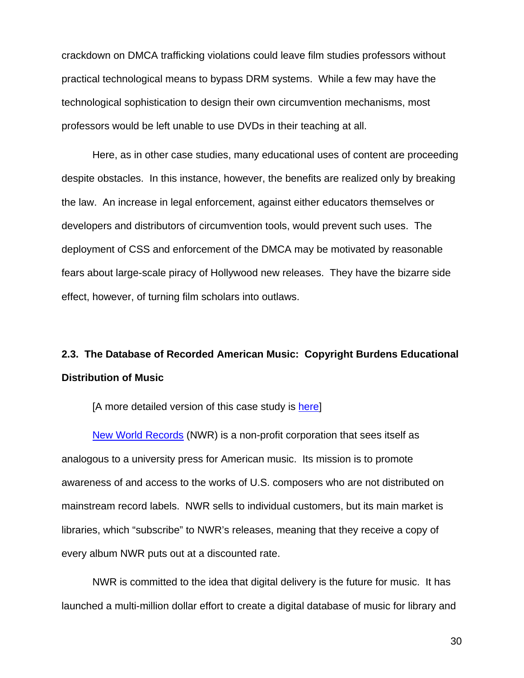<span id="page-29-0"></span>crackdown on DMCA trafficking violations could leave film studies professors without practical technological means to bypass DRM systems. While a few may have the technological sophistication to design their own circumvention mechanisms, most professors would be left unable to use DVDs in their teaching at all.

Here, as in other case studies, many educational uses of content are proceeding despite obstacles. In this instance, however, the benefits are realized only by breaking the law. An increase in legal enforcement, against either educators themselves or developers and distributors of circumvention tools, would prevent such uses. The deployment of CSS and enforcement of the DMCA may be motivated by reasonable fears about large-scale piracy of Hollywood new releases. They have the bizarre side effect, however, of turning film scholars into outlaws.

# **2.3. The Database of Recorded American Music: Copyright Burdens Educational Distribution of Music**

[A more detailed version of this case study is [here\]](http://cyber.law.harvard.edu/home/dl_nwr-dram)

[New World Records](http://www.newworldrecords.org/) (NWR) is a non-profit corporation that sees itself as analogous to a university press for American music. Its mission is to promote awareness of and access to the works of U.S. composers who are not distributed on mainstream record labels. NWR sells to individual customers, but its main market is libraries, which "subscribe" to NWR's releases, meaning that they receive a copy of every album NWR puts out at a discounted rate.

NWR is committed to the idea that digital delivery is the future for music. It has launched a multi-million dollar effort to create a digital database of music for library and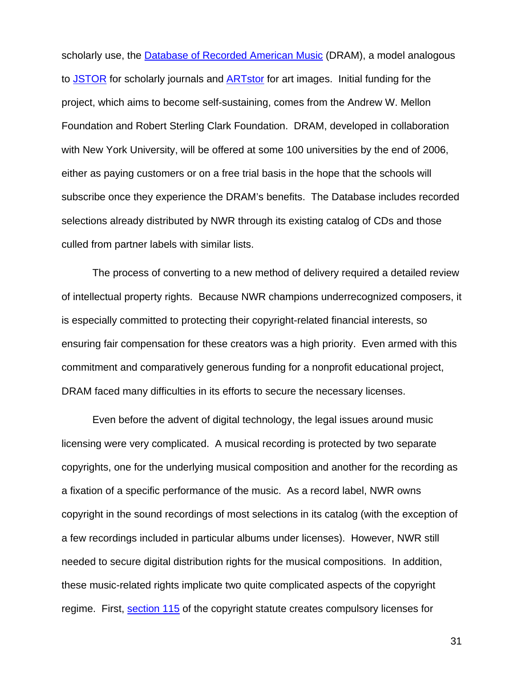scholarly use, the **[Database of Recorded American Music](http://dram.nyu.edu/)** (DRAM), a model analogous to [JSTOR](http://www.jstor.org/) for scholarly journals and [ARTstor](http://www.artstor.org/info/index.html) for art images. Initial funding for the project, which aims to become self-sustaining, comes from the Andrew W. Mellon Foundation and Robert Sterling Clark Foundation. DRAM, developed in collaboration with New York University, will be offered at some 100 universities by the end of 2006, either as paying customers or on a free trial basis in the hope that the schools will subscribe once they experience the DRAM's benefits. The Database includes recorded selections already distributed by NWR through its existing catalog of CDs and those culled from partner labels with similar lists.

The process of converting to a new method of delivery required a detailed review of intellectual property rights. Because NWR champions underrecognized composers, it is especially committed to protecting their copyright-related financial interests, so ensuring fair compensation for these creators was a high priority. Even armed with this commitment and comparatively generous funding for a nonprofit educational project, DRAM faced many difficulties in its efforts to secure the necessary licenses.

Even before the advent of digital technology, the legal issues around music licensing were very complicated. A musical recording is protected by two separate copyrights, one for the underlying musical composition and another for the recording as a fixation of a specific performance of the music. As a record label, NWR owns copyright in the sound recordings of most selections in its catalog (with the exception of a few recordings included in particular albums under licenses). However, NWR still needed to secure digital distribution rights for the musical compositions. In addition, these music-related rights implicate two quite complicated aspects of the copyright regime. First, [section 115](http://www.law.cornell.edu/uscode/html/uscode17/usc_sec_17_00000115----000-.html) of the copyright statute creates compulsory licenses for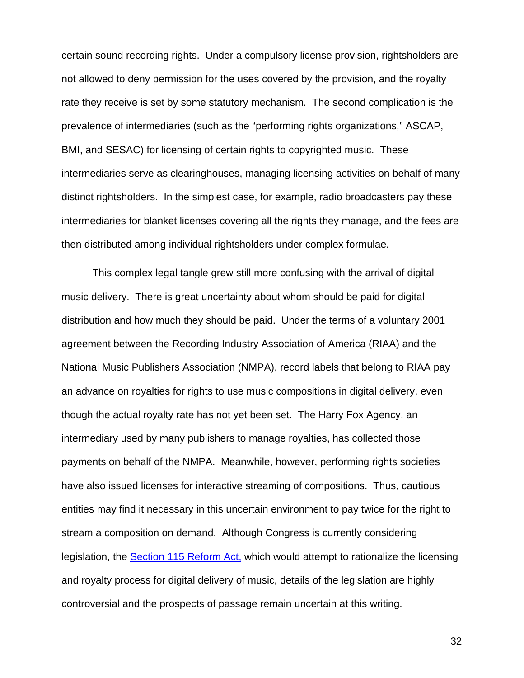certain sound recording rights. Under a compulsory license provision, rightsholders are not allowed to deny permission for the uses covered by the provision, and the royalty rate they receive is set by some statutory mechanism. The second complication is the prevalence of intermediaries (such as the "performing rights organizations," ASCAP, BMI, and SESAC) for licensing of certain rights to copyrighted music. These intermediaries serve as clearinghouses, managing licensing activities on behalf of many distinct rightsholders. In the simplest case, for example, radio broadcasters pay these intermediaries for blanket licenses covering all the rights they manage, and the fees are then distributed among individual rightsholders under complex formulae.

This complex legal tangle grew still more confusing with the arrival of digital music delivery. There is great uncertainty about whom should be paid for digital distribution and how much they should be paid. Under the terms of a voluntary 2001 agreement between the Recording Industry Association of America (RIAA) and the National Music Publishers Association (NMPA), record labels that belong to RIAA pay an advance on royalties for rights to use music compositions in digital delivery, even though the actual royalty rate has not yet been set. The Harry Fox Agency, an intermediary used by many publishers to manage royalties, has collected those payments on behalf of the NMPA. Meanwhile, however, performing rights societies have also issued licenses for interactive streaming of compositions. Thus, cautious entities may find it necessary in this uncertain environment to pay twice for the right to stream a composition on demand. Although Congress is currently considering legislation, the [Section 115 Reform Act,](http://thomas.loc.gov/cgi-bin/bdquery/z?d109:h.r.05553:) which would attempt to rationalize the licensing and royalty process for digital delivery of music, details of the legislation are highly controversial and the prospects of passage remain uncertain at this writing.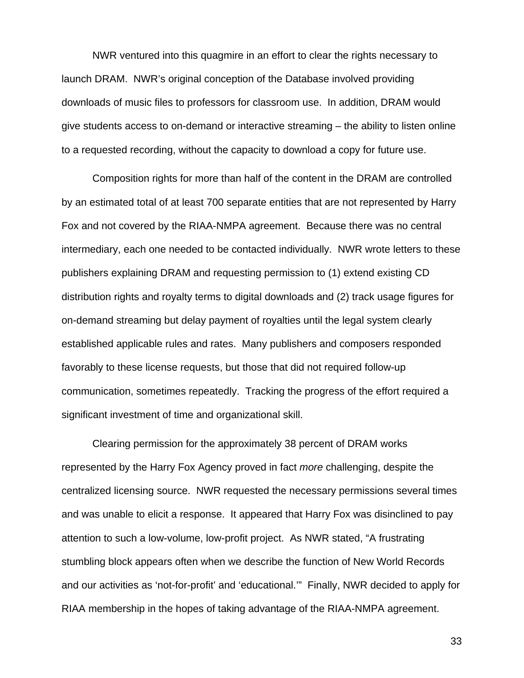NWR ventured into this quagmire in an effort to clear the rights necessary to launch DRAM. NWR's original conception of the Database involved providing downloads of music files to professors for classroom use. In addition, DRAM would give students access to on-demand or interactive streaming – the ability to listen online to a requested recording, without the capacity to download a copy for future use.

Composition rights for more than half of the content in the DRAM are controlled by an estimated total of at least 700 separate entities that are not represented by Harry Fox and not covered by the RIAA-NMPA agreement. Because there was no central intermediary, each one needed to be contacted individually. NWR wrote letters to these publishers explaining DRAM and requesting permission to (1) extend existing CD distribution rights and royalty terms to digital downloads and (2) track usage figures for on-demand streaming but delay payment of royalties until the legal system clearly established applicable rules and rates. Many publishers and composers responded favorably to these license requests, but those that did not required follow-up communication, sometimes repeatedly. Tracking the progress of the effort required a significant investment of time and organizational skill.

Clearing permission for the approximately 38 percent of DRAM works represented by the Harry Fox Agency proved in fact *more* challenging, despite the centralized licensing source. NWR requested the necessary permissions several times and was unable to elicit a response. It appeared that Harry Fox was disinclined to pay attention to such a low-volume, low-profit project. As NWR stated, "A frustrating stumbling block appears often when we describe the function of New World Records and our activities as 'not-for-profit' and 'educational.'" Finally, NWR decided to apply for RIAA membership in the hopes of taking advantage of the RIAA-NMPA agreement.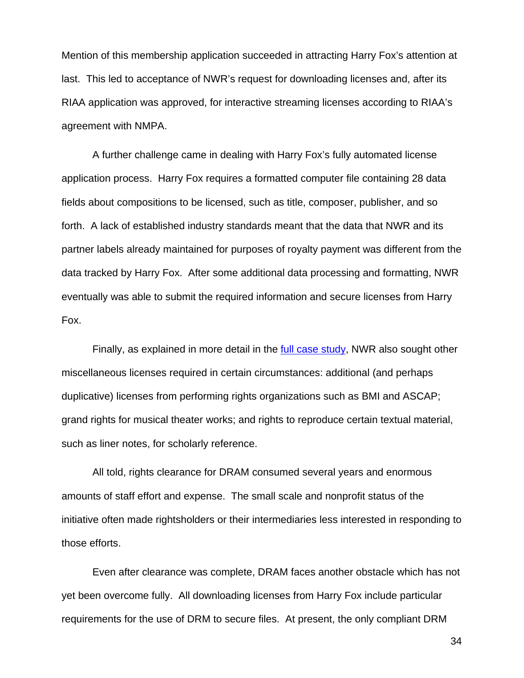Mention of this membership application succeeded in attracting Harry Fox's attention at last. This led to acceptance of NWR's request for downloading licenses and, after its RIAA application was approved, for interactive streaming licenses according to RIAA's agreement with NMPA.

A further challenge came in dealing with Harry Fox's fully automated license application process. Harry Fox requires a formatted computer file containing 28 data fields about compositions to be licensed, such as title, composer, publisher, and so forth. A lack of established industry standards meant that the data that NWR and its partner labels already maintained for purposes of royalty payment was different from the data tracked by Harry Fox. After some additional data processing and formatting, NWR eventually was able to submit the required information and secure licenses from Harry Fox.

Finally, as explained in more detail in the [full case study](http://cyber.law.harvard.edu/home/dl_nwr-dram), NWR also sought other miscellaneous licenses required in certain circumstances: additional (and perhaps duplicative) licenses from performing rights organizations such as BMI and ASCAP; grand rights for musical theater works; and rights to reproduce certain textual material, such as liner notes, for scholarly reference.

All told, rights clearance for DRAM consumed several years and enormous amounts of staff effort and expense. The small scale and nonprofit status of the initiative often made rightsholders or their intermediaries less interested in responding to those efforts.

Even after clearance was complete, DRAM faces another obstacle which has not yet been overcome fully. All downloading licenses from Harry Fox include particular requirements for the use of DRM to secure files. At present, the only compliant DRM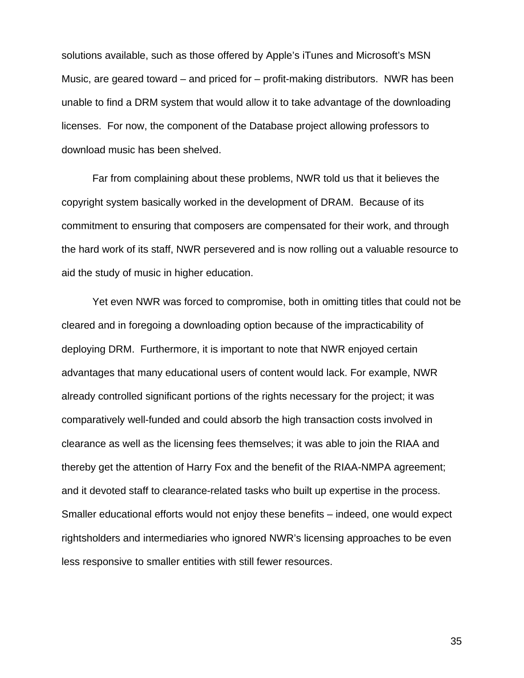solutions available, such as those offered by Apple's iTunes and Microsoft's MSN Music, are geared toward – and priced for – profit-making distributors. NWR has been unable to find a DRM system that would allow it to take advantage of the downloading licenses. For now, the component of the Database project allowing professors to download music has been shelved.

Far from complaining about these problems, NWR told us that it believes the copyright system basically worked in the development of DRAM. Because of its commitment to ensuring that composers are compensated for their work, and through the hard work of its staff, NWR persevered and is now rolling out a valuable resource to aid the study of music in higher education.

Yet even NWR was forced to compromise, both in omitting titles that could not be cleared and in foregoing a downloading option because of the impracticability of deploying DRM. Furthermore, it is important to note that NWR enjoyed certain advantages that many educational users of content would lack. For example, NWR already controlled significant portions of the rights necessary for the project; it was comparatively well-funded and could absorb the high transaction costs involved in clearance as well as the licensing fees themselves; it was able to join the RIAA and thereby get the attention of Harry Fox and the benefit of the RIAA-NMPA agreement; and it devoted staff to clearance-related tasks who built up expertise in the process. Smaller educational efforts would not enjoy these benefits – indeed, one would expect rightsholders and intermediaries who ignored NWR's licensing approaches to be even less responsive to smaller entities with still fewer resources.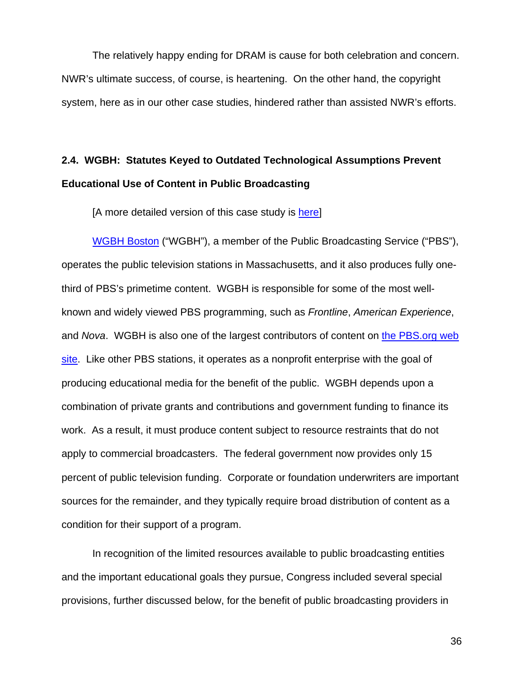<span id="page-35-0"></span>The relatively happy ending for DRAM is cause for both celebration and concern. NWR's ultimate success, of course, is heartening. On the other hand, the copyright system, here as in our other case studies, hindered rather than assisted NWR's efforts.

## **2.4. WGBH: Statutes Keyed to Outdated Technological Assumptions Prevent Educational Use of Content in Public Broadcasting**

[A more detailed version of this case study is [here\]](http://cyber.law.harvard.edu/home/dl_wgbh)

[WGBH Boston](http://www.wgbh.org) ("WGBH"), a member of the Public Broadcasting Service ("PBS"), operates the public television stations in Massachusetts, and it also produces fully onethird of PBS's primetime content. WGBH is responsible for some of the most wellknown and widely viewed PBS programming, such as *Frontline*, *American Experience*, and *Nova*. WGBH is also one of the largest contributors of content on the PBS.org web [site. Like other PBS stations, it operates as a nonprofit enterprise with the goal of](http://www.pbs.org)  producing educational media for the benefit of the public. WGBH depends upon a combination of private grants and contributions and government funding to finance its work. As a result, it must produce content subject to resource restraints that do not apply to commercial broadcasters. The federal government now provides only 15 percent of public television funding. Corporate or foundation underwriters are important sources for the remainder, and they typically require broad distribution of content as a condition for their support of a program.

In recognition of the limited resources available to public broadcasting entities and the important educational goals they pursue, Congress included several special provisions, further discussed below, for the benefit of public broadcasting providers in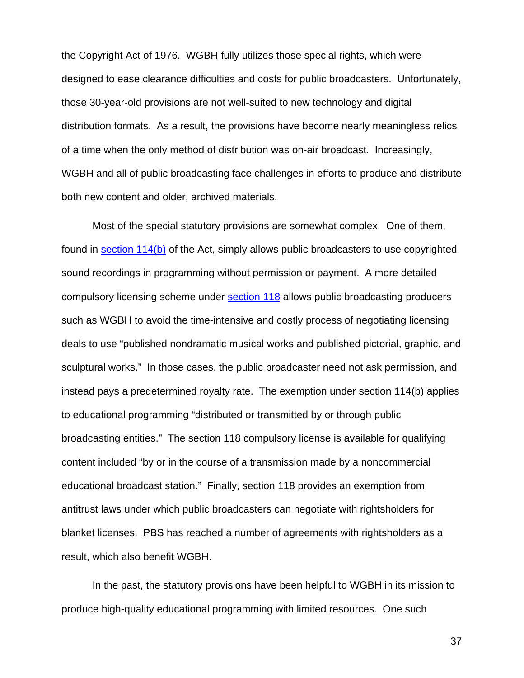the Copyright Act of 1976. WGBH fully utilizes those special rights, which were designed to ease clearance difficulties and costs for public broadcasters. Unfortunately, those 30-year-old provisions are not well-suited to new technology and digital distribution formats. As a result, the provisions have become nearly meaningless relics of a time when the only method of distribution was on-air broadcast. Increasingly, WGBH and all of public broadcasting face challenges in efforts to produce and distribute both new content and older, archived materials.

Most of the special statutory provisions are somewhat complex. One of them, found in [section 114\(b\)](http://www.law.cornell.edu/uscode/html/uscode17/usc_sec_17_00000114----000-.html) of the Act, simply allows public broadcasters to use copyrighted sound recordings in programming without permission or payment. A more detailed compulsory licensing scheme under [section 118](http://www.law.cornell.edu/uscode/html/uscode17/usc_sec_17_00000118----000-.html) allows public broadcasting producers such as WGBH to avoid the time-intensive and costly process of negotiating licensing deals to use "published nondramatic musical works and published pictorial, graphic, and sculptural works." In those cases, the public broadcaster need not ask permission, and instead pays a predetermined royalty rate. The exemption under section 114(b) applies to educational programming "distributed or transmitted by or through public broadcasting entities." The section 118 compulsory license is available for qualifying content included "by or in the course of a transmission made by a noncommercial educational broadcast station." Finally, section 118 provides an exemption from antitrust laws under which public broadcasters can negotiate with rightsholders for blanket licenses. PBS has reached a number of agreements with rightsholders as a result, which also benefit WGBH.

In the past, the statutory provisions have been helpful to WGBH in its mission to produce high-quality educational programming with limited resources. One such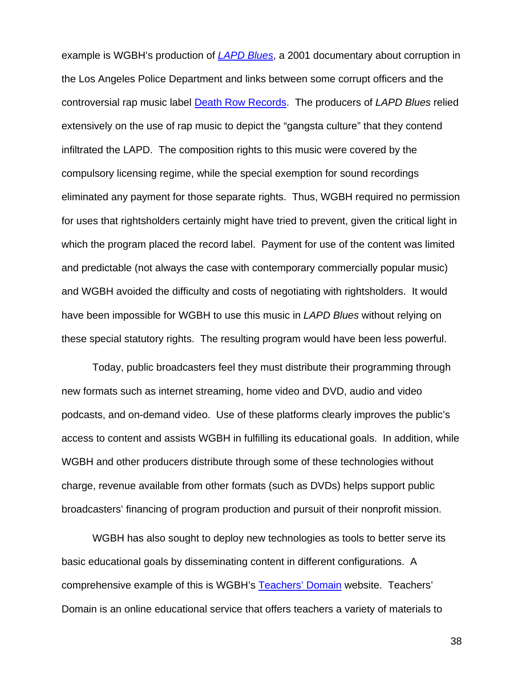example is WGBH's production of *[LAPD Blues](http://www.pbs.org/wgbh/pages/frontline/shows/lapd/etc/synopsis.html)*, a 2001 documentary about corruption in the Los Angeles Police Department and links between some corrupt officers and the controversial rap music label [Death Row Records.](http://en.wikipedia.org/wiki/Death_Row_Records) The producers of *LAPD Blues* relied extensively on the use of rap music to depict the "gangsta culture" that they contend infiltrated the LAPD. The composition rights to this music were covered by the compulsory licensing regime, while the special exemption for sound recordings eliminated any payment for those separate rights. Thus, WGBH required no permission for uses that rightsholders certainly might have tried to prevent, given the critical light in which the program placed the record label. Payment for use of the content was limited and predictable (not always the case with contemporary commercially popular music) and WGBH avoided the difficulty and costs of negotiating with rightsholders. It would have been impossible for WGBH to use this music in *LAPD Blues* without relying on these special statutory rights. The resulting program would have been less powerful.

Today, public broadcasters feel they must distribute their programming through new formats such as internet streaming, home video and DVD, audio and video podcasts, and on-demand video. Use of these platforms clearly improves the public's access to content and assists WGBH in fulfilling its educational goals. In addition, while WGBH and other producers distribute through some of these technologies without charge, revenue available from other formats (such as DVDs) helps support public broadcasters' financing of program production and pursuit of their nonprofit mission.

WGBH has also sought to deploy new technologies as tools to better serve its basic educational goals by disseminating content in different configurations. A comprehensive example of this is WGBH's [Teachers' Domain](http://www.teachersdomain.org/) website. Teachers' Domain is an online educational service that offers teachers a variety of materials to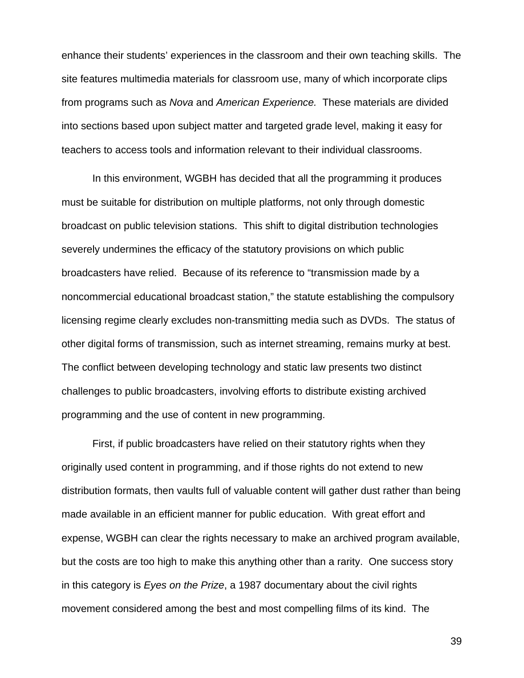enhance their students' experiences in the classroom and their own teaching skills. The site features multimedia materials for classroom use, many of which incorporate clips from programs such as *Nova* and *American Experience.* These materials are divided into sections based upon subject matter and targeted grade level, making it easy for teachers to access tools and information relevant to their individual classrooms.

In this environment, WGBH has decided that all the programming it produces must be suitable for distribution on multiple platforms, not only through domestic broadcast on public television stations. This shift to digital distribution technologies severely undermines the efficacy of the statutory provisions on which public broadcasters have relied. Because of its reference to "transmission made by a noncommercial educational broadcast station," the statute establishing the compulsory licensing regime clearly excludes non-transmitting media such as DVDs. The status of other digital forms of transmission, such as internet streaming, remains murky at best. The conflict between developing technology and static law presents two distinct challenges to public broadcasters, involving efforts to distribute existing archived programming and the use of content in new programming.

First, if public broadcasters have relied on their statutory rights when they originally used content in programming, and if those rights do not extend to new distribution formats, then vaults full of valuable content will gather dust rather than being made available in an efficient manner for public education. With great effort and expense, WGBH can clear the rights necessary to make an archived program available, but the costs are too high to make this anything other than a rarity. One success story in this category is *Eyes on the Prize*, a 1987 documentary about the civil rights movement considered among the best and most compelling films of its kind. The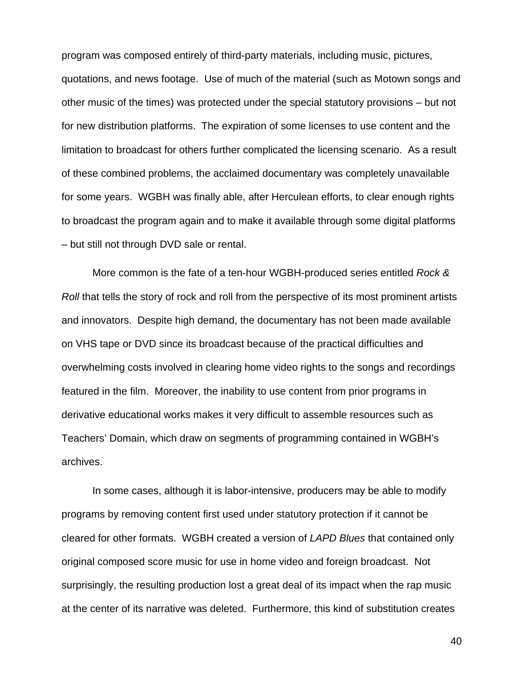program was composed entirely of third-party materials, including music, pictures, quotations, and news footage. Use of much of the material (such as Motown songs and other music of the times) was protected under the special statutory provisions – but not for new distribution platforms. The expiration of some licenses to use content and the limitation to broadcast for others further complicated the licensing scenario. As a result of these combined problems, the acclaimed documentary was completely unavailable for some years. WGBH was finally able, after Herculean efforts, to clear enough rights to broadcast the program again and to make it available through some digital platforms – but still not through DVD sale or rental.

More common is the fate of a ten-hour WGBH-produced series entitled *Rock & Roll* that tells the story of rock and roll from the perspective of its most prominent artists and innovators. Despite high demand, the documentary has not been made available on VHS tape or DVD since its broadcast because of the practical difficulties and overwhelming costs involved in clearing home video rights to the songs and recordings featured in the film. Moreover, the inability to use content from prior programs in derivative educational works makes it very difficult to assemble resources such as Teachers' Domain, which draw on segments of programming contained in WGBH's archives.

In some cases, although it is labor-intensive, producers may be able to modify programs by removing content first used under statutory protection if it cannot be cleared for other formats. WGBH created a version of *LAPD Blues* that contained only original composed score music for use in home video and foreign broadcast. Not surprisingly, the resulting production lost a great deal of its impact when the rap music at the center of its narrative was deleted. Furthermore, this kind of substitution creates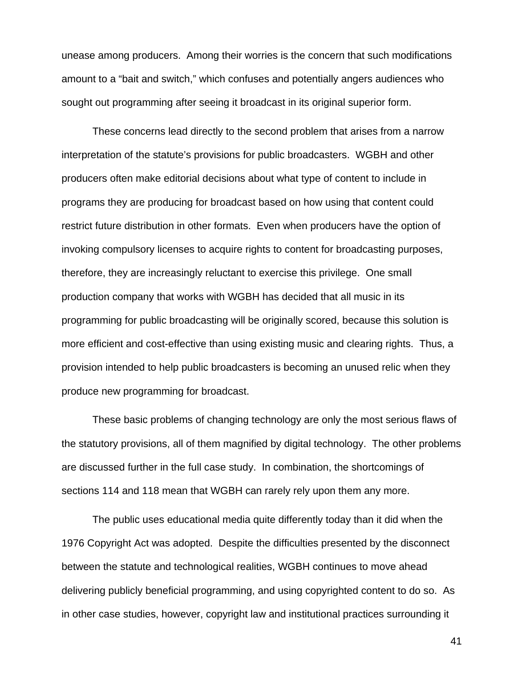unease among producers. Among their worries is the concern that such modifications amount to a "bait and switch," which confuses and potentially angers audiences who sought out programming after seeing it broadcast in its original superior form.

These concerns lead directly to the second problem that arises from a narrow interpretation of the statute's provisions for public broadcasters. WGBH and other producers often make editorial decisions about what type of content to include in programs they are producing for broadcast based on how using that content could restrict future distribution in other formats. Even when producers have the option of invoking compulsory licenses to acquire rights to content for broadcasting purposes, therefore, they are increasingly reluctant to exercise this privilege. One small production company that works with WGBH has decided that all music in its programming for public broadcasting will be originally scored, because this solution is more efficient and cost-effective than using existing music and clearing rights. Thus, a provision intended to help public broadcasters is becoming an unused relic when they produce new programming for broadcast.

These basic problems of changing technology are only the most serious flaws of the statutory provisions, all of them magnified by digital technology. The other problems are discussed further in the full case study. In combination, the shortcomings of sections 114 and 118 mean that WGBH can rarely rely upon them any more.

The public uses educational media quite differently today than it did when the 1976 Copyright Act was adopted. Despite the difficulties presented by the disconnect between the statute and technological realities, WGBH continues to move ahead delivering publicly beneficial programming, and using copyrighted content to do so. As in other case studies, however, copyright law and institutional practices surrounding it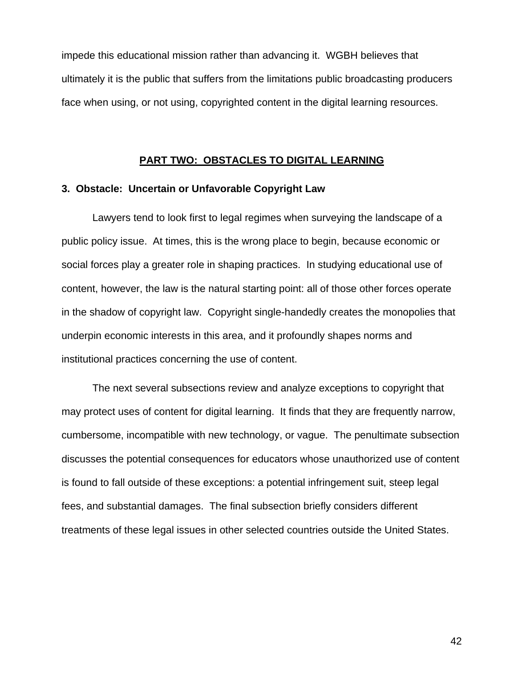impede this educational mission rather than advancing it. WGBH believes that ultimately it is the public that suffers from the limitations public broadcasting producers face when using, or not using, copyrighted content in the digital learning resources.

# **PART TWO: OBSTACLES TO DIGITAL LEARNING**

#### **3. Obstacle: Uncertain or Unfavorable Copyright Law**

Lawyers tend to look first to legal regimes when surveying the landscape of a public policy issue. At times, this is the wrong place to begin, because economic or social forces play a greater role in shaping practices. In studying educational use of content, however, the law is the natural starting point: all of those other forces operate in the shadow of copyright law. Copyright single-handedly creates the monopolies that underpin economic interests in this area, and it profoundly shapes norms and institutional practices concerning the use of content.

The next several subsections review and analyze exceptions to copyright that may protect uses of content for digital learning. It finds that they are frequently narrow, cumbersome, incompatible with new technology, or vague. The penultimate subsection discusses the potential consequences for educators whose unauthorized use of content is found to fall outside of these exceptions: a potential infringement suit, steep legal fees, and substantial damages. The final subsection briefly considers different treatments of these legal issues in other selected countries outside the United States.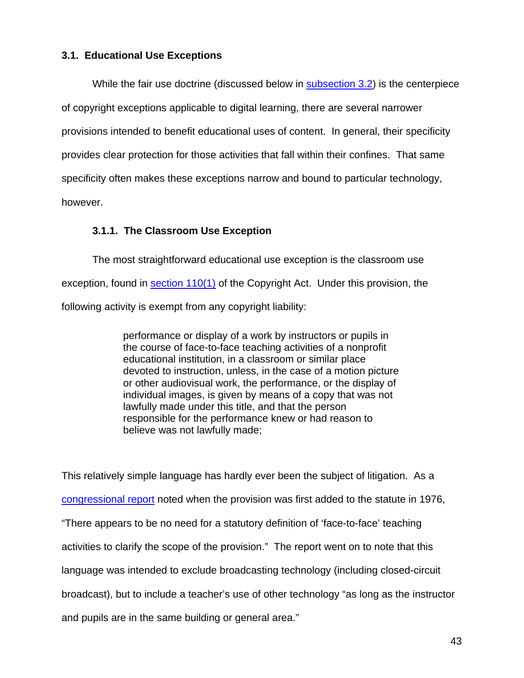# <span id="page-42-0"></span>**3.1. Educational Use Exceptions**

While the fair use doctrine (discussed below in [subsection 3.2](#page-49-0)) is the centerpiece of copyright exceptions applicable to digital learning, there are several narrower provisions intended to benefit educational uses of content. In general, their specificity provides clear protection for those activities that fall within their confines. That same specificity often makes these exceptions narrow and bound to particular technology, however.

# **3.1.1. The Classroom Use Exception**

The most straightforward educational use exception is the classroom use exception, found in [section 110\(1\)](http://www.law.cornell.edu/uscode/html/uscode17/usc_sec_17_00000110----000-.html) of the Copyright Act. Under this provision, the following activity is exempt from any copyright liability:

> performance or display of a work by instructors or pupils in the course of face-to-face teaching activities of a nonprofit educational institution, in a classroom or similar place devoted to instruction, unless, in the case of a motion picture or other audiovisual work, the performance, or the display of individual images, is given by means of a copy that was not lawfully made under this title, and that the person responsible for the performance knew or had reason to believe was not lawfully made;

This relatively simple language has hardly ever been the subject of litigation. As a [congressional report](http://www.law.cornell.edu/uscode/html/uscode17/usc_sec_17_00000110----000-notes.html) noted when the provision was first added to the statute in 1976, "There appears to be no need for a statutory definition of 'face-to-face' teaching activities to clarify the scope of the provision." The report went on to note that this language was intended to exclude broadcasting technology (including closed-circuit broadcast), but to include a teacher's use of other technology "as long as the instructor and pupils are in the same building or general area."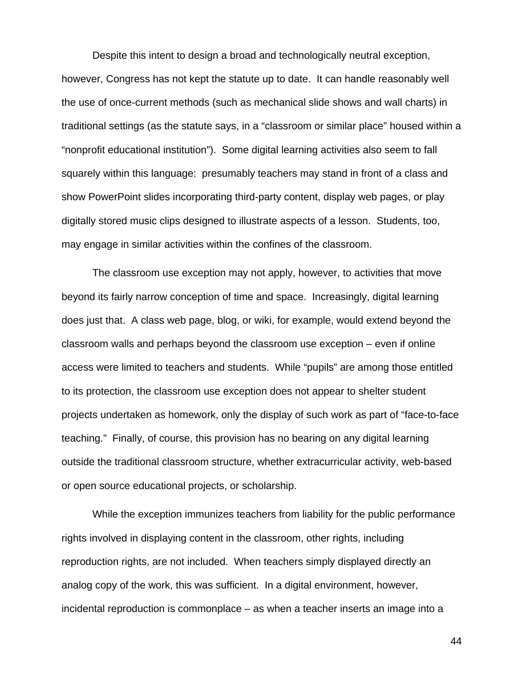Despite this intent to design a broad and technologically neutral exception, however, Congress has not kept the statute up to date. It can handle reasonably well the use of once-current methods (such as mechanical slide shows and wall charts) in traditional settings (as the statute says, in a "classroom or similar place" housed within a "nonprofit educational institution"). Some digital learning activities also seem to fall squarely within this language: presumably teachers may stand in front of a class and show PowerPoint slides incorporating third-party content, display web pages, or play digitally stored music clips designed to illustrate aspects of a lesson. Students, too, may engage in similar activities within the confines of the classroom.

The classroom use exception may not apply, however, to activities that move beyond its fairly narrow conception of time and space. Increasingly, digital learning does just that. A class web page, blog, or wiki, for example, would extend beyond the classroom walls and perhaps beyond the classroom use exception – even if online access were limited to teachers and students. While "pupils" are among those entitled to its protection, the classroom use exception does not appear to shelter student projects undertaken as homework, only the display of such work as part of "face-to-face teaching." Finally, of course, this provision has no bearing on any digital learning outside the traditional classroom structure, whether extracurricular activity, web-based or open source educational projects, or scholarship.

While the exception immunizes teachers from liability for the public performance rights involved in displaying content in the classroom, other rights, including reproduction rights, are not included. When teachers simply displayed directly an analog copy of the work, this was sufficient. In a digital environment, however, incidental reproduction is commonplace – as when a teacher inserts an image into a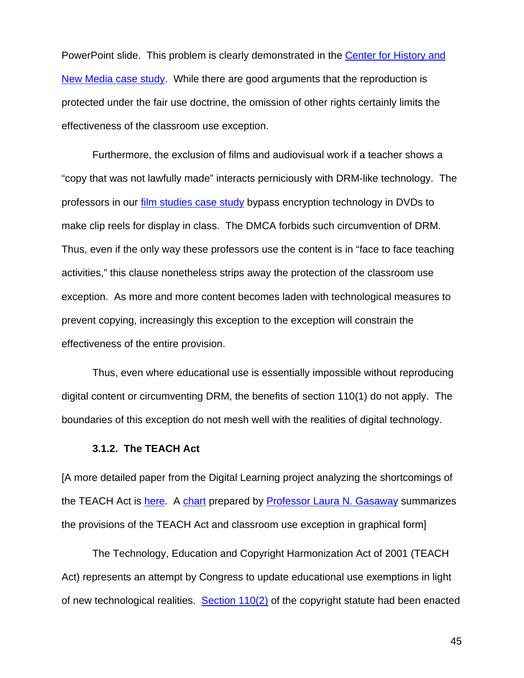[PowerPoint slide. This problem is clearly demonstrated in the Center for History and](#page-18-0)  New Media case study. While there are good arguments that the reproduction is protected under the fair use doctrine, the omission of other rights certainly limits the effectiveness of the classroom use exception.

Furthermore, the exclusion of films and audiovisual work if a teacher shows a "copy that was not lawfully made" interacts perniciously with DRM-like technology. The professors in our [film studies case study](#page-22-0) bypass encryption technology in DVDs to make clip reels for display in class. The DMCA forbids such circumvention of DRM. Thus, even if the only way these professors use the content is in "face to face teaching activities," this clause nonetheless strips away the protection of the classroom use exception. As more and more content becomes laden with technological measures to prevent copying, increasingly this exception to the exception will constrain the effectiveness of the entire provision.

Thus, even where educational use is essentially impossible without reproducing digital content or circumventing DRM, the benefits of section 110(1) do not apply. The boundaries of this exception do not mesh well with the realities of digital technology.

# **3.1.2. The TEACH Act**

[A more detailed paper from the Digital Learning project analyzing the shortcomings of the TEACH Act is [here.](http://cyber.law.harvard.edu/home/dl_teachact) A [chart](http://www.unc.edu/~unclng/TEACH.htm) prepared by [Professor Laura N. Gasaway](http://www.unc.edu/~unclng/gasaway.htm) summarizes the provisions of the TEACH Act and classroom use exception in graphical form]

The Technology, Education and Copyright Harmonization Act of 2001 (TEACH Act) represents an attempt by Congress to update educational use exemptions in light of new technological realities. Section  $110(2)$  of the copyright statute had been enacted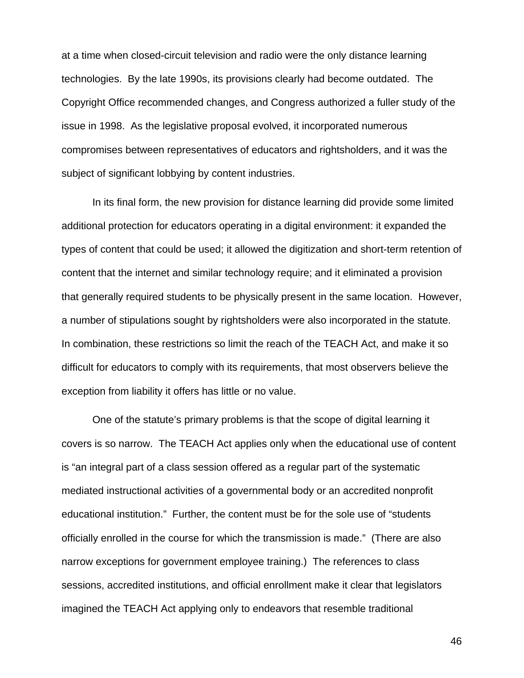at a time when closed-circuit television and radio were the only distance learning technologies. By the late 1990s, its provisions clearly had become outdated. The Copyright Office recommended changes, and Congress authorized a fuller study of the issue in 1998. As the legislative proposal evolved, it incorporated numerous compromises between representatives of educators and rightsholders, and it was the subject of significant lobbying by content industries.

In its final form, the new provision for distance learning did provide some limited additional protection for educators operating in a digital environment: it expanded the types of content that could be used; it allowed the digitization and short-term retention of content that the internet and similar technology require; and it eliminated a provision that generally required students to be physically present in the same location. However, a number of stipulations sought by rightsholders were also incorporated in the statute. In combination, these restrictions so limit the reach of the TEACH Act, and make it so difficult for educators to comply with its requirements, that most observers believe the exception from liability it offers has little or no value.

One of the statute's primary problems is that the scope of digital learning it covers is so narrow. The TEACH Act applies only when the educational use of content is "an integral part of a class session offered as a regular part of the systematic mediated instructional activities of a governmental body or an accredited nonprofit educational institution." Further, the content must be for the sole use of "students officially enrolled in the course for which the transmission is made." (There are also narrow exceptions for government employee training.) The references to class sessions, accredited institutions, and official enrollment make it clear that legislators imagined the TEACH Act applying only to endeavors that resemble traditional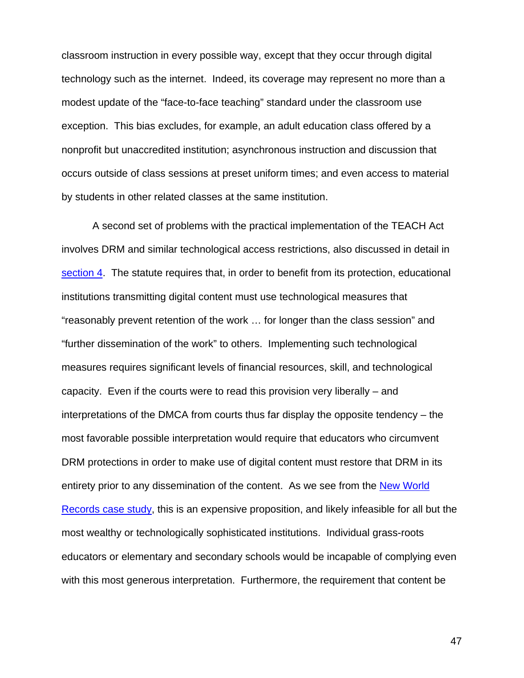classroom instruction in every possible way, except that they occur through digital technology such as the internet. Indeed, its coverage may represent no more than a modest update of the "face-to-face teaching" standard under the classroom use exception. This bias excludes, for example, an adult education class offered by a nonprofit but unaccredited institution; asynchronous instruction and discussion that occurs outside of class sessions at preset uniform times; and even access to material by students in other related classes at the same institution.

A second set of problems with the practical implementation of the TEACH Act involves DRM and similar technological access restrictions, also discussed in detail in [section 4](#page-65-0). The statute requires that, in order to benefit from its protection, educational institutions transmitting digital content must use technological measures that "reasonably prevent retention of the work … for longer than the class session" and "further dissemination of the work" to others. Implementing such technological measures requires significant levels of financial resources, skill, and technological capacity. Even if the courts were to read this provision very liberally – and interpretations of the DMCA from courts thus far display the opposite tendency – the most favorable possible interpretation would require that educators who circumvent DRM protections in order to make use of digital content must restore that DRM in its entirety prior to any dissemination of the content. As we see from the New World [Records case study, this is an expensive proposition, and likely infeasible for all b](#page-29-0)ut the most wealthy or technologically sophisticated institutions. Individual grass-roots educators or elementary and secondary schools would be incapable of complying even with this most generous interpretation. Furthermore, the requirement that content be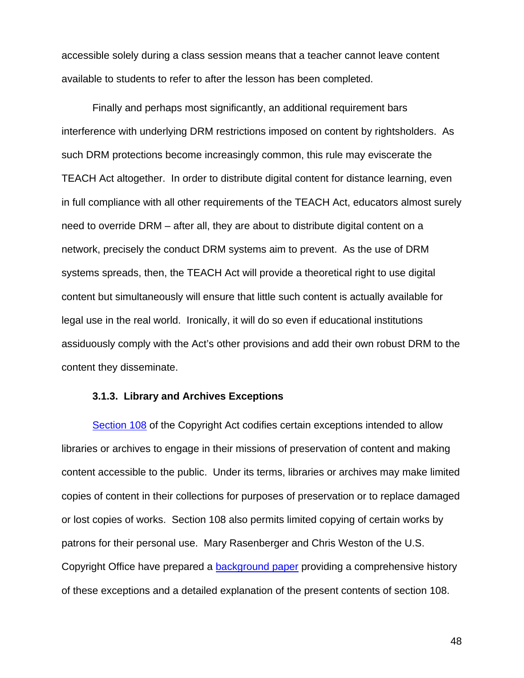accessible solely during a class session means that a teacher cannot leave content available to students to refer to after the lesson has been completed.

Finally and perhaps most significantly, an additional requirement bars interference with underlying DRM restrictions imposed on content by rightsholders. As such DRM protections become increasingly common, this rule may eviscerate the TEACH Act altogether. In order to distribute digital content for distance learning, even in full compliance with all other requirements of the TEACH Act, educators almost surely need to override DRM – after all, they are about to distribute digital content on a network, precisely the conduct DRM systems aim to prevent. As the use of DRM systems spreads, then, the TEACH Act will provide a theoretical right to use digital content but simultaneously will ensure that little such content is actually available for legal use in the real world. Ironically, it will do so even if educational institutions assiduously comply with the Act's other provisions and add their own robust DRM to the content they disseminate.

#### **3.1.3. Library and Archives Exceptions**

[Section 108](http://www.law.cornell.edu/uscode/html/uscode17/usc_sec_17_00000108----000-.html) of the Copyright Act codifies certain exceptions intended to allow libraries or archives to engage in their missions of preservation of content and making content accessible to the public. Under its terms, libraries or archives may make limited copies of content in their collections for purposes of preservation or to replace damaged or lost copies of works. Section 108 also permits limited copying of certain works by patrons for their personal use. Mary Rasenberger and Chris Weston of the U.S. Copyright Office have prepared a [background paper](http://www.loc.gov/section108/docs/108_background_paper.doc) providing a comprehensive history of these exceptions and a detailed explanation of the present contents of section 108.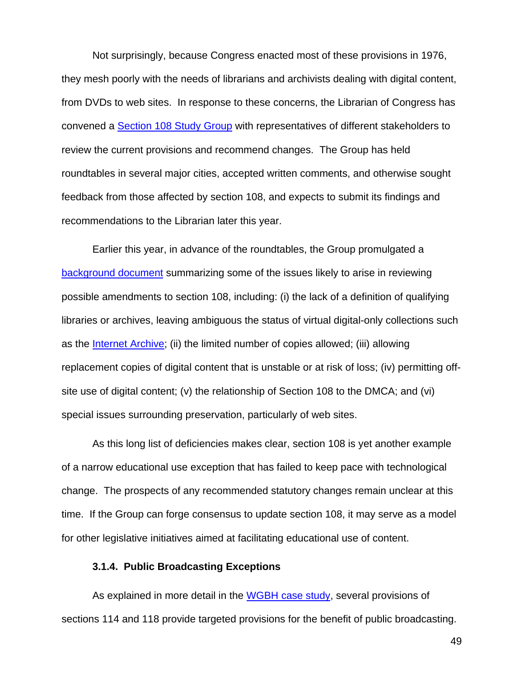Not surprisingly, because Congress enacted most of these provisions in 1976, they mesh poorly with the needs of librarians and archivists dealing with digital content, from DVDs to web sites. In response to these concerns, the Librarian of Congress has convened a [Section 108 Study Group](http://www.loc.gov/section108/index.html) with representatives of different stakeholders to review the current provisions and recommend changes. The Group has held roundtables in several major cities, accepted written comments, and otherwise sought feedback from those affected by section 108, and expects to submit its findings and recommendations to the Librarian later this year.

Earlier this year, in advance of the roundtables, the Group promulgated a [background document](http://www.loc.gov/section108/docs/FRbackground2-10-06.pdf) summarizing some of the issues likely to arise in reviewing possible amendments to section 108, including: (i) the lack of a definition of qualifying libraries or archives, leaving ambiguous the status of virtual digital-only collections such as the **Internet Archive**; (ii) the limited number of copies allowed; (iii) allowing replacement copies of digital content that is unstable or at risk of loss; (iv) permitting offsite use of digital content; (v) the relationship of Section 108 to the DMCA; and (vi) special issues surrounding preservation, particularly of web sites.

As this long list of deficiencies makes clear, section 108 is yet another example of a narrow educational use exception that has failed to keep pace with technological change. The prospects of any recommended statutory changes remain unclear at this time. If the Group can forge consensus to update section 108, it may serve as a model for other legislative initiatives aimed at facilitating educational use of content.

# **3.1.4. Public Broadcasting Exceptions**

As explained in more detail in the [WGBH case study](#page-35-0), several provisions of sections 114 and 118 provide targeted provisions for the benefit of public broadcasting.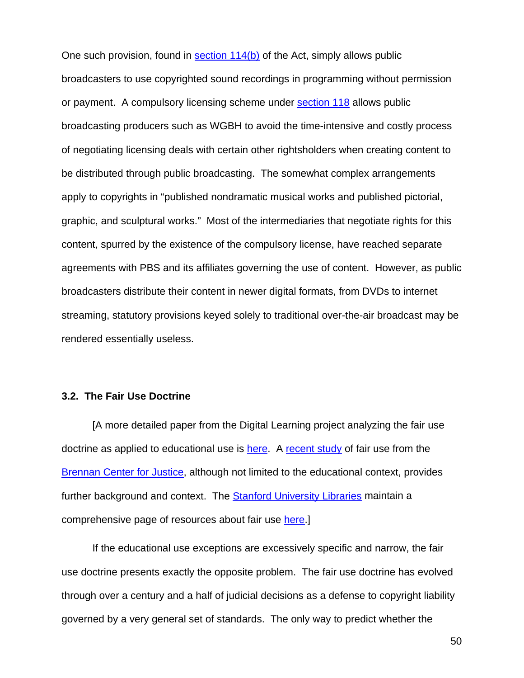<span id="page-49-0"></span>One such provision, found in [section 114\(b\)](http://www.law.cornell.edu/uscode/html/uscode17/usc_sec_17_00000114----000-.html) of the Act, simply allows public broadcasters to use copyrighted sound recordings in programming without permission or payment. A compulsory licensing scheme under [section 118](http://www.law.cornell.edu/uscode/html/uscode17/usc_sec_17_00000118----000-.html) allows public broadcasting producers such as WGBH to avoid the time-intensive and costly process of negotiating licensing deals with certain other rightsholders when creating content to be distributed through public broadcasting. The somewhat complex arrangements apply to copyrights in "published nondramatic musical works and published pictorial, graphic, and sculptural works." Most of the intermediaries that negotiate rights for this content, spurred by the existence of the compulsory license, have reached separate agreements with PBS and its affiliates governing the use of content. However, as public broadcasters distribute their content in newer digital formats, from DVDs to internet streaming, statutory provisions keyed solely to traditional over-the-air broadcast may be rendered essentially useless.

# **3.2. The Fair Use Doctrine**

[A more detailed paper from the Digital Learning project analyzing the fair use doctrine as applied to educational use is [here.](http://cyber.law.harvard.edu/home/dl_fairuse) A [recent study](http://www.fepproject.org/policyreports/WillFairUseSurvive.pdf) of fair use from the [Brennan Center for Justice,](http://www.brennancenter.org/) although not limited to the educational context, provides further background and context. The [Stanford University Libraries](http://www-sul.stanford.edu/) maintain a comprehensive page of resources about fair use [here](http://fairuse.stanford.edu/index.html).]

If the educational use exceptions are excessively specific and narrow, the fair use doctrine presents exactly the opposite problem. The fair use doctrine has evolved through over a century and a half of judicial decisions as a defense to copyright liability governed by a very general set of standards. The only way to predict whether the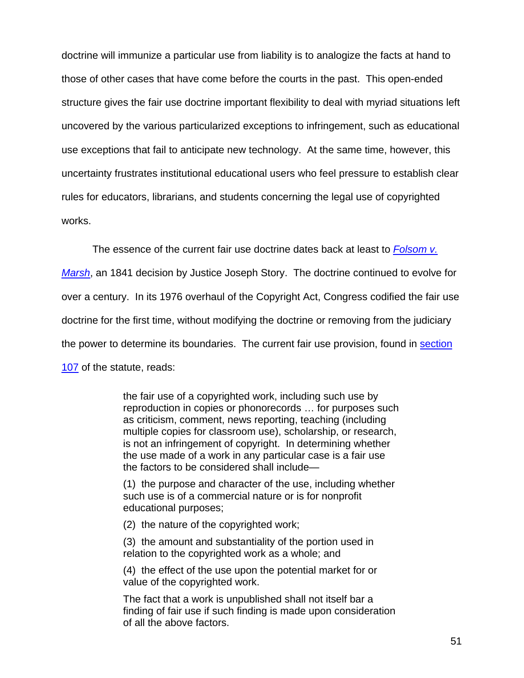doctrine will immunize a particular use from liability is to analogize the facts at hand to those of other cases that have come before the courts in the past. This open-ended structure gives the fair use doctrine important flexibility to deal with myriad situations left uncovered by the various particularized exceptions to infringement, such as educational use exceptions that fail to anticipate new technology. At the same time, however, this uncertainty frustrates institutional educational users who feel pressure to establish clear rules for educators, librarians, and students concerning the legal use of copyrighted works.

The essence of the current fair use doctrine dates back at least to *Folsom v.* 

*Marsh*[, an 1841 decision by Justice Joseph Story. The doctrine continued to evolve](http://www.faculty.piercelaw.edu/redfield/library/Pdf/case-folsom.marsh.pdf) for over a century. In its 1976 overhaul of the Copyright Act, Congress codified the fair use doctrine for the first time, without modifying the doctrine or removing from the judiciary [the power to determine its boundaries. The current fair use provision, found in section](http://www.law.cornell.edu/uscode/html/uscode17/usc_sec_17_00000107----000-.html)  107 of the statute, reads:

> the fair use of a copyrighted work, including such use by reproduction in copies or phonorecords … for purposes such as criticism, comment, news reporting, teaching (including multiple copies for classroom use), scholarship, or research, is not an infringement of copyright. In determining whether the use made of a work in any particular case is a fair use the factors to be considered shall include—

(1) the purpose and character of the use, including whether such use is of a commercial nature or is for nonprofit educational purposes;

(2) the nature of the copyrighted work;

(3) the amount and substantiality of the portion used in relation to the copyrighted work as a whole; and

(4) the effect of the use upon the potential market for or value of the copyrighted work.

The fact that a work is unpublished shall not itself bar a finding of fair use if such finding is made upon consideration of all the above factors.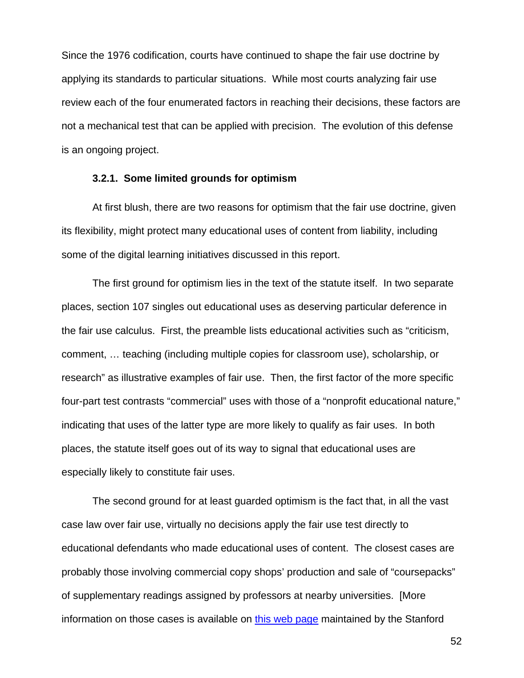Since the 1976 codification, courts have continued to shape the fair use doctrine by applying its standards to particular situations. While most courts analyzing fair use review each of the four enumerated factors in reaching their decisions, these factors are not a mechanical test that can be applied with precision. The evolution of this defense is an ongoing project.

## **3.2.1. Some limited grounds for optimism**

At first blush, there are two reasons for optimism that the fair use doctrine, given its flexibility, might protect many educational uses of content from liability, including some of the digital learning initiatives discussed in this report.

The first ground for optimism lies in the text of the statute itself. In two separate places, section 107 singles out educational uses as deserving particular deference in the fair use calculus. First, the preamble lists educational activities such as "criticism, comment, … teaching (including multiple copies for classroom use), scholarship, or research" as illustrative examples of fair use. Then, the first factor of the more specific four-part test contrasts "commercial" uses with those of a "nonprofit educational nature," indicating that uses of the latter type are more likely to qualify as fair uses. In both places, the statute itself goes out of its way to signal that educational uses are especially likely to constitute fair uses.

The second ground for at least guarded optimism is the fact that, in all the vast case law over fair use, virtually no decisions apply the fair use test directly to educational defendants who made educational uses of content. The closest cases are probably those involving commercial copy shops' production and sale of "coursepacks" of supplementary readings assigned by professors at nearby universities. [More information on those cases is available on [this web page](http://fairuse.stanford.edu/primary_materials/cases/michigan_document_services/index.html) maintained by the Stanford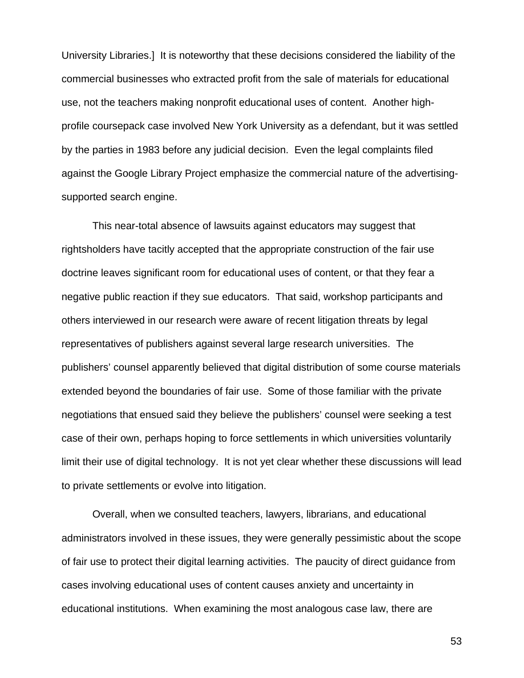University Libraries.] It is noteworthy that these decisions considered the liability of the commercial businesses who extracted profit from the sale of materials for educational use, not the teachers making nonprofit educational uses of content. Another highprofile coursepack case involved New York University as a defendant, but it was settled by the parties in 1983 before any judicial decision. Even the legal complaints filed against the Google Library Project emphasize the commercial nature of the advertisingsupported search engine.

This near-total absence of lawsuits against educators may suggest that rightsholders have tacitly accepted that the appropriate construction of the fair use doctrine leaves significant room for educational uses of content, or that they fear a negative public reaction if they sue educators. That said, workshop participants and others interviewed in our research were aware of recent litigation threats by legal representatives of publishers against several large research universities. The publishers' counsel apparently believed that digital distribution of some course materials extended beyond the boundaries of fair use. Some of those familiar with the private negotiations that ensued said they believe the publishers' counsel were seeking a test case of their own, perhaps hoping to force settlements in which universities voluntarily limit their use of digital technology. It is not yet clear whether these discussions will lead to private settlements or evolve into litigation.

Overall, when we consulted teachers, lawyers, librarians, and educational administrators involved in these issues, they were generally pessimistic about the scope of fair use to protect their digital learning activities. The paucity of direct guidance from cases involving educational uses of content causes anxiety and uncertainty in educational institutions. When examining the most analogous case law, there are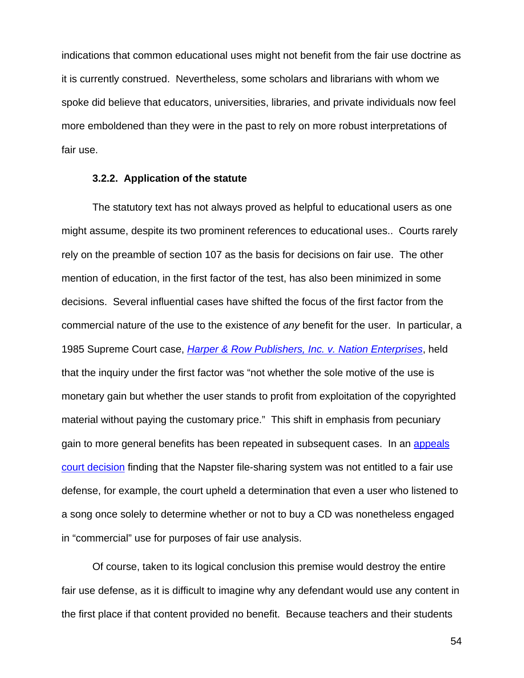indications that common educational uses might not benefit from the fair use doctrine as it is currently construed. Nevertheless, some scholars and librarians with whom we spoke did believe that educators, universities, libraries, and private individuals now feel more emboldened than they were in the past to rely on more robust interpretations of fair use.

#### **3.2.2. Application of the statute**

The statutory text has not always proved as helpful to educational users as one might assume, despite its two prominent references to educational uses.. Courts rarely rely on the preamble of section 107 as the basis for decisions on fair use. The other mention of education, in the first factor of the test, has also been minimized in some decisions. Several influential cases have shifted the focus of the first factor from the commercial nature of the use to the existence of *any* benefit for the user. In particular, a 1985 Supreme Court case, *[Harper & Row Publishers, Inc. v. Nation Enterprises](http://caselaw.lp.findlaw.com/cgi-bin/getcase.pl?court=US&vol=471&invol=539)*, held that the inquiry under the first factor was "not whether the sole motive of the use is monetary gain but whether the user stands to profit from exploitation of the copyrighted material without paying the customary price." This shift in emphasis from pecuniary [gain to more general benefits has been repeated in subsequent cases. In an appeals](http://www.ce9.uscourts.gov/Web/newopinions.nsf/4bc2cbe0ce5be94e88256927007a37b9/c4f204f69c2538f6882569f100616b06?OpenDocument)  court decision finding that the Napster file-sharing system was not entitled to a fair use defense, for example, the court upheld a determination that even a user who listened to a song once solely to determine whether or not to buy a CD was nonetheless engaged in "commercial" use for purposes of fair use analysis.

Of course, taken to its logical conclusion this premise would destroy the entire fair use defense, as it is difficult to imagine why any defendant would use any content in the first place if that content provided no benefit. Because teachers and their students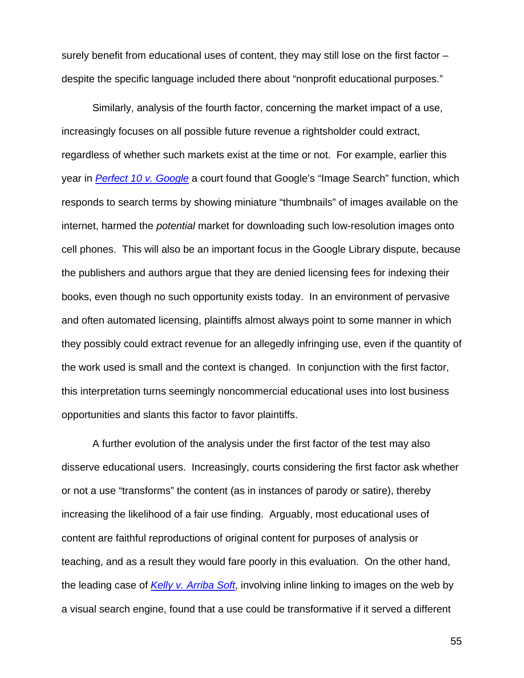surely benefit from educational uses of content, they may still lose on the first factor – despite the specific language included there about "nonprofit educational purposes."

Similarly, analysis of the fourth factor, concerning the market impact of a use, increasingly focuses on all possible future revenue a rightsholder could extract, regardless of whether such markets exist at the time or not. For example, earlier this year in *[Perfect 10 v. Google](http://counsel.cua.edu/Copyright/research google-perfect10 thumbnail.pdf)* a court found that Google's "Image Search" function, which responds to search terms by showing miniature "thumbnails" of images available on the internet, harmed the *potential* market for downloading such low-resolution images onto cell phones. This will also be an important focus in the Google Library dispute, because the publishers and authors argue that they are denied licensing fees for indexing their books, even though no such opportunity exists today. In an environment of pervasive and often automated licensing, plaintiffs almost always point to some manner in which they possibly could extract revenue for an allegedly infringing use, even if the quantity of the work used is small and the context is changed. In conjunction with the first factor, this interpretation turns seemingly noncommercial educational uses into lost business opportunities and slants this factor to favor plaintiffs.

A further evolution of the analysis under the first factor of the test may also disserve educational users. Increasingly, courts considering the first factor ask whether or not a use "transforms" the content (as in instances of parody or satire), thereby increasing the likelihood of a fair use finding. Arguably, most educational uses of content are faithful reproductions of original content for purposes of analysis or teaching, and as a result they would fare poorly in this evaluation. On the other hand, the leading case of *[Kelly v. Arriba Soft](http://www.eff.org/IP/Linking/Kelly_v_Arriba_Soft/20030707_9th_revised_ruling.pdf)*, involving inline linking to images on the web by a visual search engine, found that a use could be transformative if it served a different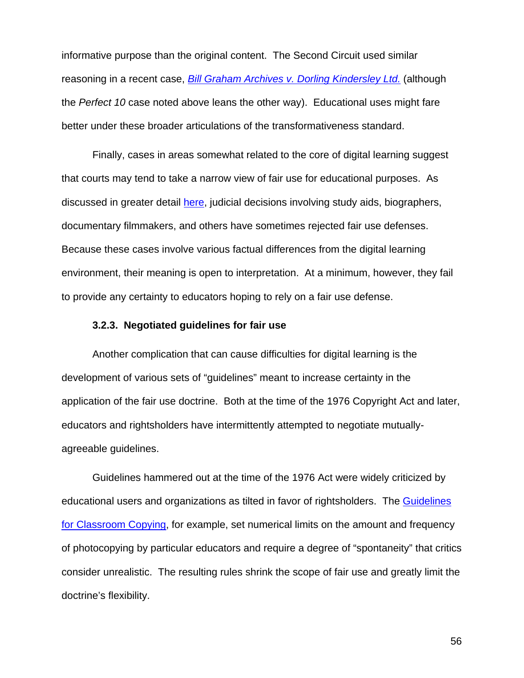informative purpose than the original content. The Second Circuit used similar reasoning in a recent case, *[Bill Graham Archives v. Dorling Kindersley Ltd.](http://www.lessig.org/blog/archives/05-2514-cv_opn.pdf)* (although the *Perfect 10* case noted above leans the other way). Educational uses might fare better under these broader articulations of the transformativeness standard.

Finally, cases in areas somewhat related to the core of digital learning suggest that courts may tend to take a narrow view of fair use for educational purposes. As discussed in greater detail [here,](#page-49-0) judicial decisions involving study aids, biographers, documentary filmmakers, and others have sometimes rejected fair use defenses. Because these cases involve various factual differences from the digital learning environment, their meaning is open to interpretation. At a minimum, however, they fail to provide any certainty to educators hoping to rely on a fair use defense.

# **3.2.3. Negotiated guidelines for fair use**

Another complication that can cause difficulties for digital learning is the development of various sets of "guidelines" meant to increase certainty in the application of the fair use doctrine. Both at the time of the 1976 Copyright Act and later, educators and rightsholders have intermittently attempted to negotiate mutuallyagreeable guidelines.

Guidelines hammered out at the time of the 1976 Act were widely criticized by educational users and organizations as tilted in favor of rightsholders. The Guidelines [for Classroom Copying, for example, set numerical limits on the amount and frequency](http://www.unc.edu/~unclng/classroom-guidelines.htm) of photocopying by particular educators and require a degree of "spontaneity" that critics consider unrealistic. The resulting rules shrink the scope of fair use and greatly limit the doctrine's flexibility.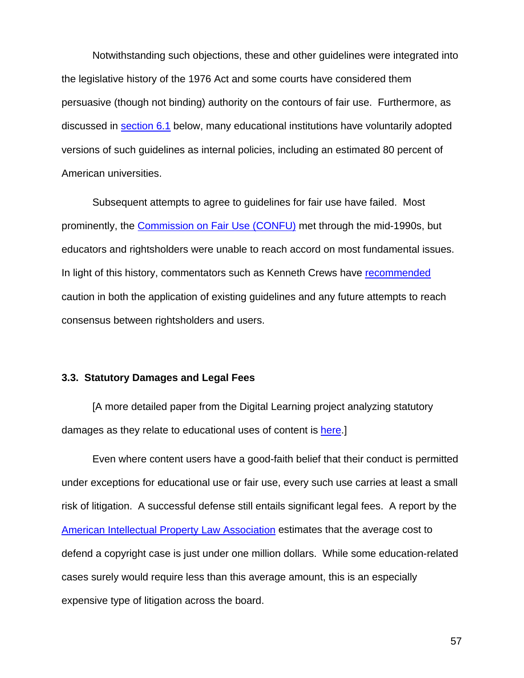Notwithstanding such objections, these and other guidelines were integrated into the legislative history of the 1976 Act and some courts have considered them persuasive (though not binding) authority on the contours of fair use. Furthermore, as discussed in [section 6.1](#page-85-0) below, many educational institutions have voluntarily adopted versions of such guidelines as internal policies, including an estimated 80 percent of American universities.

Subsequent attempts to agree to guidelines for fair use have failed. Most prominently, the [Commission on Fair Use \(CONFU\)](http://www.arl.org/info/frn/copy/confu.html) met through the mid-1990s, but educators and rightsholders were unable to reach accord on most fundamental issues. In light of this history, commentators such as Kenneth Crews have [recommended](http://moritzlaw.osu.edu/lawjournal/issues/volume62/number2/crews.pdf) caution in both the application of existing guidelines and any future attempts to reach consensus between rightsholders and users.

### **3.3. Statutory Damages and Legal Fees**

[A more detailed paper from the Digital Learning project analyzing statutory damages as they relate to educational uses of content is [here.](http://cyber.law.harvard.edu/home/dl_statutorydamages)]

Even where content users have a good-faith belief that their conduct is permitted under exceptions for educational use or fair use, every such use carries at least a small risk of litigation. A successful defense still entails significant legal fees. A report by the [American Intellectual Property Law Association](http://www.aipla.org/) estimates that the average cost to defend a copyright case is just under one million dollars. While some education-related cases surely would require less than this average amount, this is an especially expensive type of litigation across the board.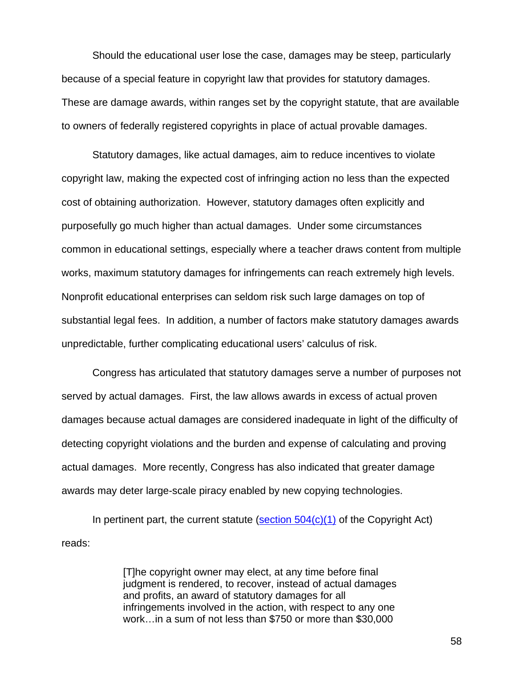Should the educational user lose the case, damages may be steep, particularly because of a special feature in copyright law that provides for statutory damages. These are damage awards, within ranges set by the copyright statute, that are available to owners of federally registered copyrights in place of actual provable damages.

Statutory damages, like actual damages, aim to reduce incentives to violate copyright law, making the expected cost of infringing action no less than the expected cost of obtaining authorization. However, statutory damages often explicitly and purposefully go much higher than actual damages. Under some circumstances common in educational settings, especially where a teacher draws content from multiple works, maximum statutory damages for infringements can reach extremely high levels. Nonprofit educational enterprises can seldom risk such large damages on top of substantial legal fees. In addition, a number of factors make statutory damages awards unpredictable, further complicating educational users' calculus of risk.

Congress has articulated that statutory damages serve a number of purposes not served by actual damages. First, the law allows awards in excess of actual proven damages because actual damages are considered inadequate in light of the difficulty of detecting copyright violations and the burden and expense of calculating and proving actual damages. More recently, Congress has also indicated that greater damage awards may deter large-scale piracy enabled by new copying technologies.

In pertinent part, the current statute (section  $504(c)(1)$  of the Copyright Act) reads:

> [T]he copyright owner may elect, at any time before final judgment is rendered, to recover, instead of actual damages and profits, an award of statutory damages for all infringements involved in the action, with respect to any one work…in a sum of not less than \$750 or more than \$30,000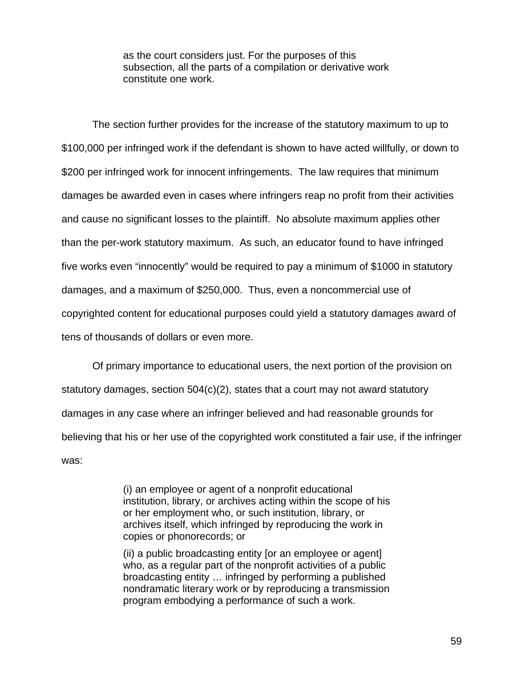as the court considers just. For the purposes of this subsection, all the parts of a compilation or derivative work constitute one work.

The section further provides for the increase of the statutory maximum to up to \$100,000 per infringed work if the defendant is shown to have acted willfully, or down to \$200 per infringed work for innocent infringements. The law requires that minimum damages be awarded even in cases where infringers reap no profit from their activities and cause no significant losses to the plaintiff. No absolute maximum applies other than the per-work statutory maximum. As such, an educator found to have infringed five works even "innocently" would be required to pay a minimum of \$1000 in statutory damages, and a maximum of \$250,000. Thus, even a noncommercial use of copyrighted content for educational purposes could yield a statutory damages award of tens of thousands of dollars or even more.

Of primary importance to educational users, the next portion of the provision on statutory damages, section 504(c)(2), states that a court may not award statutory damages in any case where an infringer believed and had reasonable grounds for believing that his or her use of the copyrighted work constituted a fair use, if the infringer was:

> (i) an employee or agent of a nonprofit educational institution, library, or archives acting within the scope of his or her employment who, or such institution, library, or archives itself, which infringed by reproducing the work in copies or phonorecords; or

> (ii) a public broadcasting entity [or an employee or agent] who, as a regular part of the nonprofit activities of a public broadcasting entity … infringed by performing a published nondramatic literary work or by reproducing a transmission program embodying a performance of such a work.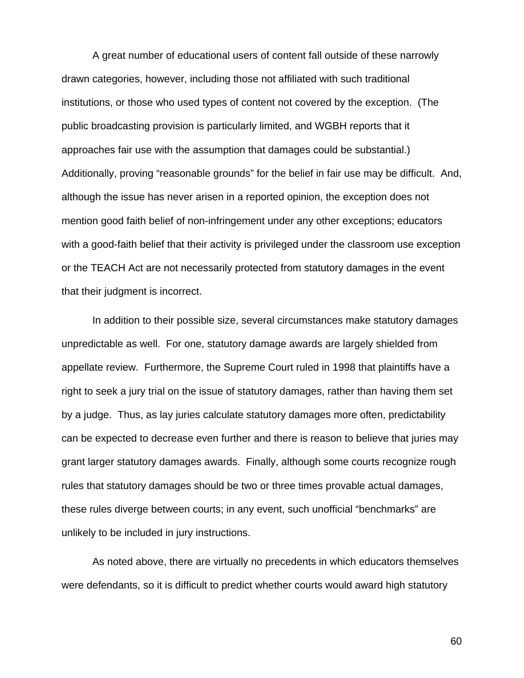A great number of educational users of content fall outside of these narrowly drawn categories, however, including those not affiliated with such traditional institutions, or those who used types of content not covered by the exception. (The public broadcasting provision is particularly limited, and WGBH reports that it approaches fair use with the assumption that damages could be substantial.) Additionally, proving "reasonable grounds" for the belief in fair use may be difficult. And, although the issue has never arisen in a reported opinion, the exception does not mention good faith belief of non-infringement under any other exceptions; educators with a good-faith belief that their activity is privileged under the classroom use exception or the TEACH Act are not necessarily protected from statutory damages in the event that their judgment is incorrect.

In addition to their possible size, several circumstances make statutory damages unpredictable as well. For one, statutory damage awards are largely shielded from appellate review. Furthermore, the Supreme Court ruled in 1998 that plaintiffs have a right to seek a jury trial on the issue of statutory damages, rather than having them set by a judge. Thus, as lay juries calculate statutory damages more often, predictability can be expected to decrease even further and there is reason to believe that juries may grant larger statutory damages awards. Finally, although some courts recognize rough rules that statutory damages should be two or three times provable actual damages, these rules diverge between courts; in any event, such unofficial "benchmarks" are unlikely to be included in jury instructions.

As noted above, there are virtually no precedents in which educators themselves were defendants, so it is difficult to predict whether courts would award high statutory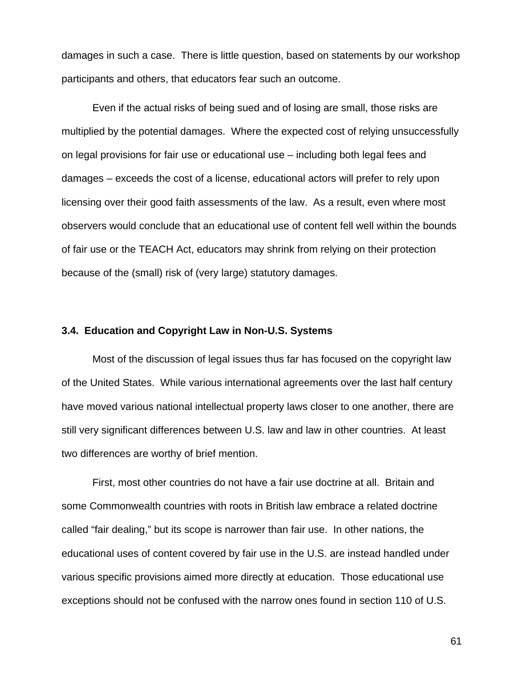damages in such a case. There is little question, based on statements by our workshop participants and others, that educators fear such an outcome.

Even if the actual risks of being sued and of losing are small, those risks are multiplied by the potential damages. Where the expected cost of relying unsuccessfully on legal provisions for fair use or educational use – including both legal fees and damages – exceeds the cost of a license, educational actors will prefer to rely upon licensing over their good faith assessments of the law. As a result, even where most observers would conclude that an educational use of content fell well within the bounds of fair use or the TEACH Act, educators may shrink from relying on their protection because of the (small) risk of (very large) statutory damages.

# **3.4. Education and Copyright Law in Non-U.S. Systems**

Most of the discussion of legal issues thus far has focused on the copyright law of the United States. While various international agreements over the last half century have moved various national intellectual property laws closer to one another, there are still very significant differences between U.S. law and law in other countries. At least two differences are worthy of brief mention.

First, most other countries do not have a fair use doctrine at all. Britain and some Commonwealth countries with roots in British law embrace a related doctrine called "fair dealing," but its scope is narrower than fair use. In other nations, the educational uses of content covered by fair use in the U.S. are instead handled under various specific provisions aimed more directly at education. Those educational use exceptions should not be confused with the narrow ones found in section 110 of U.S.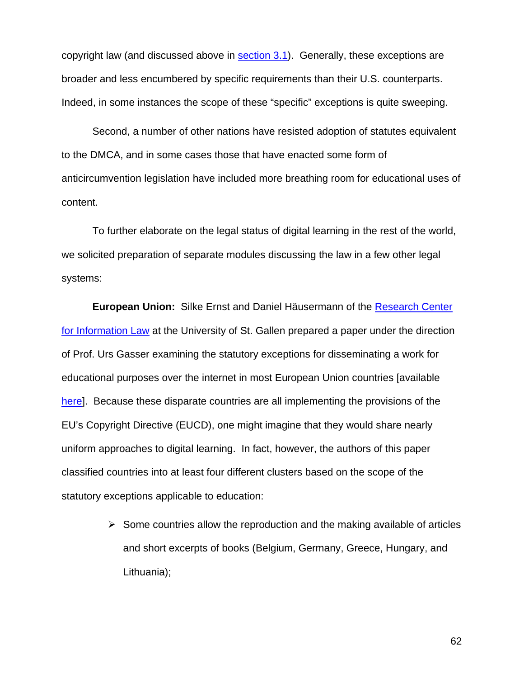copyright law (and discussed above in [section 3.1](#page-42-0)). Generally, these exceptions are broader and less encumbered by specific requirements than their U.S. counterparts. Indeed, in some instances the scope of these "specific" exceptions is quite sweeping.

Second, a number of other nations have resisted adoption of statutes equivalent to the DMCA, and in some cases those that have enacted some form of anticircumvention legislation have included more breathing room for educational uses of content.

To further elaborate on the legal status of digital learning in the rest of the world, we solicited preparation of separate modules discussing the law in a few other legal systems:

**European Union:** Silke Ernst and Daniel Häusermann of the Research Center [for Information Law at the University of St. Gallen prepared a paper under the direction](http://www.fir.unisg.ch/org/fir/web.nsf/wwwPubhomepage/webhomepageeng?opendocument) of Prof. Urs Gasser examining the statutory exceptions for disseminating a work for educational purposes over the internet in most European Union countries [available [here](http://www.fir.unisg.ch/org/fir/web.nsf/SysWebRessources/EUCD+Teaching+Exceptions/$FILE/Ernst+Haeusermann_Overview+EUCD+Teaching+Exceptions_060608.pdf)]. Because these disparate countries are all implementing the provisions of the EU's Copyright Directive (EUCD), one might imagine that they would share nearly uniform approaches to digital learning. In fact, however, the authors of this paper classified countries into at least four different clusters based on the scope of the statutory exceptions applicable to education:

> $\triangleright$  Some countries allow the reproduction and the making available of articles and short excerpts of books (Belgium, Germany, Greece, Hungary, and Lithuania);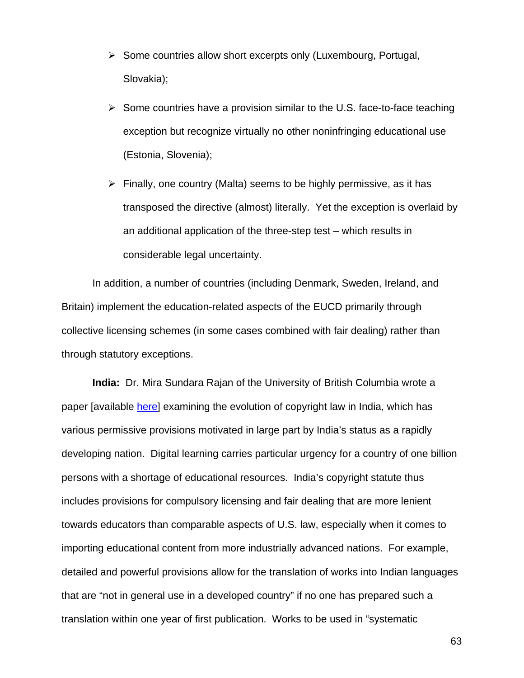- $\triangleright$  Some countries allow short excerpts only (Luxembourg, Portugal, Slovakia);
- $\triangleright$  Some countries have a provision similar to the U.S. face-to-face teaching exception but recognize virtually no other noninfringing educational use (Estonia, Slovenia);
- $\triangleright$  Finally, one country (Malta) seems to be highly permissive, as it has transposed the directive (almost) literally. Yet the exception is overlaid by an additional application of the three-step test – which results in considerable legal uncertainty.

In addition, a number of countries (including Denmark, Sweden, Ireland, and Britain) implement the education-related aspects of the EUCD primarily through collective licensing schemes (in some cases combined with fair dealing) rather than through statutory exceptions.

**India:** Dr. Mira Sundara Rajan of the University of British Columbia wrote a paper [available [here](http://cyber.law.harvard.edu/home/dl_india)] examining the evolution of copyright law in India, which has various permissive provisions motivated in large part by India's status as a rapidly developing nation. Digital learning carries particular urgency for a country of one billion persons with a shortage of educational resources. India's copyright statute thus includes provisions for compulsory licensing and fair dealing that are more lenient towards educators than comparable aspects of U.S. law, especially when it comes to importing educational content from more industrially advanced nations. For example, detailed and powerful provisions allow for the translation of works into Indian languages that are "not in general use in a developed country" if no one has prepared such a translation within one year of first publication. Works to be used in "systematic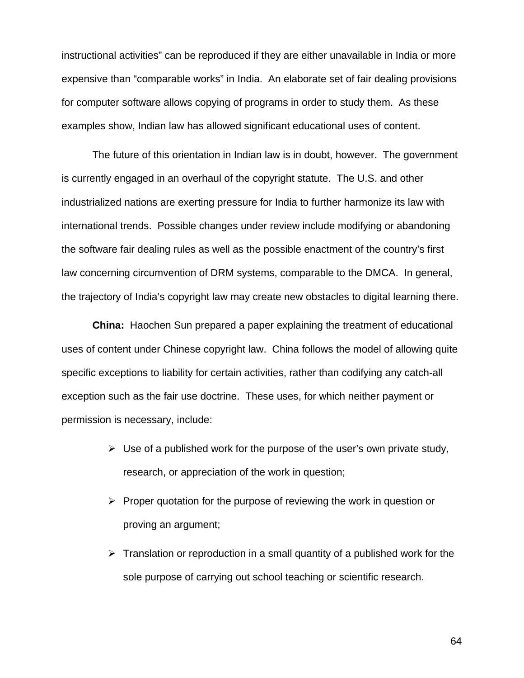instructional activities" can be reproduced if they are either unavailable in India or more expensive than "comparable works" in India. An elaborate set of fair dealing provisions for computer software allows copying of programs in order to study them. As these examples show, Indian law has allowed significant educational uses of content.

The future of this orientation in Indian law is in doubt, however. The government is currently engaged in an overhaul of the copyright statute. The U.S. and other industrialized nations are exerting pressure for India to further harmonize its law with international trends. Possible changes under review include modifying or abandoning the software fair dealing rules as well as the possible enactment of the country's first law concerning circumvention of DRM systems, comparable to the DMCA. In general, the trajectory of India's copyright law may create new obstacles to digital learning there.

**China:** Haochen Sun prepared a paper explaining the treatment of educational uses of content under Chinese copyright law. China follows the model of allowing quite specific exceptions to liability for certain activities, rather than codifying any catch-all exception such as the fair use doctrine. These uses, for which neither payment or permission is necessary, include:

- $\triangleright$  Use of a published work for the purpose of the user's own private study, research, or appreciation of the work in question;
- $\triangleright$  Proper quotation for the purpose of reviewing the work in question or proving an argument;
- $\triangleright$  Translation or reproduction in a small quantity of a published work for the sole purpose of carrying out school teaching or scientific research.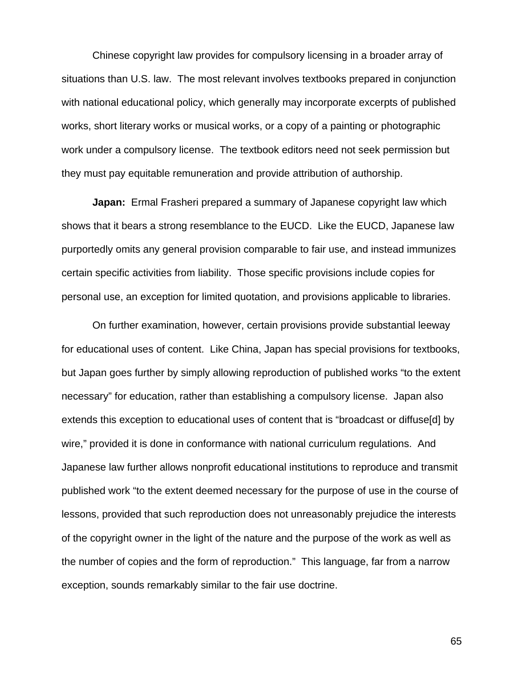Chinese copyright law provides for compulsory licensing in a broader array of situations than U.S. law. The most relevant involves textbooks prepared in conjunction with national educational policy, which generally may incorporate excerpts of published works, short literary works or musical works, or a copy of a painting or photographic work under a compulsory license. The textbook editors need not seek permission but they must pay equitable remuneration and provide attribution of authorship.

**Japan:** Ermal Frasheri prepared a summary of Japanese copyright law which shows that it bears a strong resemblance to the EUCD. Like the EUCD, Japanese law purportedly omits any general provision comparable to fair use, and instead immunizes certain specific activities from liability. Those specific provisions include copies for personal use, an exception for limited quotation, and provisions applicable to libraries.

On further examination, however, certain provisions provide substantial leeway for educational uses of content. Like China, Japan has special provisions for textbooks, but Japan goes further by simply allowing reproduction of published works "to the extent necessary" for education, rather than establishing a compulsory license. Japan also extends this exception to educational uses of content that is "broadcast or diffuse[d] by wire," provided it is done in conformance with national curriculum regulations. And Japanese law further allows nonprofit educational institutions to reproduce and transmit published work "to the extent deemed necessary for the purpose of use in the course of lessons, provided that such reproduction does not unreasonably prejudice the interests of the copyright owner in the light of the nature and the purpose of the work as well as the number of copies and the form of reproduction." This language, far from a narrow exception, sounds remarkably similar to the fair use doctrine.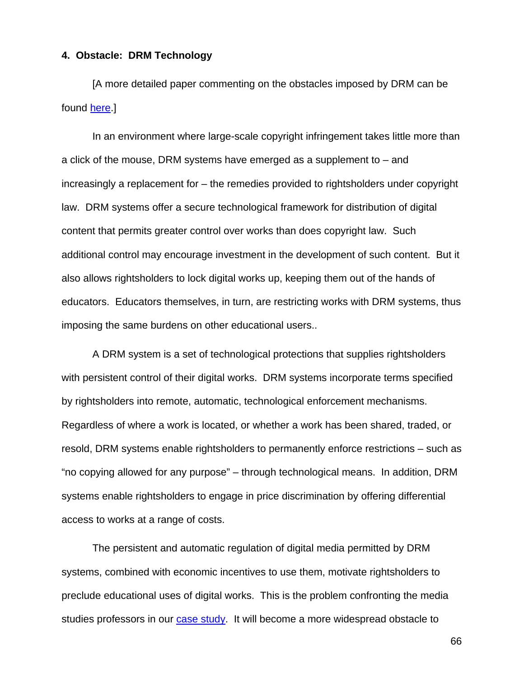#### <span id="page-65-0"></span>**4. Obstacle: DRM Technology**

[A more detailed paper commenting on the obstacles imposed by DRM can be found [here](http://cyber.law.harvard.edu/home/dl_drm).]

In an environment where large-scale copyright infringement takes little more than a click of the mouse, DRM systems have emerged as a supplement to – and increasingly a replacement for – the remedies provided to rightsholders under copyright law. DRM systems offer a secure technological framework for distribution of digital content that permits greater control over works than does copyright law. Such additional control may encourage investment in the development of such content. But it also allows rightsholders to lock digital works up, keeping them out of the hands of educators. Educators themselves, in turn, are restricting works with DRM systems, thus imposing the same burdens on other educational users..

A DRM system is a set of technological protections that supplies rightsholders with persistent control of their digital works. DRM systems incorporate terms specified by rightsholders into remote, automatic, technological enforcement mechanisms. Regardless of where a work is located, or whether a work has been shared, traded, or resold, DRM systems enable rightsholders to permanently enforce restrictions – such as "no copying allowed for any purpose" – through technological means. In addition, DRM systems enable rightsholders to engage in price discrimination by offering differential access to works at a range of costs.

The persistent and automatic regulation of digital media permitted by DRM systems, combined with economic incentives to use them, motivate rightsholders to preclude educational uses of digital works. This is the problem confronting the media studies professors in our [case study](#page-22-0). It will become a more widespread obstacle to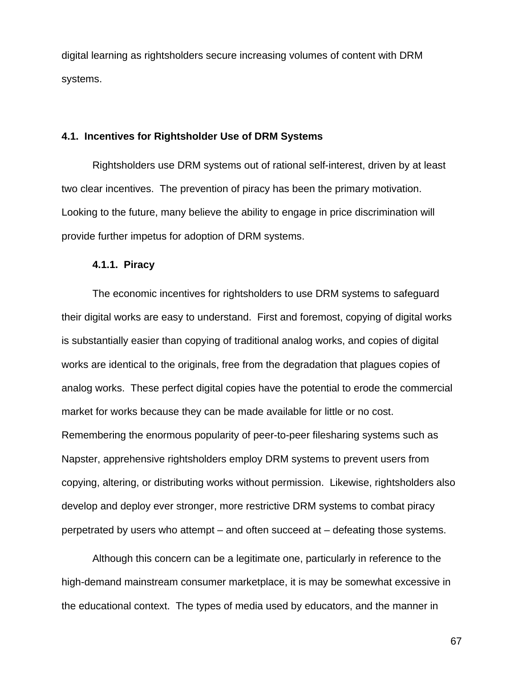digital learning as rightsholders secure increasing volumes of content with DRM systems.

# **4.1. Incentives for Rightsholder Use of DRM Systems**

Rightsholders use DRM systems out of rational self-interest, driven by at least two clear incentives. The prevention of piracy has been the primary motivation. Looking to the future, many believe the ability to engage in price discrimination will provide further impetus for adoption of DRM systems.

# **4.1.1. Piracy**

The economic incentives for rightsholders to use DRM systems to safeguard their digital works are easy to understand. First and foremost, copying of digital works is substantially easier than copying of traditional analog works, and copies of digital works are identical to the originals, free from the degradation that plagues copies of analog works. These perfect digital copies have the potential to erode the commercial market for works because they can be made available for little or no cost. Remembering the enormous popularity of peer-to-peer filesharing systems such as Napster, apprehensive rightsholders employ DRM systems to prevent users from copying, altering, or distributing works without permission. Likewise, rightsholders also develop and deploy ever stronger, more restrictive DRM systems to combat piracy perpetrated by users who attempt – and often succeed at – defeating those systems.

Although this concern can be a legitimate one, particularly in reference to the high-demand mainstream consumer marketplace, it is may be somewhat excessive in the educational context. The types of media used by educators, and the manner in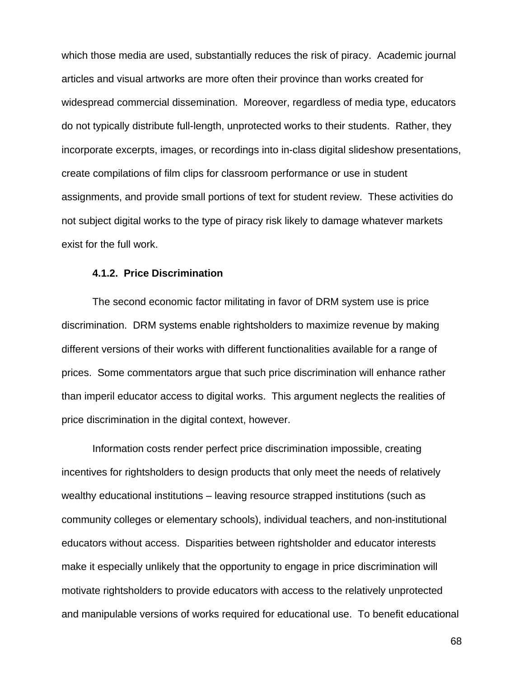which those media are used, substantially reduces the risk of piracy. Academic journal articles and visual artworks are more often their province than works created for widespread commercial dissemination. Moreover, regardless of media type, educators do not typically distribute full-length, unprotected works to their students. Rather, they incorporate excerpts, images, or recordings into in-class digital slideshow presentations, create compilations of film clips for classroom performance or use in student assignments, and provide small portions of text for student review. These activities do not subject digital works to the type of piracy risk likely to damage whatever markets exist for the full work.

### **4.1.2. Price Discrimination**

The second economic factor militating in favor of DRM system use is price discrimination. DRM systems enable rightsholders to maximize revenue by making different versions of their works with different functionalities available for a range of prices. Some commentators argue that such price discrimination will enhance rather than imperil educator access to digital works. This argument neglects the realities of price discrimination in the digital context, however.

Information costs render perfect price discrimination impossible, creating incentives for rightsholders to design products that only meet the needs of relatively wealthy educational institutions – leaving resource strapped institutions (such as community colleges or elementary schools), individual teachers, and non-institutional educators without access. Disparities between rightsholder and educator interests make it especially unlikely that the opportunity to engage in price discrimination will motivate rightsholders to provide educators with access to the relatively unprotected and manipulable versions of works required for educational use. To benefit educational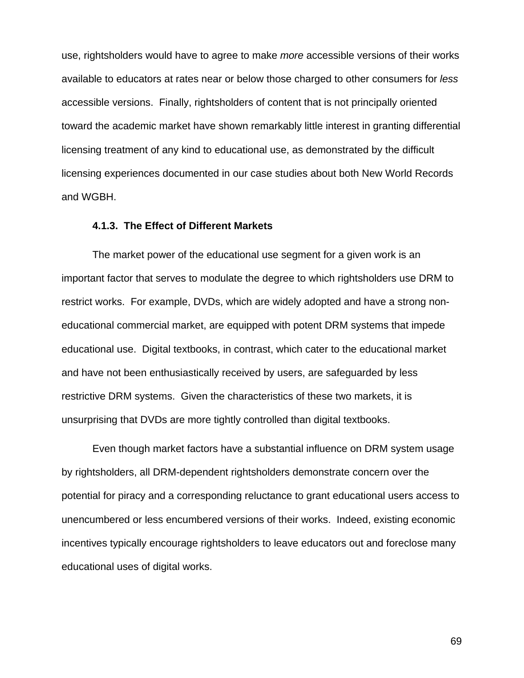use, rightsholders would have to agree to make *more* accessible versions of their works available to educators at rates near or below those charged to other consumers for *less* accessible versions. Finally, rightsholders of content that is not principally oriented toward the academic market have shown remarkably little interest in granting differential licensing treatment of any kind to educational use, as demonstrated by the difficult licensing experiences documented in our case studies about both New World Records and WGBH.

#### **4.1.3. The Effect of Different Markets**

The market power of the educational use segment for a given work is an important factor that serves to modulate the degree to which rightsholders use DRM to restrict works. For example, DVDs, which are widely adopted and have a strong noneducational commercial market, are equipped with potent DRM systems that impede educational use. Digital textbooks, in contrast, which cater to the educational market and have not been enthusiastically received by users, are safeguarded by less restrictive DRM systems. Given the characteristics of these two markets, it is unsurprising that DVDs are more tightly controlled than digital textbooks.

Even though market factors have a substantial influence on DRM system usage by rightsholders, all DRM-dependent rightsholders demonstrate concern over the potential for piracy and a corresponding reluctance to grant educational users access to unencumbered or less encumbered versions of their works. Indeed, existing economic incentives typically encourage rightsholders to leave educators out and foreclose many educational uses of digital works.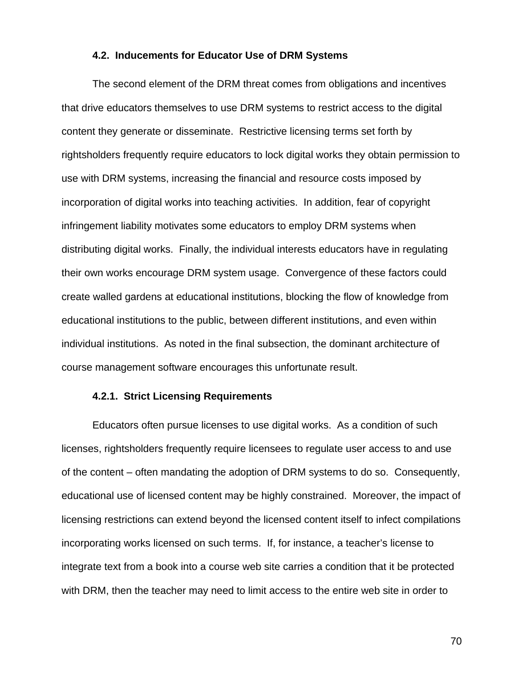#### **4.2. Inducements for Educator Use of DRM Systems**

The second element of the DRM threat comes from obligations and incentives that drive educators themselves to use DRM systems to restrict access to the digital content they generate or disseminate. Restrictive licensing terms set forth by rightsholders frequently require educators to lock digital works they obtain permission to use with DRM systems, increasing the financial and resource costs imposed by incorporation of digital works into teaching activities. In addition, fear of copyright infringement liability motivates some educators to employ DRM systems when distributing digital works. Finally, the individual interests educators have in regulating their own works encourage DRM system usage. Convergence of these factors could create walled gardens at educational institutions, blocking the flow of knowledge from educational institutions to the public, between different institutions, and even within individual institutions. As noted in the final subsection, the dominant architecture of course management software encourages this unfortunate result.

# **4.2.1. Strict Licensing Requirements**

Educators often pursue licenses to use digital works. As a condition of such licenses, rightsholders frequently require licensees to regulate user access to and use of the content – often mandating the adoption of DRM systems to do so. Consequently, educational use of licensed content may be highly constrained. Moreover, the impact of licensing restrictions can extend beyond the licensed content itself to infect compilations incorporating works licensed on such terms. If, for instance, a teacher's license to integrate text from a book into a course web site carries a condition that it be protected with DRM, then the teacher may need to limit access to the entire web site in order to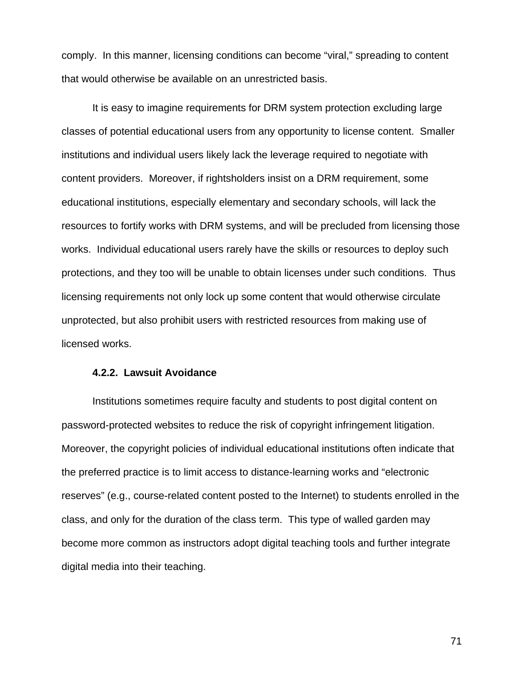comply. In this manner, licensing conditions can become "viral," spreading to content that would otherwise be available on an unrestricted basis.

It is easy to imagine requirements for DRM system protection excluding large classes of potential educational users from any opportunity to license content. Smaller institutions and individual users likely lack the leverage required to negotiate with content providers. Moreover, if rightsholders insist on a DRM requirement, some educational institutions, especially elementary and secondary schools, will lack the resources to fortify works with DRM systems, and will be precluded from licensing those works. Individual educational users rarely have the skills or resources to deploy such protections, and they too will be unable to obtain licenses under such conditions. Thus licensing requirements not only lock up some content that would otherwise circulate unprotected, but also prohibit users with restricted resources from making use of licensed works.

# **4.2.2. Lawsuit Avoidance**

Institutions sometimes require faculty and students to post digital content on password-protected websites to reduce the risk of copyright infringement litigation. Moreover, the copyright policies of individual educational institutions often indicate that the preferred practice is to limit access to distance-learning works and "electronic reserves" (e.g., course-related content posted to the Internet) to students enrolled in the class, and only for the duration of the class term. This type of walled garden may become more common as instructors adopt digital teaching tools and further integrate digital media into their teaching.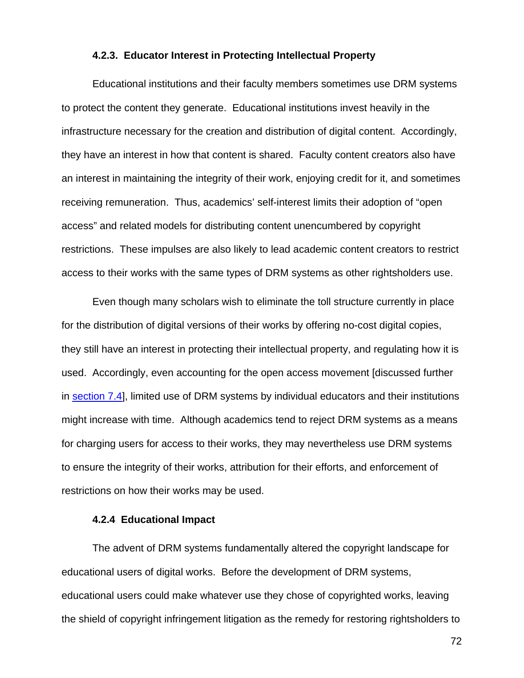#### **4.2.3. Educator Interest in Protecting Intellectual Property**

Educational institutions and their faculty members sometimes use DRM systems to protect the content they generate. Educational institutions invest heavily in the infrastructure necessary for the creation and distribution of digital content. Accordingly, they have an interest in how that content is shared. Faculty content creators also have an interest in maintaining the integrity of their work, enjoying credit for it, and sometimes receiving remuneration. Thus, academics' self-interest limits their adoption of "open access" and related models for distributing content unencumbered by copyright restrictions. These impulses are also likely to lead academic content creators to restrict access to their works with the same types of DRM systems as other rightsholders use.

Even though many scholars wish to eliminate the toll structure currently in place for the distribution of digital versions of their works by offering no-cost digital copies, they still have an interest in protecting their intellectual property, and regulating how it is used. Accordingly, even accounting for the open access movement [discussed further in [section 7.4\]](#page-105-0), limited use of DRM systems by individual educators and their institutions might increase with time. Although academics tend to reject DRM systems as a means for charging users for access to their works, they may nevertheless use DRM systems to ensure the integrity of their works, attribution for their efforts, and enforcement of restrictions on how their works may be used.

## **4.2.4 Educational Impact**

The advent of DRM systems fundamentally altered the copyright landscape for educational users of digital works. Before the development of DRM systems, educational users could make whatever use they chose of copyrighted works, leaving the shield of copyright infringement litigation as the remedy for restoring rightsholders to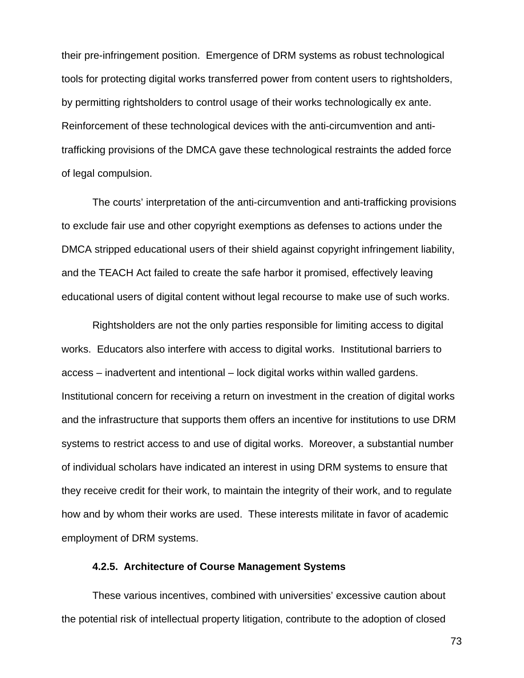their pre-infringement position. Emergence of DRM systems as robust technological tools for protecting digital works transferred power from content users to rightsholders, by permitting rightsholders to control usage of their works technologically ex ante. Reinforcement of these technological devices with the anti-circumvention and antitrafficking provisions of the DMCA gave these technological restraints the added force of legal compulsion.

The courts' interpretation of the anti-circumvention and anti-trafficking provisions to exclude fair use and other copyright exemptions as defenses to actions under the DMCA stripped educational users of their shield against copyright infringement liability, and the TEACH Act failed to create the safe harbor it promised, effectively leaving educational users of digital content without legal recourse to make use of such works.

Rightsholders are not the only parties responsible for limiting access to digital works. Educators also interfere with access to digital works. Institutional barriers to access – inadvertent and intentional – lock digital works within walled gardens. Institutional concern for receiving a return on investment in the creation of digital works and the infrastructure that supports them offers an incentive for institutions to use DRM systems to restrict access to and use of digital works. Moreover, a substantial number of individual scholars have indicated an interest in using DRM systems to ensure that they receive credit for their work, to maintain the integrity of their work, and to regulate how and by whom their works are used. These interests militate in favor of academic employment of DRM systems.

## **4.2.5. Architecture of Course Management Systems**

These various incentives, combined with universities' excessive caution about the potential risk of intellectual property litigation, contribute to the adoption of closed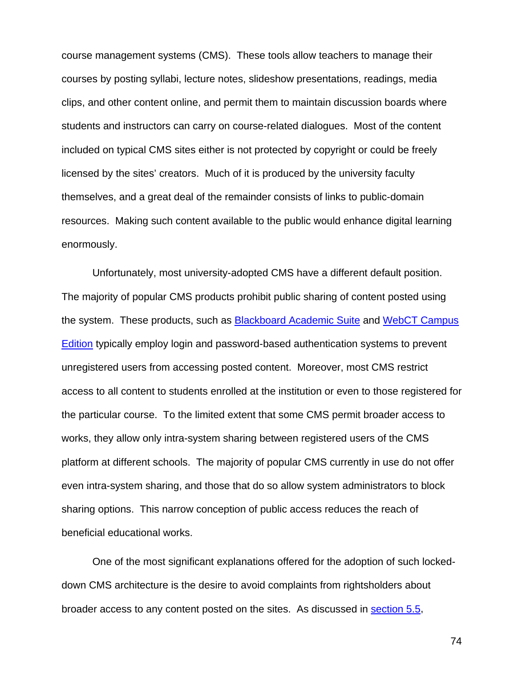course management systems (CMS). These tools allow teachers to manage their courses by posting syllabi, lecture notes, slideshow presentations, readings, media clips, and other content online, and permit them to maintain discussion boards where students and instructors can carry on course-related dialogues. Most of the content included on typical CMS sites either is not protected by copyright or could be freely licensed by the sites' creators. Much of it is produced by the university faculty themselves, and a great deal of the remainder consists of links to public-domain resources. Making such content available to the public would enhance digital learning enormously.

Unfortunately, most university-adopted CMS have a different default position. The majority of popular CMS products prohibit public sharing of content posted using [the system. These products, such as](http://www.webct.com/products/viewpage?name=products_campus_editionhttp://www.webct.com/products/viewpage?name=products_campus_edition) [Blackboard Academic Suite](http://www.blackboard.com/products/as/) [and WebCT Campus](http://www.webct.com/products/viewpage?name=products_campus_editionhttp://www.webct.com/products/viewpage?name=products_campus_edition) Edition typically employ login and password-based authentication systems to prevent unregistered users from accessing posted content. Moreover, most CMS restrict access to all content to students enrolled at the institution or even to those registered for the particular course. To the limited extent that some CMS permit broader access to works, they allow only intra-system sharing between registered users of the CMS platform at different schools. The majority of popular CMS currently in use do not offer even intra-system sharing, and those that do so allow system administrators to block sharing options. This narrow conception of public access reduces the reach of beneficial educational works.

One of the most significant explanations offered for the adoption of such lockeddown CMS architecture is the desire to avoid complaints from rightsholders about broader access to any content posted on the sites. As discussed in [section 5.5,](#page-83-0)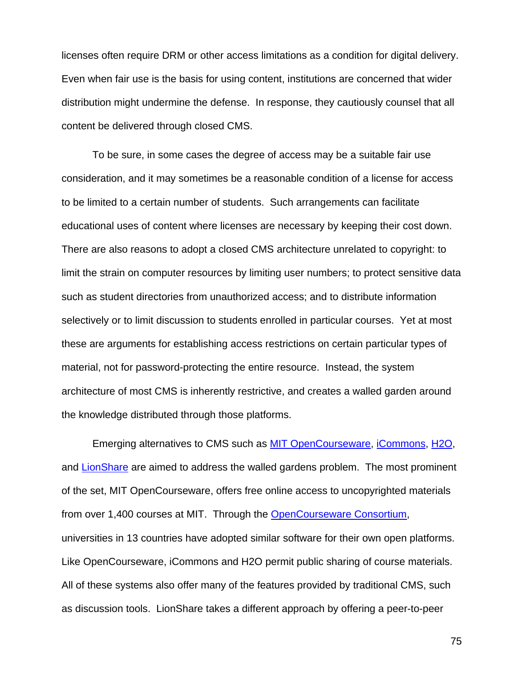licenses often require DRM or other access limitations as a condition for digital delivery. Even when fair use is the basis for using content, institutions are concerned that wider distribution might undermine the defense. In response, they cautiously counsel that all content be delivered through closed CMS.

To be sure, in some cases the degree of access may be a suitable fair use consideration, and it may sometimes be a reasonable condition of a license for access to be limited to a certain number of students. Such arrangements can facilitate educational uses of content where licenses are necessary by keeping their cost down. There are also reasons to adopt a closed CMS architecture unrelated to copyright: to limit the strain on computer resources by limiting user numbers; to protect sensitive data such as student directories from unauthorized access; and to distribute information selectively or to limit discussion to students enrolled in particular courses. Yet at most these are arguments for establishing access restrictions on certain particular types of material, not for password-protecting the entire resource. Instead, the system architecture of most CMS is inherently restrictive, and creates a walled garden around the knowledge distributed through those platforms.

Emerging alternatives to CMS such as [MIT OpenCourseware](http://ocw.mit.edu/index.html), [iCommons](http://www.icommons.harvard.edu/icb/icb.do?keyword=icommons), [H2O,](http://h2o.law.harvard.edu/index.jsp) and [LionShare](http://lionshare.its.psu.edu/) are aimed to address the walled gardens problem. The most prominent of the set, MIT OpenCourseware, offers free online access to uncopyrighted materials from over 1,400 courses at MIT. Through the [OpenCourseware Consortium](http://www.ocwconsortium.org/index.html), universities in 13 countries have adopted similar software for their own open platforms. Like OpenCourseware, iCommons and H2O permit public sharing of course materials. All of these systems also offer many of the features provided by traditional CMS, such as discussion tools. LionShare takes a different approach by offering a peer-to-peer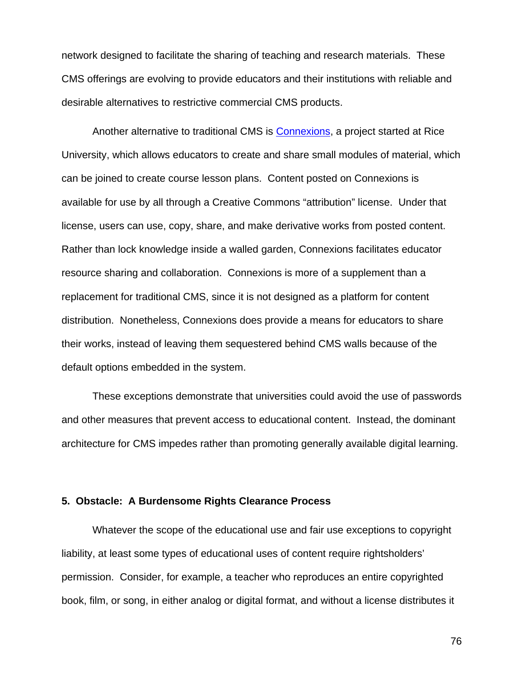<span id="page-75-0"></span>network designed to facilitate the sharing of teaching and research materials. These CMS offerings are evolving to provide educators and their institutions with reliable and desirable alternatives to restrictive commercial CMS products.

Another alternative to traditional CMS is **[Connexions](http://cnx.org)**, a project started at Rice University, which allows educators to create and share small modules of material, which can be joined to create course lesson plans. Content posted on Connexions is available for use by all through a Creative Commons "attribution" license. Under that license, users can use, copy, share, and make derivative works from posted content. Rather than lock knowledge inside a walled garden, Connexions facilitates educator resource sharing and collaboration. Connexions is more of a supplement than a replacement for traditional CMS, since it is not designed as a platform for content distribution. Nonetheless, Connexions does provide a means for educators to share their works, instead of leaving them sequestered behind CMS walls because of the default options embedded in the system.

These exceptions demonstrate that universities could avoid the use of passwords and other measures that prevent access to educational content. Instead, the dominant architecture for CMS impedes rather than promoting generally available digital learning.

## **5. Obstacle: A Burdensome Rights Clearance Process**

Whatever the scope of the educational use and fair use exceptions to copyright liability, at least some types of educational uses of content require rightsholders' permission. Consider, for example, a teacher who reproduces an entire copyrighted book, film, or song, in either analog or digital format, and without a license distributes it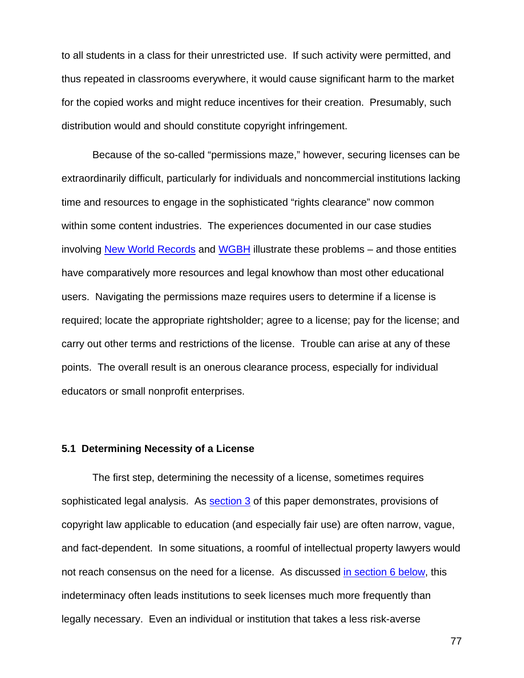to all students in a class for their unrestricted use. If such activity were permitted, and thus repeated in classrooms everywhere, it would cause significant harm to the market for the copied works and might reduce incentives for their creation. Presumably, such distribution would and should constitute copyright infringement.

Because of the so-called "permissions maze," however, securing licenses can be extraordinarily difficult, particularly for individuals and noncommercial institutions lacking time and resources to engage in the sophisticated "rights clearance" now common within some content industries. The experiences documented in our case studies involving [New World Records](#page-29-0) and [WGBH](#page-35-0) illustrate these problems – and those entities have comparatively more resources and legal knowhow than most other educational users. Navigating the permissions maze requires users to determine if a license is required; locate the appropriate rightsholder; agree to a license; pay for the license; and carry out other terms and restrictions of the license. Trouble can arise at any of these points. The overall result is an onerous clearance process, especially for individual educators or small nonprofit enterprises.

# **5.1 Determining Necessity of a License**

The first step, determining the necessity of a license, sometimes requires sophisticated legal analysis. As [section 3](#page-41-0) of this paper demonstrates, provisions of copyright law applicable to education (and especially fair use) are often narrow, vague, and fact-dependent. In some situations, a roomful of intellectual property lawyers would not reach consensus on the need for a license. As discussed [in section 6 below,](#page-84-0) this indeterminacy often leads institutions to seek licenses much more frequently than legally necessary. Even an individual or institution that takes a less risk-averse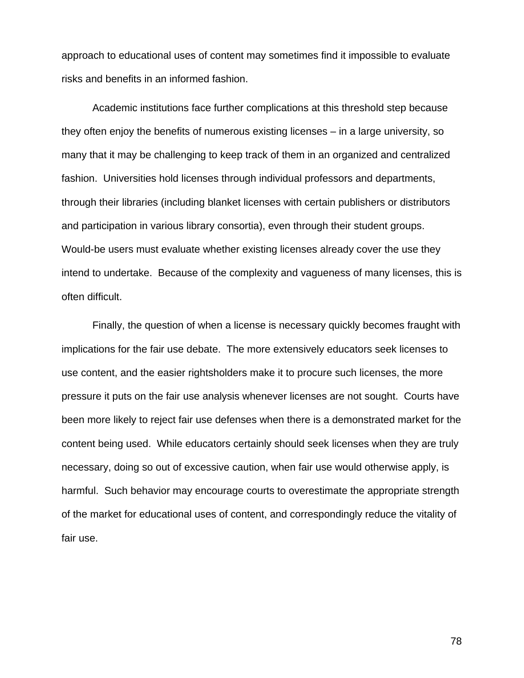approach to educational uses of content may sometimes find it impossible to evaluate risks and benefits in an informed fashion.

Academic institutions face further complications at this threshold step because they often enjoy the benefits of numerous existing licenses – in a large university, so many that it may be challenging to keep track of them in an organized and centralized fashion. Universities hold licenses through individual professors and departments, through their libraries (including blanket licenses with certain publishers or distributors and participation in various library consortia), even through their student groups. Would-be users must evaluate whether existing licenses already cover the use they intend to undertake. Because of the complexity and vagueness of many licenses, this is often difficult.

Finally, the question of when a license is necessary quickly becomes fraught with implications for the fair use debate. The more extensively educators seek licenses to use content, and the easier rightsholders make it to procure such licenses, the more pressure it puts on the fair use analysis whenever licenses are not sought. Courts have been more likely to reject fair use defenses when there is a demonstrated market for the content being used. While educators certainly should seek licenses when they are truly necessary, doing so out of excessive caution, when fair use would otherwise apply, is harmful. Such behavior may encourage courts to overestimate the appropriate strength of the market for educational uses of content, and correspondingly reduce the vitality of fair use.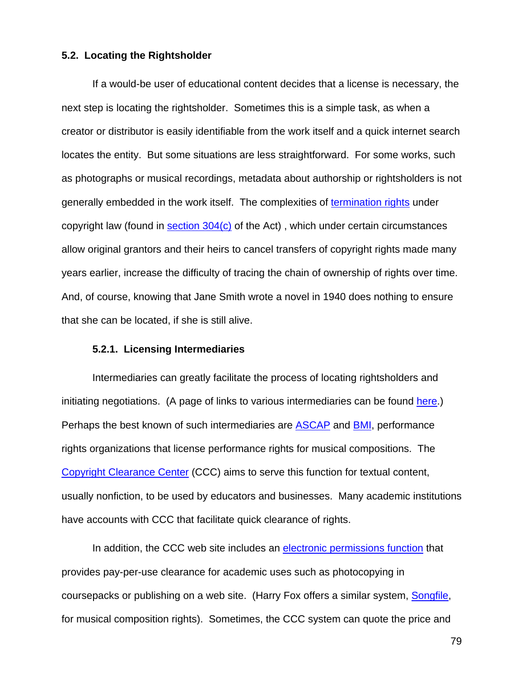#### <span id="page-78-0"></span>**5.2. Locating the Rightsholder**

If a would-be user of educational content decides that a license is necessary, the next step is locating the rightsholder. Sometimes this is a simple task, as when a creator or distributor is easily identifiable from the work itself and a quick internet search locates the entity. But some situations are less straightforward. For some works, such as photographs or musical recordings, metadata about authorship or rightsholders is not generally embedded in the work itself. The complexities of [termination rights](http://www.bitlaw.com/copyright/license.html#termination) under copyright law (found in  $section\ 304(c)$  of the Act), which under certain circumstances allow original grantors and their heirs to cancel transfers of copyright rights made many years earlier, increase the difficulty of tracing the chain of ownership of rights over time. And, of course, knowing that Jane Smith wrote a novel in 1940 does nothing to ensure that she can be located, if she is still alive.

### **5.2.1. Licensing Intermediaries**

Intermediaries can greatly facilitate the process of locating rightsholders and initiating negotiations. (A page of links to various intermediaries can be found [here.](http://library.ups.edu/circ/copyright_clearance.htm)) Perhaps the best known of such intermediaries are [ASCAP](http://www.ascap.com/index.html) and [BMI](http://bmi.com/), performance rights organizations that license performance rights for musical compositions. The [Copyright Clearance Center](http://www.copyright.com/) (CCC) aims to serve this function for textual content, usually nonfiction, to be used by educators and businesses. Many academic institutions have accounts with CCC that facilitate quick clearance of rights.

In addition, the CCC web site includes an [electronic permissions function](http://www.copyright.com/ccc/do/viewPage?pageCode=ac1-n) that provides pay-per-use clearance for academic uses such as photocopying in coursepacks or publishing on a web site. (Harry Fox offers a similar system, [Songfile](http://www.harryfox.com/public/songfile.jsp), for musical composition rights). Sometimes, the CCC system can quote the price and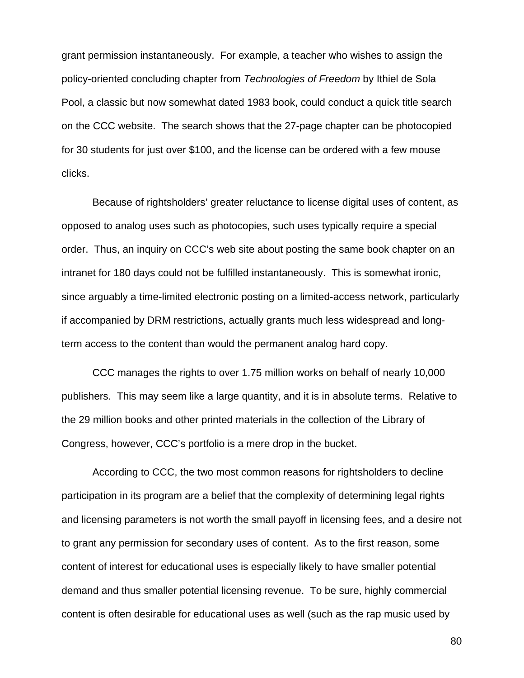grant permission instantaneously. For example, a teacher who wishes to assign the policy-oriented concluding chapter from *Technologies of Freedom* by Ithiel de Sola Pool, a classic but now somewhat dated 1983 book, could conduct a quick title search on the CCC website. The search shows that the 27-page chapter can be photocopied for 30 students for just over \$100, and the license can be ordered with a few mouse clicks.

Because of rightsholders' greater reluctance to license digital uses of content, as opposed to analog uses such as photocopies, such uses typically require a special order. Thus, an inquiry on CCC's web site about posting the same book chapter on an intranet for 180 days could not be fulfilled instantaneously. This is somewhat ironic, since arguably a time-limited electronic posting on a limited-access network, particularly if accompanied by DRM restrictions, actually grants much less widespread and longterm access to the content than would the permanent analog hard copy.

CCC manages the rights to over 1.75 million works on behalf of nearly 10,000 publishers. This may seem like a large quantity, and it is in absolute terms. Relative to the 29 million books and other printed materials in the collection of the Library of Congress, however, CCC's portfolio is a mere drop in the bucket.

According to CCC, the two most common reasons for rightsholders to decline participation in its program are a belief that the complexity of determining legal rights and licensing parameters is not worth the small payoff in licensing fees, and a desire not to grant any permission for secondary uses of content. As to the first reason, some content of interest for educational uses is especially likely to have smaller potential demand and thus smaller potential licensing revenue. To be sure, highly commercial content is often desirable for educational uses as well (such as the rap music used by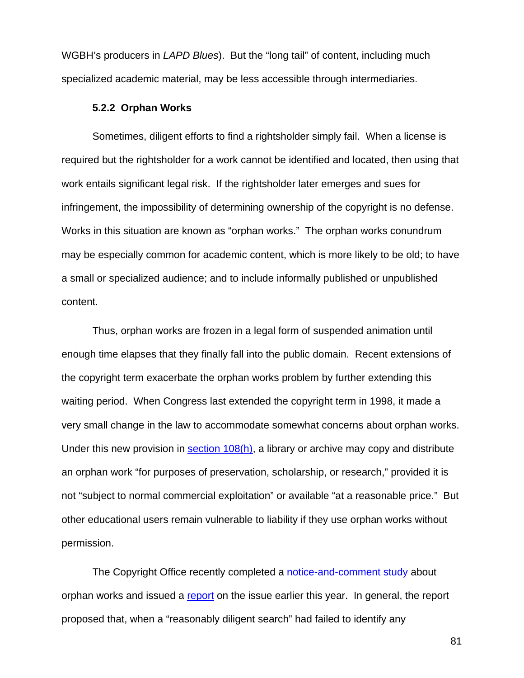<span id="page-80-0"></span>WGBH's producers in *LAPD Blues*). But the "long tail" of content, including much specialized academic material, may be less accessible through intermediaries.

#### **5.2.2 Orphan Works**

Sometimes, diligent efforts to find a rightsholder simply fail. When a license is required but the rightsholder for a work cannot be identified and located, then using that work entails significant legal risk. If the rightsholder later emerges and sues for infringement, the impossibility of determining ownership of the copyright is no defense. Works in this situation are known as "orphan works." The orphan works conundrum may be especially common for academic content, which is more likely to be old; to have a small or specialized audience; and to include informally published or unpublished content.

Thus, orphan works are frozen in a legal form of suspended animation until enough time elapses that they finally fall into the public domain. Recent extensions of the copyright term exacerbate the orphan works problem by further extending this waiting period. When Congress last extended the copyright term in 1998, it made a very small change in the law to accommodate somewhat concerns about orphan works. Under this new provision in section  $108(h)$ , a library or archive may copy and distribute an orphan work "for purposes of preservation, scholarship, or research," provided it is not "subject to normal commercial exploitation" or available "at a reasonable price." But other educational users remain vulnerable to liability if they use orphan works without permission.

The Copyright Office recently completed a [notice-and-comment study](http://www.copyright.gov/orphan/orphan-report-full.pdf) about orphan works and issued a [report](http://www.copyright.gov/orphan/orphan-report-full.pdf) on the issue earlier this year. In general, the report proposed that, when a "reasonably diligent search" had failed to identify any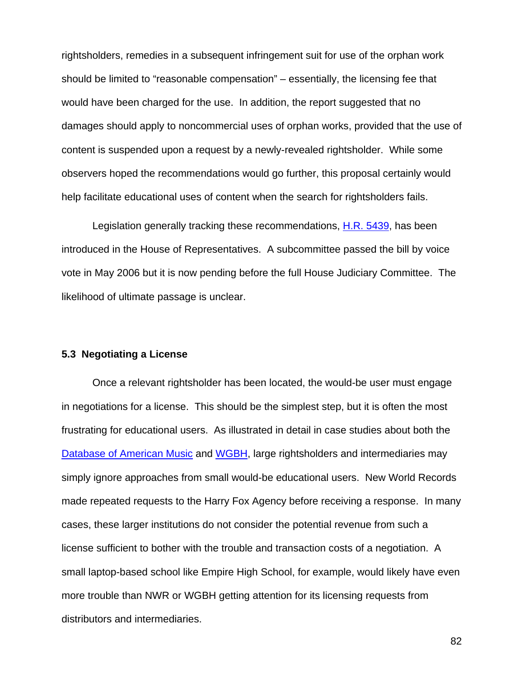rightsholders, remedies in a subsequent infringement suit for use of the orphan work should be limited to "reasonable compensation" – essentially, the licensing fee that would have been charged for the use. In addition, the report suggested that no damages should apply to noncommercial uses of orphan works, provided that the use of content is suspended upon a request by a newly-revealed rightsholder. While some observers hoped the recommendations would go further, this proposal certainly would help facilitate educational uses of content when the search for rightsholders fails.

Legislation generally tracking these recommendations, [H.R. 5439,](http://thomas.loc.gov/cgi-bin/bdquery/z?d109:h.r.05439:) has been introduced in the House of Representatives. A subcommittee passed the bill by voice vote in May 2006 but it is now pending before the full House Judiciary Committee. The likelihood of ultimate passage is unclear.

## **5.3 Negotiating a License**

Once a relevant rightsholder has been located, the would-be user must engage in negotiations for a license. This should be the simplest step, but it is often the most frustrating for educational users. As illustrated in detail in case studies about both the [Database of American Music](#page-29-0) and [WGBH](#page-35-0), large rightsholders and intermediaries may simply ignore approaches from small would-be educational users. New World Records made repeated requests to the Harry Fox Agency before receiving a response. In many cases, these larger institutions do not consider the potential revenue from such a license sufficient to bother with the trouble and transaction costs of a negotiation. A small laptop-based school like Empire High School, for example, would likely have even more trouble than NWR or WGBH getting attention for its licensing requests from distributors and intermediaries.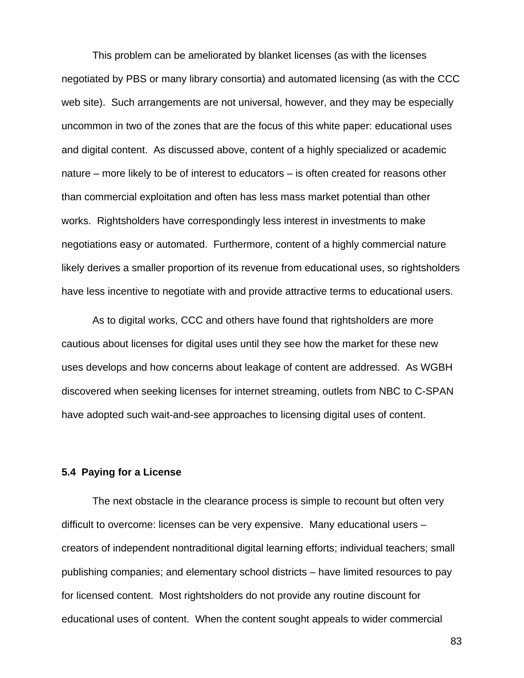This problem can be ameliorated by blanket licenses (as with the licenses negotiated by PBS or many library consortia) and automated licensing (as with the CCC web site). Such arrangements are not universal, however, and they may be especially uncommon in two of the zones that are the focus of this white paper: educational uses and digital content. As discussed above, content of a highly specialized or academic nature – more likely to be of interest to educators – is often created for reasons other than commercial exploitation and often has less mass market potential than other works. Rightsholders have correspondingly less interest in investments to make negotiations easy or automated. Furthermore, content of a highly commercial nature likely derives a smaller proportion of its revenue from educational uses, so rightsholders have less incentive to negotiate with and provide attractive terms to educational users.

As to digital works, CCC and others have found that rightsholders are more cautious about licenses for digital uses until they see how the market for these new uses develops and how concerns about leakage of content are addressed. As WGBH discovered when seeking licenses for internet streaming, outlets from NBC to C-SPAN have adopted such wait-and-see approaches to licensing digital uses of content.

## **5.4 Paying for a License**

The next obstacle in the clearance process is simple to recount but often very difficult to overcome: licenses can be very expensive. Many educational users – creators of independent nontraditional digital learning efforts; individual teachers; small publishing companies; and elementary school districts – have limited resources to pay for licensed content. Most rightsholders do not provide any routine discount for educational uses of content. When the content sought appeals to wider commercial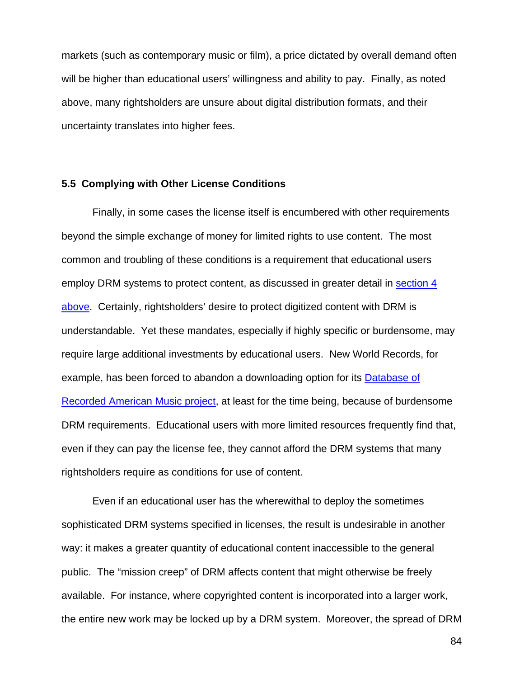<span id="page-83-0"></span>markets (such as contemporary music or film), a price dictated by overall demand often will be higher than educational users' willingness and ability to pay. Finally, as noted above, many rightsholders are unsure about digital distribution formats, and their uncertainty translates into higher fees.

### **5.5 Complying with Other License Conditions**

Finally, in some cases the license itself is encumbered with other requirements beyond the simple exchange of money for limited rights to use content. The most common and troubling of these conditions is a requirement that educational users [employ DRM systems to protect content, as discussed in greater detail in section 4](#page-65-0)  above. Certainly, rightsholders' desire to protect digitized content with DRM is understandable. Yet these mandates, especially if highly specific or burdensome, may require large additional investments by educational users. New World Records, for [example, has been forced to abandon a downloading option for its Database of](http://dram.nyu.edu/) Recorded American Music project, at least for the time being, because of burdensome DRM requirements. Educational users with more limited resources frequently find that, even if they can pay the license fee, they cannot afford the DRM systems that many rightsholders require as conditions for use of content.

Even if an educational user has the wherewithal to deploy the sometimes sophisticated DRM systems specified in licenses, the result is undesirable in another way: it makes a greater quantity of educational content inaccessible to the general public. The "mission creep" of DRM affects content that might otherwise be freely available. For instance, where copyrighted content is incorporated into a larger work, the entire new work may be locked up by a DRM system. Moreover, the spread of DRM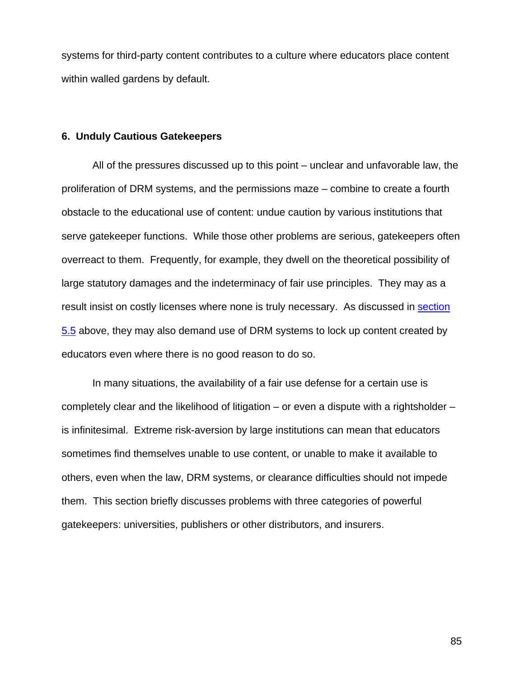<span id="page-84-0"></span>systems for third-party content contributes to a culture where educators place content within walled gardens by default.

## **6. Unduly Cautious Gatekeepers**

All of the pressures discussed up to this point – unclear and unfavorable law, the proliferation of DRM systems, and the permissions maze – combine to create a fourth obstacle to the educational use of content: undue caution by various institutions that serve gatekeeper functions. While those other problems are serious, gatekeepers often overreact to them. Frequently, for example, they dwell on the theoretical possibility of large statutory damages and the indeterminacy of fair use principles. They may as a [result insist on costly licenses where none is truly necessary. As discussed in section](#page-83-0) 5.5 above, they may also demand use of DRM systems to lock up content created by educators even where there is no good reason to do so.

In many situations, the availability of a fair use defense for a certain use is completely clear and the likelihood of litigation – or even a dispute with a rightsholder – is infinitesimal. Extreme risk-aversion by large institutions can mean that educators sometimes find themselves unable to use content, or unable to make it available to others, even when the law, DRM systems, or clearance difficulties should not impede them. This section briefly discusses problems with three categories of powerful gatekeepers: universities, publishers or other distributors, and insurers.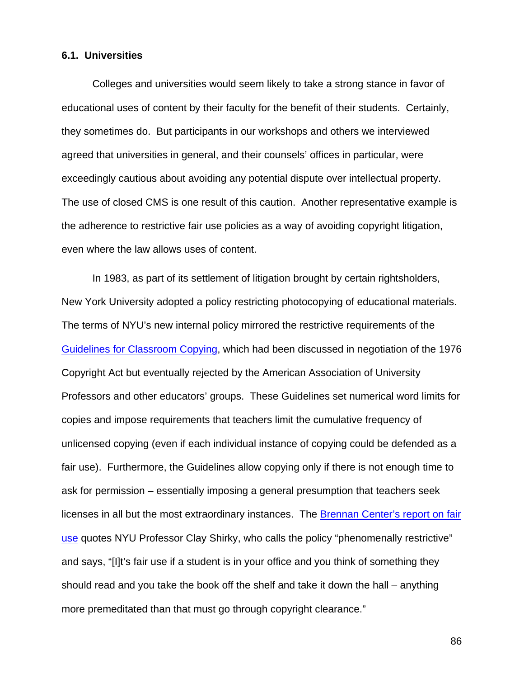### <span id="page-85-0"></span>**6.1. Universities**

Colleges and universities would seem likely to take a strong stance in favor of educational uses of content by their faculty for the benefit of their students. Certainly, they sometimes do. But participants in our workshops and others we interviewed agreed that universities in general, and their counsels' offices in particular, were exceedingly cautious about avoiding any potential dispute over intellectual property. The use of closed CMS is one result of this caution. Another representative example is the adherence to restrictive fair use policies as a way of avoiding copyright litigation, even where the law allows uses of content.

In 1983, as part of its settlement of litigation brought by certain rightsholders, New York University adopted a policy restricting photocopying of educational materials. The terms of NYU's new internal policy mirrored the restrictive requirements of the [Guidelines for Classroom Copying](http://www.unc.edu/~unclng/classroom-guidelines.htm), which had been discussed in negotiation of the 1976 Copyright Act but eventually rejected by the American Association of University Professors and other educators' groups. These Guidelines set numerical word limits for copies and impose requirements that teachers limit the cumulative frequency of unlicensed copying (even if each individual instance of copying could be defended as a fair use). Furthermore, the Guidelines allow copying only if there is not enough time to ask for permission – essentially imposing a general presumption that teachers seek [licenses in all but the most extraordinary instances. The Brennan Center's report on fair](http://www.fepproject.org/policyreports/WillFairUseSurvive.pdf)  use quotes NYU Professor Clay Shirky, who calls the policy "phenomenally restrictive" and says, "[I]t's fair use if a student is in your office and you think of something they should read and you take the book off the shelf and take it down the hall – anything more premeditated than that must go through copyright clearance."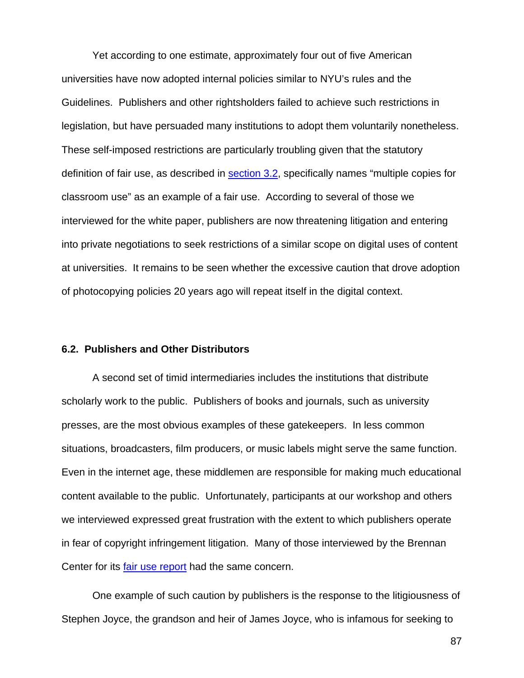Yet according to one estimate, approximately four out of five American universities have now adopted internal policies similar to NYU's rules and the Guidelines. Publishers and other rightsholders failed to achieve such restrictions in legislation, but have persuaded many institutions to adopt them voluntarily nonetheless. These self-imposed restrictions are particularly troubling given that the statutory definition of fair use, as described in [section 3.2,](#page-49-0) specifically names "multiple copies for classroom use" as an example of a fair use. According to several of those we interviewed for the white paper, publishers are now threatening litigation and entering into private negotiations to seek restrictions of a similar scope on digital uses of content at universities. It remains to be seen whether the excessive caution that drove adoption of photocopying policies 20 years ago will repeat itself in the digital context.

### **6.2. Publishers and Other Distributors**

A second set of timid intermediaries includes the institutions that distribute scholarly work to the public. Publishers of books and journals, such as university presses, are the most obvious examples of these gatekeepers. In less common situations, broadcasters, film producers, or music labels might serve the same function. Even in the internet age, these middlemen are responsible for making much educational content available to the public. Unfortunately, participants at our workshop and others we interviewed expressed great frustration with the extent to which publishers operate in fear of copyright infringement litigation. Many of those interviewed by the Brennan Center for its [fair use report](http://www.fepproject.org/policyreports/WillFairUseSurvive.pdf) had the same concern.

One example of such caution by publishers is the response to the litigiousness of Stephen Joyce, the grandson and heir of James Joyce, who is infamous for seeking to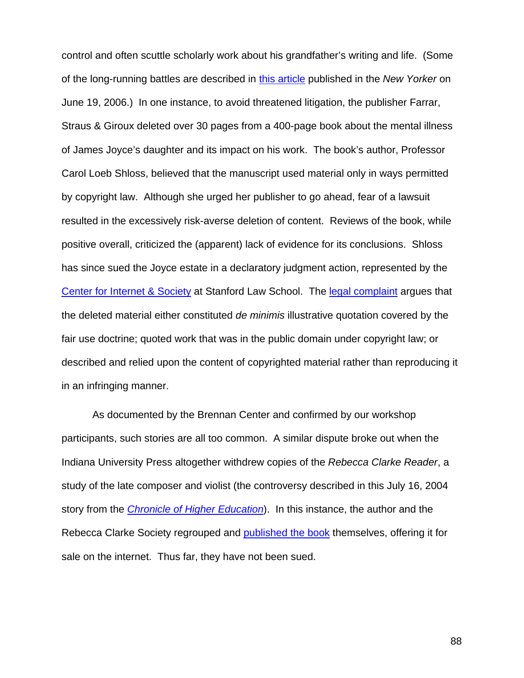control and often scuttle scholarly work about his grandfather's writing and life. (Some of the long-running battles are described in [this article](http://www.newyorker.com/fact/content/articles/060619fa_fact) published in the *New Yorker* on June 19, 2006.) In one instance, to avoid threatened litigation, the publisher Farrar, Straus & Giroux deleted over 30 pages from a 400-page book about the mental illness of James Joyce's daughter and its impact on his work. The book's author, Professor Carol Loeb Shloss, believed that the manuscript used material only in ways permitted by copyright law. Although she urged her publisher to go ahead, fear of a lawsuit resulted in the excessively risk-averse deletion of content. Reviews of the book, while positive overall, criticized the (apparent) lack of evidence for its conclusions. Shloss has since sued the Joyce estate in a declaratory judgment action, represented by the [Center for Internet & Society](http://cyberlaw.stanford.edu/) at Stanford Law School. The [legal complaint](http://cyberlaw.stanford.edu/Complaint Endorsed Filed 6-12-06.pdf) argues that the deleted material either constituted *de minimis* illustrative quotation covered by the fair use doctrine; quoted work that was in the public domain under copyright law; or described and relied upon the content of copyrighted material rather than reproducing it in an infringing manner.

As documented by the Brennan Center and confirmed by our workshop participants, such stories are all too common. A similar dispute broke out when the Indiana University Press altogether withdrew copies of the *Rebecca Clarke Reader*, a study of the late composer and violist (the controversy described in this July 16, 2004 story from the *[Chronicle of Higher Education](http://chronicle.com/free/v50/i45/45a01401.htm)*). In this instance, the author and the Rebecca Clarke Society regrouped and [published the book](http://rebeccaclarke.org/reader.html) themselves, offering it for sale on the internet. Thus far, they have not been sued.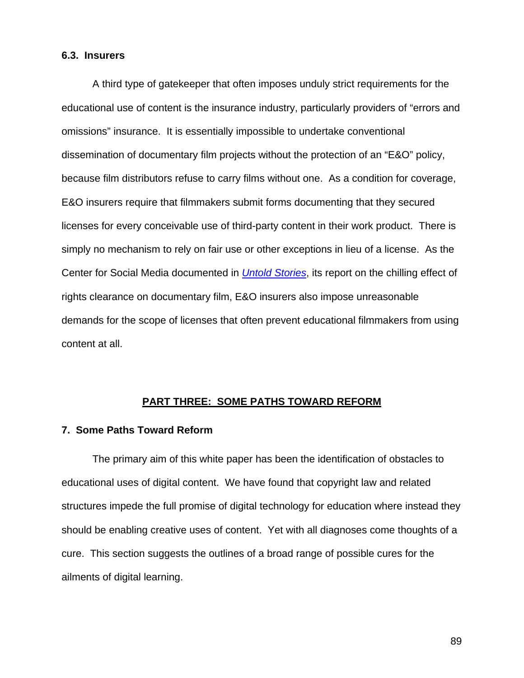#### **6.3. Insurers**

A third type of gatekeeper that often imposes unduly strict requirements for the educational use of content is the insurance industry, particularly providers of "errors and omissions" insurance. It is essentially impossible to undertake conventional dissemination of documentary film projects without the protection of an "E&O" policy, because film distributors refuse to carry films without one. As a condition for coverage, E&O insurers require that filmmakers submit forms documenting that they secured licenses for every conceivable use of third-party content in their work product. There is simply no mechanism to rely on fair use or other exceptions in lieu of a license. As the Center for Social Media documented in *[Untold Stories](http://www.centerforsocialmedia.org/resources/full/untold_stories_creative_consequences_of_the_rights_clearance_culture/)*, its report on the chilling effect of rights clearance on documentary film, E&O insurers also impose unreasonable demands for the scope of licenses that often prevent educational filmmakers from using content at all.

### **PART THREE: SOME PATHS TOWARD REFORM**

## **7. Some Paths Toward Reform**

The primary aim of this white paper has been the identification of obstacles to educational uses of digital content. We have found that copyright law and related structures impede the full promise of digital technology for education where instead they should be enabling creative uses of content. Yet with all diagnoses come thoughts of a cure. This section suggests the outlines of a broad range of possible cures for the ailments of digital learning.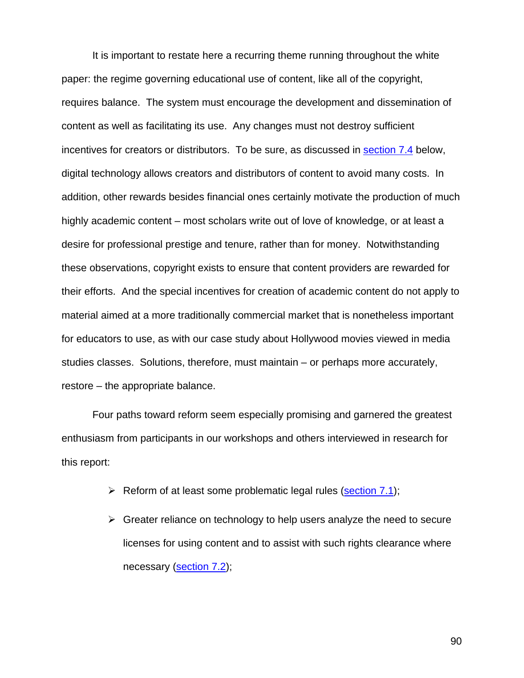It is important to restate here a recurring theme running throughout the white paper: the regime governing educational use of content, like all of the copyright, requires balance. The system must encourage the development and dissemination of content as well as facilitating its use. Any changes must not destroy sufficient incentives for creators or distributors. To be sure, as discussed in [section 7.4](#page-105-0) below, digital technology allows creators and distributors of content to avoid many costs. In addition, other rewards besides financial ones certainly motivate the production of much highly academic content – most scholars write out of love of knowledge, or at least a desire for professional prestige and tenure, rather than for money. Notwithstanding these observations, copyright exists to ensure that content providers are rewarded for their efforts. And the special incentives for creation of academic content do not apply to material aimed at a more traditionally commercial market that is nonetheless important for educators to use, as with our case study about Hollywood movies viewed in media studies classes. Solutions, therefore, must maintain – or perhaps more accurately, restore – the appropriate balance.

Four paths toward reform seem especially promising and garnered the greatest enthusiasm from participants in our workshops and others interviewed in research for this report:

- $\triangleright$  Reform of at least some problematic legal rules [\(section 7.1](#page-90-0));
- $\triangleright$  Greater reliance on technology to help users analyze the need to secure licenses for using content and to assist with such rights clearance where necessary [\(section 7.2](#page-99-0));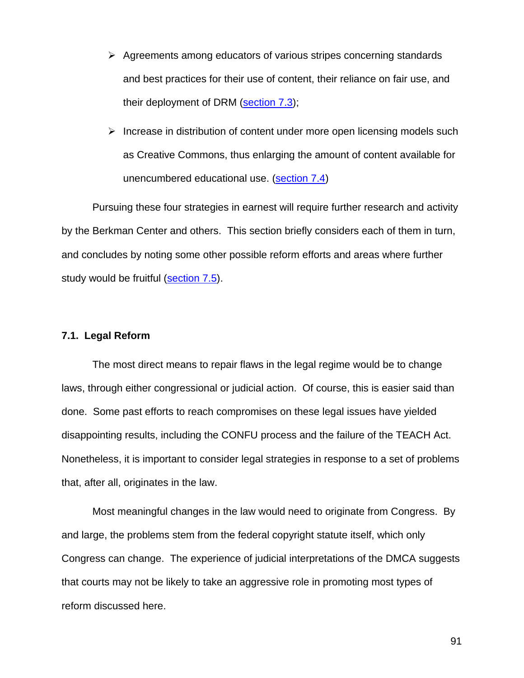- <span id="page-90-0"></span> $\triangleright$  Agreements among educators of various stripes concerning standards and best practices for their use of content, their reliance on fair use, and their deployment of DRM [\(section 7.3](#page-102-0));
- $\triangleright$  Increase in distribution of content under more open licensing models such as Creative Commons, thus enlarging the amount of content available for unencumbered educational use. [\(section 7.4](#page-105-0))

Pursuing these four strategies in earnest will require further research and activity by the Berkman Center and others. This section briefly considers each of them in turn, and concludes by noting some other possible reform efforts and areas where further study would be fruitful [\(section 7.5](#page-109-0)).

## **7.1. Legal Reform**

The most direct means to repair flaws in the legal regime would be to change laws, through either congressional or judicial action. Of course, this is easier said than done. Some past efforts to reach compromises on these legal issues have yielded disappointing results, including the CONFU process and the failure of the TEACH Act. Nonetheless, it is important to consider legal strategies in response to a set of problems that, after all, originates in the law.

Most meaningful changes in the law would need to originate from Congress. By and large, the problems stem from the federal copyright statute itself, which only Congress can change. The experience of judicial interpretations of the DMCA suggests that courts may not be likely to take an aggressive role in promoting most types of reform discussed here.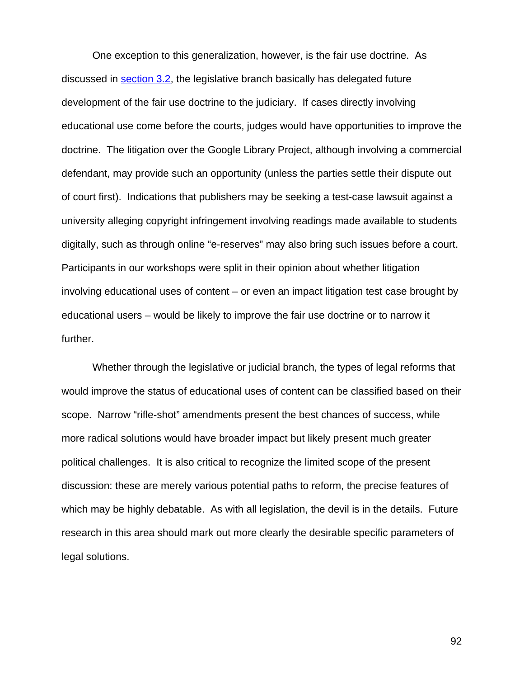One exception to this generalization, however, is the fair use doctrine. As discussed in [section 3.2](#page-49-0), the legislative branch basically has delegated future development of the fair use doctrine to the judiciary. If cases directly involving educational use come before the courts, judges would have opportunities to improve the doctrine. The litigation over the Google Library Project, although involving a commercial defendant, may provide such an opportunity (unless the parties settle their dispute out of court first). Indications that publishers may be seeking a test-case lawsuit against a university alleging copyright infringement involving readings made available to students digitally, such as through online "e-reserves" may also bring such issues before a court. Participants in our workshops were split in their opinion about whether litigation involving educational uses of content – or even an impact litigation test case brought by educational users – would be likely to improve the fair use doctrine or to narrow it further.

Whether through the legislative or judicial branch, the types of legal reforms that would improve the status of educational uses of content can be classified based on their scope. Narrow "rifle-shot" amendments present the best chances of success, while more radical solutions would have broader impact but likely present much greater political challenges. It is also critical to recognize the limited scope of the present discussion: these are merely various potential paths to reform, the precise features of which may be highly debatable. As with all legislation, the devil is in the details. Future research in this area should mark out more clearly the desirable specific parameters of legal solutions.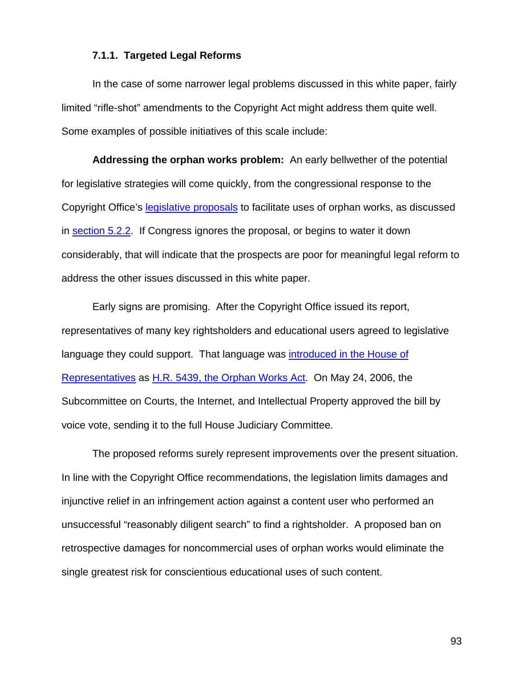#### **7.1.1. Targeted Legal Reforms**

In the case of some narrower legal problems discussed in this white paper, fairly limited "rifle-shot" amendments to the Copyright Act might address them quite well. Some examples of possible initiatives of this scale include:

**Addressing the orphan works problem:** An early bellwether of the potential for legislative strategies will come quickly, from the congressional response to the Copyright Office's [legislative proposals](http://www.copyright.gov/orphan/orphan-report-full.pdf) to facilitate uses of orphan works, as discussed in [section 5.2.2.](#page-80-0) If Congress ignores the proposal, or begins to water it down considerably, that will indicate that the prospects are poor for meaningful legal reform to address the other issues discussed in this white paper.

Early signs are promising. After the Copyright Office issued its report, representatives of many key rightsholders and educational users agreed to legislative [language they could support. That language was introduced in the House of](http://thomas.loc.gov/cgi-bin/bdquery/z?d109:HR05439:@@@L&summ2=m&)  Representatives as [H.R. 5439, the Orphan Works Act.](http://frwebgate.access.gpo.gov/cgi-bin/getdoc.cgi?dbname=109_cong_bills&docid=f:h5439ih.txt.pdf) On May 24, 2006, the Subcommittee on Courts, the Internet, and Intellectual Property approved the bill by voice vote, sending it to the full House Judiciary Committee.

The proposed reforms surely represent improvements over the present situation. In line with the Copyright Office recommendations, the legislation limits damages and injunctive relief in an infringement action against a content user who performed an unsuccessful "reasonably diligent search" to find a rightsholder. A proposed ban on retrospective damages for noncommercial uses of orphan works would eliminate the single greatest risk for conscientious educational uses of such content.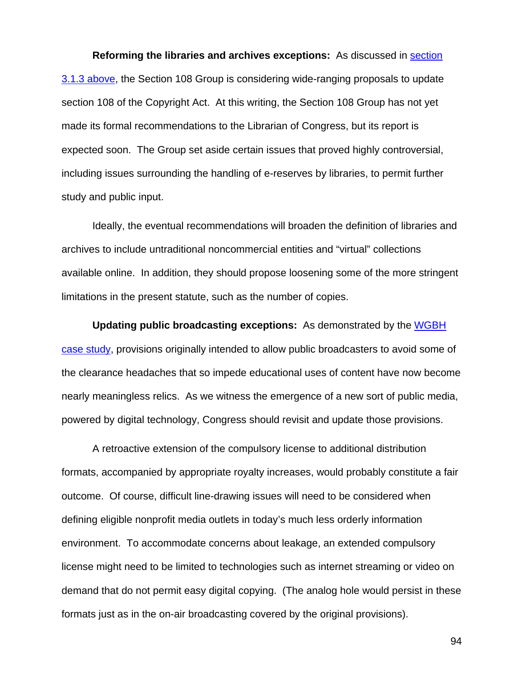**Reforming the libraries and archives exceptions:** As discussed in section [3.1.3 above, the Section 108 Group is considering wide-ranging proposals to update](#page-47-0) section 108 of the Copyright Act. At this writing, the Section 108 Group has not yet made its formal recommendations to the Librarian of Congress, but its report is expected soon. The Group set aside certain issues that proved highly controversial, including issues surrounding the handling of e-reserves by libraries, to permit further study and public input.

Ideally, the eventual recommendations will broaden the definition of libraries and archives to include untraditional noncommercial entities and "virtual" collections available online. In addition, they should propose loosening some of the more stringent limitations in the present statute, such as the number of copies.

**Updating public broadcasting exceptions:** As demonstrated by the WGBH [case study, provisions originally intended to allow public broadcasters to avoid some](#page-35-0) of the clearance headaches that so impede educational uses of content have now become nearly meaningless relics. As we witness the emergence of a new sort of public media, powered by digital technology, Congress should revisit and update those provisions.

A retroactive extension of the compulsory license to additional distribution formats, accompanied by appropriate royalty increases, would probably constitute a fair outcome. Of course, difficult line-drawing issues will need to be considered when defining eligible nonprofit media outlets in today's much less orderly information environment. To accommodate concerns about leakage, an extended compulsory license might need to be limited to technologies such as internet streaming or video on demand that do not permit easy digital copying. (The analog hole would persist in these formats just as in the on-air broadcasting covered by the original provisions).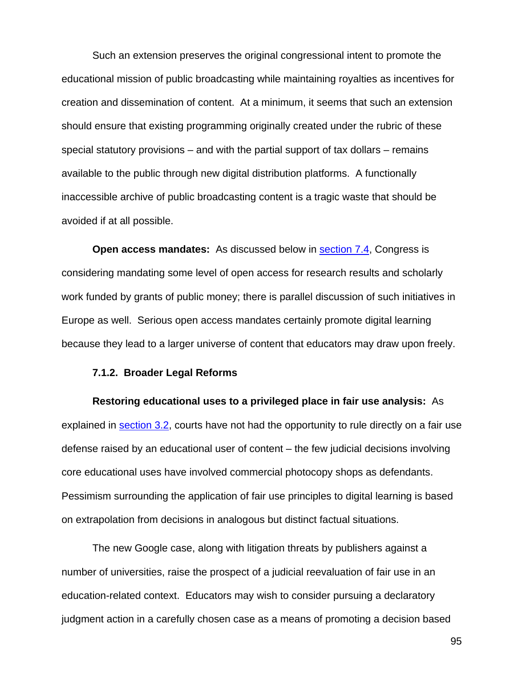Such an extension preserves the original congressional intent to promote the educational mission of public broadcasting while maintaining royalties as incentives for creation and dissemination of content. At a minimum, it seems that such an extension should ensure that existing programming originally created under the rubric of these special statutory provisions – and with the partial support of tax dollars – remains available to the public through new digital distribution platforms. A functionally inaccessible archive of public broadcasting content is a tragic waste that should be avoided if at all possible.

**Open access mandates:** As discussed below in **section 7.4, Congress is** considering mandating some level of open access for research results and scholarly work funded by grants of public money; there is parallel discussion of such initiatives in Europe as well. Serious open access mandates certainly promote digital learning because they lead to a larger universe of content that educators may draw upon freely.

# **7.1.2. Broader Legal Reforms**

**Restoring educational uses to a privileged place in fair use analysis:** As explained in [section 3.2](#page-49-0), courts have not had the opportunity to rule directly on a fair use defense raised by an educational user of content – the few judicial decisions involving core educational uses have involved commercial photocopy shops as defendants. Pessimism surrounding the application of fair use principles to digital learning is based on extrapolation from decisions in analogous but distinct factual situations.

The new Google case, along with litigation threats by publishers against a number of universities, raise the prospect of a judicial reevaluation of fair use in an education-related context. Educators may wish to consider pursuing a declaratory judgment action in a carefully chosen case as a means of promoting a decision based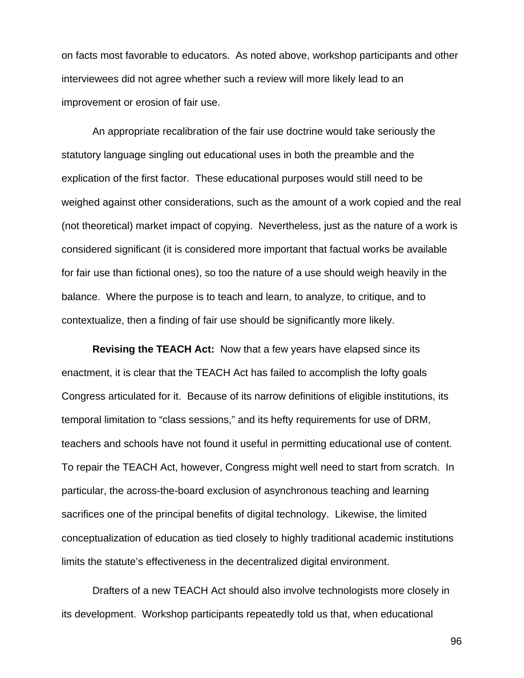on facts most favorable to educators. As noted above, workshop participants and other interviewees did not agree whether such a review will more likely lead to an improvement or erosion of fair use.

An appropriate recalibration of the fair use doctrine would take seriously the statutory language singling out educational uses in both the preamble and the explication of the first factor. These educational purposes would still need to be weighed against other considerations, such as the amount of a work copied and the real (not theoretical) market impact of copying. Nevertheless, just as the nature of a work is considered significant (it is considered more important that factual works be available for fair use than fictional ones), so too the nature of a use should weigh heavily in the balance. Where the purpose is to teach and learn, to analyze, to critique, and to contextualize, then a finding of fair use should be significantly more likely.

**Revising the TEACH Act:** Now that a few years have elapsed since its enactment, it is clear that the TEACH Act has failed to accomplish the lofty goals Congress articulated for it. Because of its narrow definitions of eligible institutions, its temporal limitation to "class sessions," and its hefty requirements for use of DRM, teachers and schools have not found it useful in permitting educational use of content. To repair the TEACH Act, however, Congress might well need to start from scratch. In particular, the across-the-board exclusion of asynchronous teaching and learning sacrifices one of the principal benefits of digital technology. Likewise, the limited conceptualization of education as tied closely to highly traditional academic institutions limits the statute's effectiveness in the decentralized digital environment.

Drafters of a new TEACH Act should also involve technologists more closely in its development. Workshop participants repeatedly told us that, when educational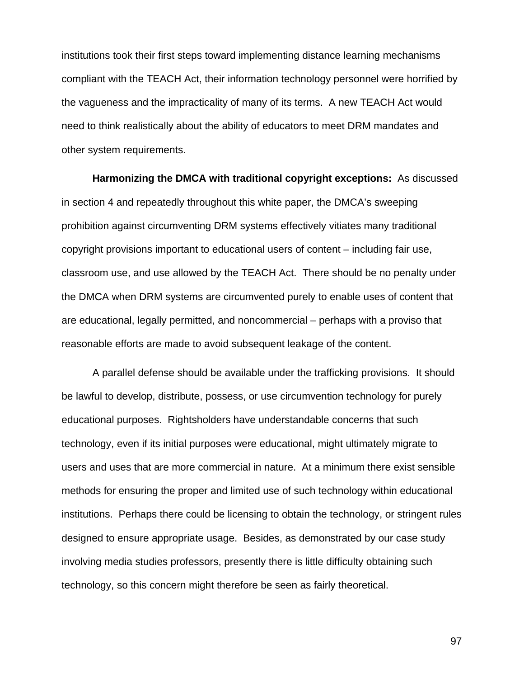institutions took their first steps toward implementing distance learning mechanisms compliant with the TEACH Act, their information technology personnel were horrified by the vagueness and the impracticality of many of its terms. A new TEACH Act would need to think realistically about the ability of educators to meet DRM mandates and other system requirements.

**Harmonizing the DMCA with traditional copyright exceptions:** As discussed in section 4 and repeatedly throughout this white paper, the DMCA's sweeping prohibition against circumventing DRM systems effectively vitiates many traditional copyright provisions important to educational users of content – including fair use, classroom use, and use allowed by the TEACH Act. There should be no penalty under the DMCA when DRM systems are circumvented purely to enable uses of content that are educational, legally permitted, and noncommercial – perhaps with a proviso that reasonable efforts are made to avoid subsequent leakage of the content.

A parallel defense should be available under the trafficking provisions. It should be lawful to develop, distribute, possess, or use circumvention technology for purely educational purposes. Rightsholders have understandable concerns that such technology, even if its initial purposes were educational, might ultimately migrate to users and uses that are more commercial in nature. At a minimum there exist sensible methods for ensuring the proper and limited use of such technology within educational institutions. Perhaps there could be licensing to obtain the technology, or stringent rules designed to ensure appropriate usage. Besides, as demonstrated by our case study involving media studies professors, presently there is little difficulty obtaining such technology, so this concern might therefore be seen as fairly theoretical.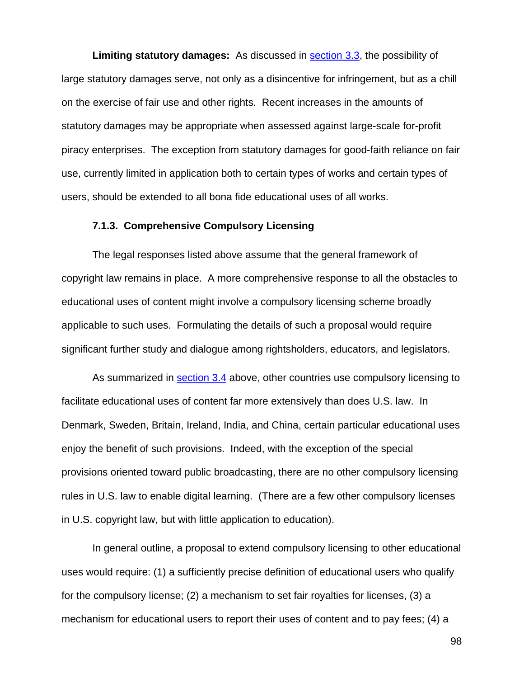**Limiting statutory damages:** As discussed in [section 3.3](#page-56-0), the possibility of large statutory damages serve, not only as a disincentive for infringement, but as a chill on the exercise of fair use and other rights. Recent increases in the amounts of statutory damages may be appropriate when assessed against large-scale for-profit piracy enterprises. The exception from statutory damages for good-faith reliance on fair use, currently limited in application both to certain types of works and certain types of users, should be extended to all bona fide educational uses of all works.

### **7.1.3. Comprehensive Compulsory Licensing**

The legal responses listed above assume that the general framework of copyright law remains in place. A more comprehensive response to all the obstacles to educational uses of content might involve a compulsory licensing scheme broadly applicable to such uses. Formulating the details of such a proposal would require significant further study and dialogue among rightsholders, educators, and legislators.

As summarized in [section 3.4](#page-60-0) above, other countries use compulsory licensing to facilitate educational uses of content far more extensively than does U.S. law. In Denmark, Sweden, Britain, Ireland, India, and China, certain particular educational uses enjoy the benefit of such provisions. Indeed, with the exception of the special provisions oriented toward public broadcasting, there are no other compulsory licensing rules in U.S. law to enable digital learning. (There are a few other compulsory licenses in U.S. copyright law, but with little application to education).

In general outline, a proposal to extend compulsory licensing to other educational uses would require: (1) a sufficiently precise definition of educational users who qualify for the compulsory license; (2) a mechanism to set fair royalties for licenses, (3) a mechanism for educational users to report their uses of content and to pay fees; (4) a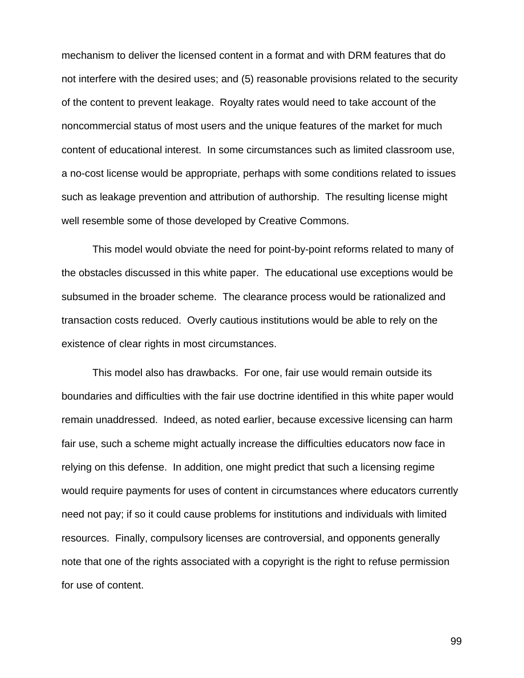mechanism to deliver the licensed content in a format and with DRM features that do not interfere with the desired uses; and (5) reasonable provisions related to the security of the content to prevent leakage. Royalty rates would need to take account of the noncommercial status of most users and the unique features of the market for much content of educational interest. In some circumstances such as limited classroom use, a no-cost license would be appropriate, perhaps with some conditions related to issues such as leakage prevention and attribution of authorship. The resulting license might well resemble some of those developed by Creative Commons.

This model would obviate the need for point-by-point reforms related to many of the obstacles discussed in this white paper. The educational use exceptions would be subsumed in the broader scheme. The clearance process would be rationalized and transaction costs reduced. Overly cautious institutions would be able to rely on the existence of clear rights in most circumstances.

This model also has drawbacks. For one, fair use would remain outside its boundaries and difficulties with the fair use doctrine identified in this white paper would remain unaddressed. Indeed, as noted earlier, because excessive licensing can harm fair use, such a scheme might actually increase the difficulties educators now face in relying on this defense. In addition, one might predict that such a licensing regime would require payments for uses of content in circumstances where educators currently need not pay; if so it could cause problems for institutions and individuals with limited resources. Finally, compulsory licenses are controversial, and opponents generally note that one of the rights associated with a copyright is the right to refuse permission for use of content.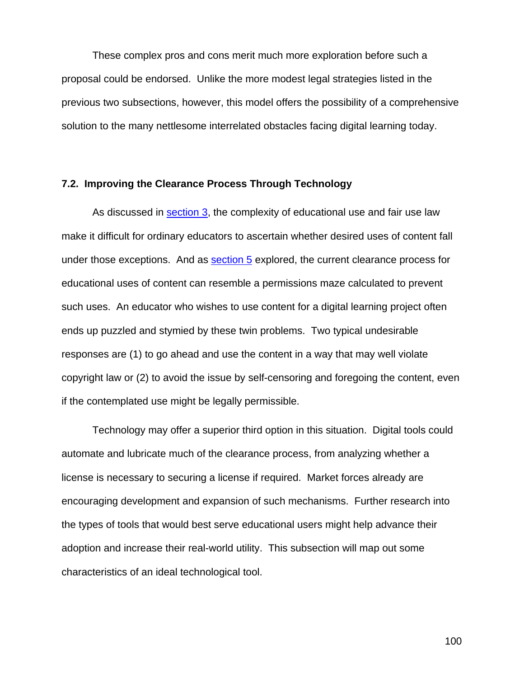<span id="page-99-0"></span>These complex pros and cons merit much more exploration before such a proposal could be endorsed. Unlike the more modest legal strategies listed in the previous two subsections, however, this model offers the possibility of a comprehensive solution to the many nettlesome interrelated obstacles facing digital learning today.

#### **7.2. Improving the Clearance Process Through Technology**

As discussed in [section 3,](#page-41-0) the complexity of educational use and fair use law make it difficult for ordinary educators to ascertain whether desired uses of content fall under those exceptions. And as [section 5](#page-75-0) explored, the current clearance process for educational uses of content can resemble a permissions maze calculated to prevent such uses. An educator who wishes to use content for a digital learning project often ends up puzzled and stymied by these twin problems. Two typical undesirable responses are (1) to go ahead and use the content in a way that may well violate copyright law or (2) to avoid the issue by self-censoring and foregoing the content, even if the contemplated use might be legally permissible.

Technology may offer a superior third option in this situation. Digital tools could automate and lubricate much of the clearance process, from analyzing whether a license is necessary to securing a license if required. Market forces already are encouraging development and expansion of such mechanisms. Further research into the types of tools that would best serve educational users might help advance their adoption and increase their real-world utility. This subsection will map out some characteristics of an ideal technological tool.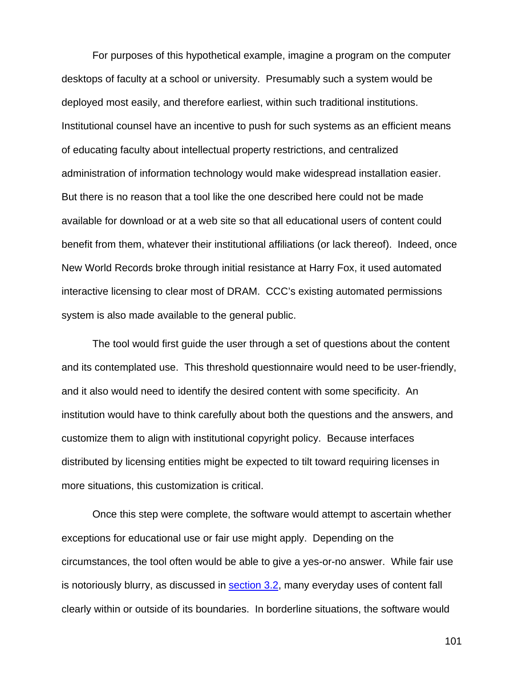For purposes of this hypothetical example, imagine a program on the computer desktops of faculty at a school or university. Presumably such a system would be deployed most easily, and therefore earliest, within such traditional institutions. Institutional counsel have an incentive to push for such systems as an efficient means of educating faculty about intellectual property restrictions, and centralized administration of information technology would make widespread installation easier. But there is no reason that a tool like the one described here could not be made available for download or at a web site so that all educational users of content could benefit from them, whatever their institutional affiliations (or lack thereof). Indeed, once New World Records broke through initial resistance at Harry Fox, it used automated interactive licensing to clear most of DRAM. CCC's existing automated permissions system is also made available to the general public.

The tool would first guide the user through a set of questions about the content and its contemplated use. This threshold questionnaire would need to be user-friendly, and it also would need to identify the desired content with some specificity. An institution would have to think carefully about both the questions and the answers, and customize them to align with institutional copyright policy. Because interfaces distributed by licensing entities might be expected to tilt toward requiring licenses in more situations, this customization is critical.

Once this step were complete, the software would attempt to ascertain whether exceptions for educational use or fair use might apply. Depending on the circumstances, the tool often would be able to give a yes-or-no answer. While fair use is notoriously blurry, as discussed in **section 3.2**, many everyday uses of content fall clearly within or outside of its boundaries. In borderline situations, the software would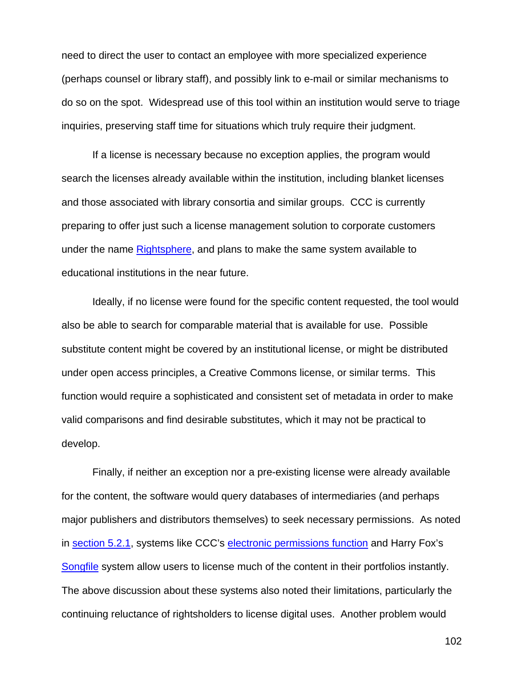need to direct the user to contact an employee with more specialized experience (perhaps counsel or library staff), and possibly link to e-mail or similar mechanisms to do so on the spot. Widespread use of this tool within an institution would serve to triage inquiries, preserving staff time for situations which truly require their judgment.

If a license is necessary because no exception applies, the program would search the licenses already available within the institution, including blanket licenses and those associated with library consortia and similar groups. CCC is currently preparing to offer just such a license management solution to corporate customers under the name [Rightsphere](http://www.copyright.com/ccc/do/viewPage?pageCode=bu11), and plans to make the same system available to educational institutions in the near future.

Ideally, if no license were found for the specific content requested, the tool would also be able to search for comparable material that is available for use. Possible substitute content might be covered by an institutional license, or might be distributed under open access principles, a Creative Commons license, or similar terms. This function would require a sophisticated and consistent set of metadata in order to make valid comparisons and find desirable substitutes, which it may not be practical to develop.

Finally, if neither an exception nor a pre-existing license were already available for the content, the software would query databases of intermediaries (and perhaps major publishers and distributors themselves) to seek necessary permissions. As noted in [section 5.2.1,](#page-78-0) systems like CCC's [electronic permissions function](http://www.copyright.com/ccc/do/viewPage?pageCode=s101-n-academic) and Harry Fox's [Songfile](http://www.harryfox.com/public/songfile.jsp) system allow users to license much of the content in their portfolios instantly. The above discussion about these systems also noted their limitations, particularly the continuing reluctance of rightsholders to license digital uses. Another problem would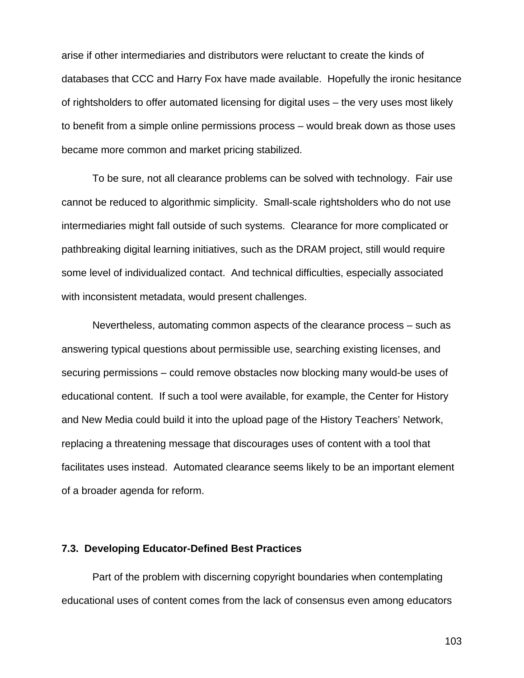<span id="page-102-0"></span>arise if other intermediaries and distributors were reluctant to create the kinds of databases that CCC and Harry Fox have made available. Hopefully the ironic hesitance of rightsholders to offer automated licensing for digital uses – the very uses most likely to benefit from a simple online permissions process – would break down as those uses became more common and market pricing stabilized.

To be sure, not all clearance problems can be solved with technology. Fair use cannot be reduced to algorithmic simplicity. Small-scale rightsholders who do not use intermediaries might fall outside of such systems. Clearance for more complicated or pathbreaking digital learning initiatives, such as the DRAM project, still would require some level of individualized contact. And technical difficulties, especially associated with inconsistent metadata, would present challenges.

Nevertheless, automating common aspects of the clearance process – such as answering typical questions about permissible use, searching existing licenses, and securing permissions – could remove obstacles now blocking many would-be uses of educational content. If such a tool were available, for example, the Center for History and New Media could build it into the upload page of the History Teachers' Network, replacing a threatening message that discourages uses of content with a tool that facilitates uses instead. Automated clearance seems likely to be an important element of a broader agenda for reform.

#### **7.3. Developing Educator-Defined Best Practices**

Part of the problem with discerning copyright boundaries when contemplating educational uses of content comes from the lack of consensus even among educators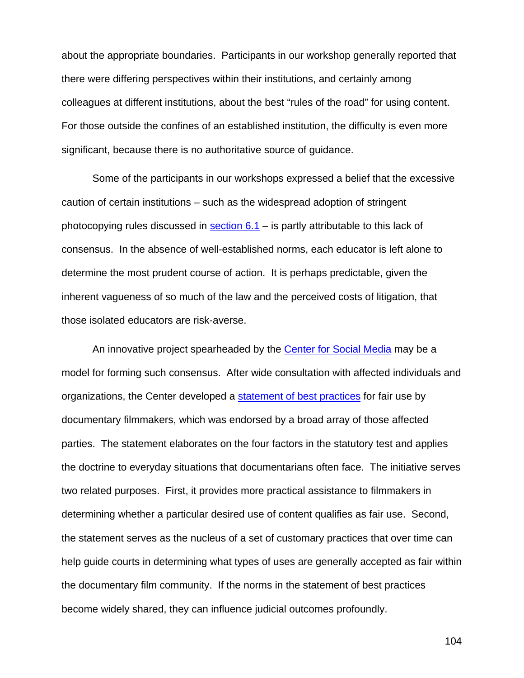about the appropriate boundaries. Participants in our workshop generally reported that there were differing perspectives within their institutions, and certainly among colleagues at different institutions, about the best "rules of the road" for using content. For those outside the confines of an established institution, the difficulty is even more significant, because there is no authoritative source of guidance.

Some of the participants in our workshops expressed a belief that the excessive caution of certain institutions – such as the widespread adoption of stringent photocopying rules discussed in  $section 6.1 -$  is partly attributable to this lack of consensus. In the absence of well-established norms, each educator is left alone to determine the most prudent course of action. It is perhaps predictable, given the inherent vagueness of so much of the law and the perceived costs of litigation, that those isolated educators are risk-averse.

An innovative project spearheaded by the [Center for Social Media](http://www.centerforsocialmedia.org/) may be a model for forming such consensus. After wide consultation with affected individuals and organizations, the Center developed a [statement of best practices](http://www.centerforsocialmedia.org/fairuse.htm) for fair use by documentary filmmakers, which was endorsed by a broad array of those affected parties. The statement elaborates on the four factors in the statutory test and applies the doctrine to everyday situations that documentarians often face. The initiative serves two related purposes. First, it provides more practical assistance to filmmakers in determining whether a particular desired use of content qualifies as fair use. Second, the statement serves as the nucleus of a set of customary practices that over time can help guide courts in determining what types of uses are generally accepted as fair within the documentary film community. If the norms in the statement of best practices become widely shared, they can influence judicial outcomes profoundly.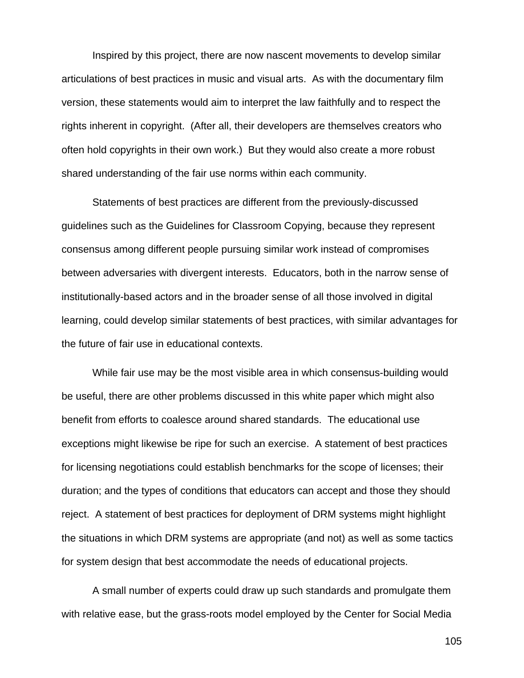Inspired by this project, there are now nascent movements to develop similar articulations of best practices in music and visual arts. As with the documentary film version, these statements would aim to interpret the law faithfully and to respect the rights inherent in copyright. (After all, their developers are themselves creators who often hold copyrights in their own work.) But they would also create a more robust shared understanding of the fair use norms within each community.

Statements of best practices are different from the previously-discussed guidelines such as the Guidelines for Classroom Copying, because they represent consensus among different people pursuing similar work instead of compromises between adversaries with divergent interests. Educators, both in the narrow sense of institutionally-based actors and in the broader sense of all those involved in digital learning, could develop similar statements of best practices, with similar advantages for the future of fair use in educational contexts.

While fair use may be the most visible area in which consensus-building would be useful, there are other problems discussed in this white paper which might also benefit from efforts to coalesce around shared standards. The educational use exceptions might likewise be ripe for such an exercise. A statement of best practices for licensing negotiations could establish benchmarks for the scope of licenses; their duration; and the types of conditions that educators can accept and those they should reject. A statement of best practices for deployment of DRM systems might highlight the situations in which DRM systems are appropriate (and not) as well as some tactics for system design that best accommodate the needs of educational projects.

A small number of experts could draw up such standards and promulgate them with relative ease, but the grass-roots model employed by the Center for Social Media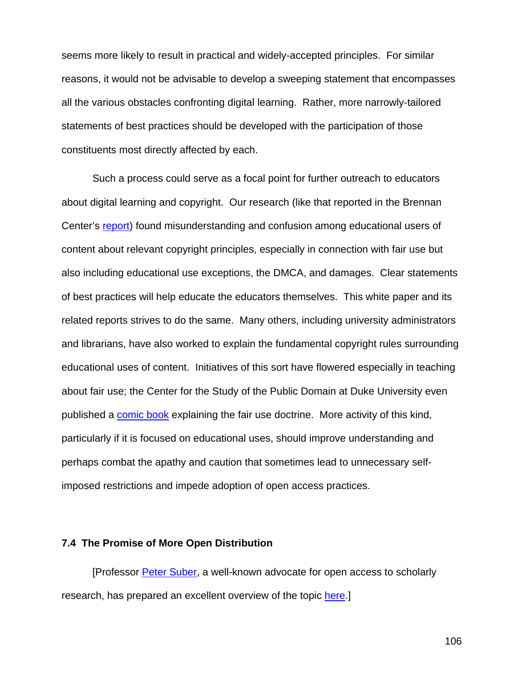<span id="page-105-0"></span>seems more likely to result in practical and widely-accepted principles. For similar reasons, it would not be advisable to develop a sweeping statement that encompasses all the various obstacles confronting digital learning. Rather, more narrowly-tailored statements of best practices should be developed with the participation of those constituents most directly affected by each.

Such a process could serve as a focal point for further outreach to educators about digital learning and copyright. Our research (like that reported in the Brennan Center's [report](http://www.fepproject.org/policyreports/WillFairUseSurvive.pdf)) found misunderstanding and confusion among educational users of content about relevant copyright principles, especially in connection with fair use but also including educational use exceptions, the DMCA, and damages. Clear statements of best practices will help educate the educators themselves. This white paper and its related reports strives to do the same. Many others, including university administrators and librarians, have also worked to explain the fundamental copyright rules surrounding educational uses of content. Initiatives of this sort have flowered especially in teaching about fair use; the Center for the Study of the Public Domain at Duke University even published a [comic book](http://www.law.duke.edu/cspd/comics/) explaining the fair use doctrine. More activity of this kind, particularly if it is focused on educational uses, should improve understanding and perhaps combat the apathy and caution that sometimes lead to unnecessary selfimposed restrictions and impede adoption of open access practices.

## **7.4 The Promise of More Open Distribution**

 [Professor [Peter Suber](http://www.earlham.edu/~peters/hometoc.htm), a well-known advocate for open access to scholarly research, has prepared an excellent overview of the topic [here](http://www.earlham.edu/~peters/hometoc.htm).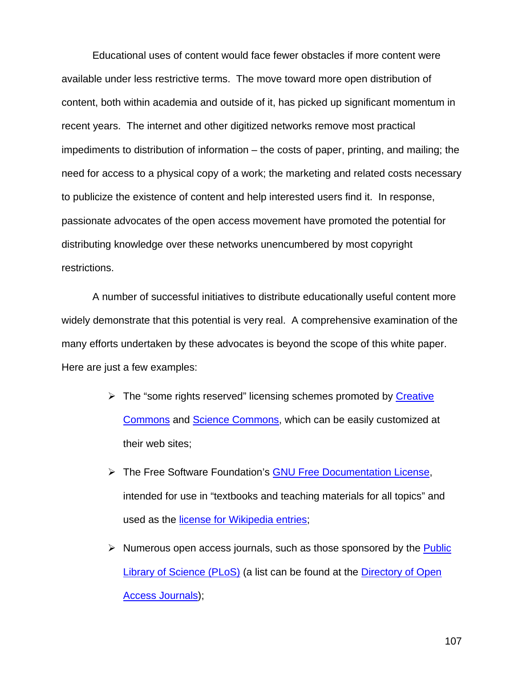Educational uses of content would face fewer obstacles if more content were available under less restrictive terms. The move toward more open distribution of content, both within academia and outside of it, has picked up significant momentum in recent years. The internet and other digitized networks remove most practical impediments to distribution of information – the costs of paper, printing, and mailing; the need for access to a physical copy of a work; the marketing and related costs necessary to publicize the existence of content and help interested users find it. In response, passionate advocates of the open access movement have promoted the potential for distributing knowledge over these networks unencumbered by most copyright restrictions.

A number of successful initiatives to distribute educationally useful content more widely demonstrate that this potential is very real. A comprehensive examination of the many efforts undertaken by these advocates is beyond the scope of this white paper. Here are just a few examples:

- $\triangleright$  [The "some rights reserved" licensing schemes promoted by Creative](http://creativecommons.org/) Commons and [Science Commons](http://sciencecommons.org/), which can be easily customized at their web sites;
- ¾ The Free Software Foundation's [GNU Free Documentation License](http://www.gnu.org/copyleft/fdl.html), intended for use in "textbooks and teaching materials for all topics" and used as the [license for Wikipedia entries;](http://en.wikipedia.org/wiki/Wikipedia:Copyrights)
- $\triangleright$  [Numerous open access journals, such as those sponsored by the Public](http://www.plos.org/) [Library of Science \(PLoS\) \(a list can be found at the Directory of Open](http://www.doaj.org/findjournals) Access Journals);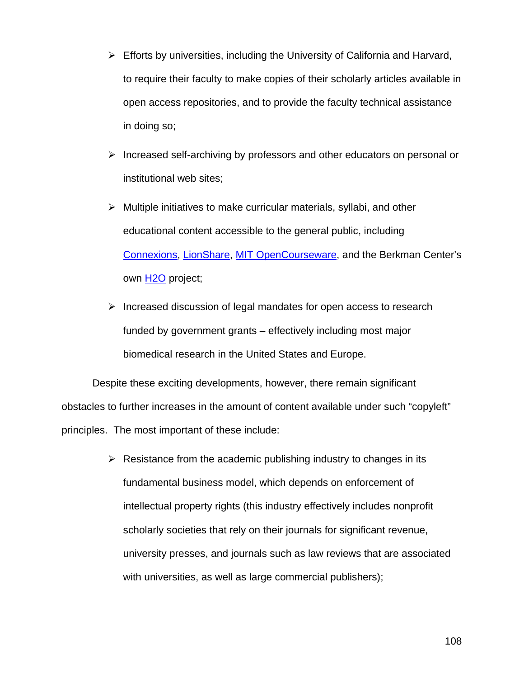- $\triangleright$  Efforts by universities, including the University of California and Harvard, to require their faculty to make copies of their scholarly articles available in open access repositories, and to provide the faculty technical assistance in doing so;
- ¾ Increased self-archiving by professors and other educators on personal or institutional web sites;
- $\triangleright$  Multiple initiatives to make curricular materials, syllabi, and other educational content accessible to the general public, including [Connexions](http://cnx.org), [LionShare,](http://lionshare.its.psu.edu/main/) MIT OpenCourseware, and the Berkman Center's own [H2O](http://h2oproject.law.harvard.edu/) project;
- $\triangleright$  Increased discussion of legal mandates for open access to research funded by government grants – effectively including most major biomedical research in the United States and Europe.

Despite these exciting developments, however, there remain significant obstacles to further increases in the amount of content available under such "copyleft" principles. The most important of these include:

> $\triangleright$  Resistance from the academic publishing industry to changes in its fundamental business model, which depends on enforcement of intellectual property rights (this industry effectively includes nonprofit scholarly societies that rely on their journals for significant revenue, university presses, and journals such as law reviews that are associated with universities, as well as large commercial publishers);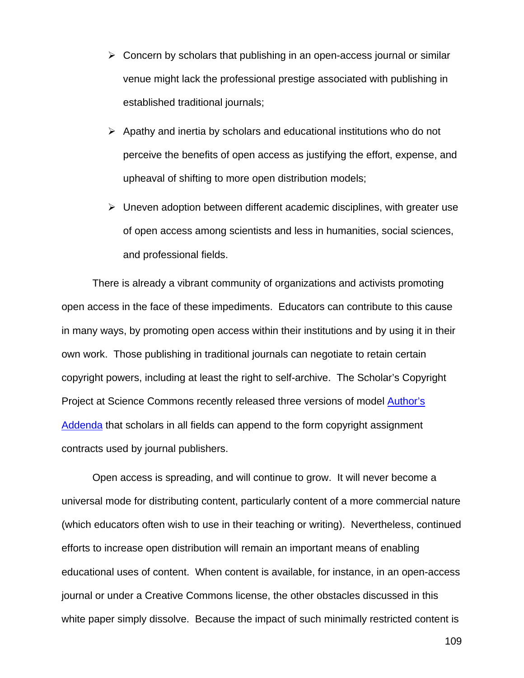- $\triangleright$  Concern by scholars that publishing in an open-access journal or similar venue might lack the professional prestige associated with publishing in established traditional journals;
- $\triangleright$  Apathy and inertia by scholars and educational institutions who do not perceive the benefits of open access as justifying the effort, expense, and upheaval of shifting to more open distribution models;
- $\triangleright$  Uneven adoption between different academic disciplines, with greater use of open access among scientists and less in humanities, social sciences, and professional fields.

There is already a vibrant community of organizations and activists promoting open access in the face of these impediments. Educators can contribute to this cause in many ways, by promoting open access within their institutions and by using it in their own work. Those publishing in traditional journals can negotiate to retain certain copyright powers, including at least the right to self-archive. The Scholar's Copyright Project at Science Commons recently released three versions of model Author's [Addenda that scholars in all fields can append to the form copyright assignment](http://sciencecommons.org/literature/authoraddendafaq)  contracts used by journal publishers.

Open access is spreading, and will continue to grow. It will never become a universal mode for distributing content, particularly content of a more commercial nature (which educators often wish to use in their teaching or writing). Nevertheless, continued efforts to increase open distribution will remain an important means of enabling educational uses of content. When content is available, for instance, in an open-access journal or under a Creative Commons license, the other obstacles discussed in this white paper simply dissolve. Because the impact of such minimally restricted content is

109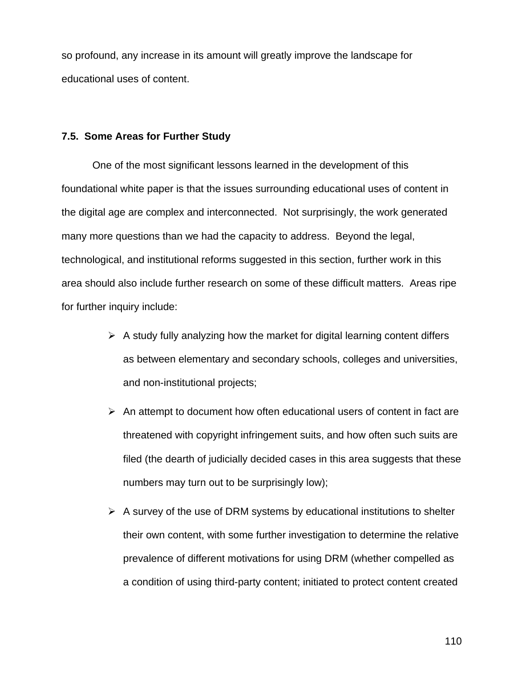so profound, any increase in its amount will greatly improve the landscape for educational uses of content.

## **7.5. Some Areas for Further Study**

One of the most significant lessons learned in the development of this foundational white paper is that the issues surrounding educational uses of content in the digital age are complex and interconnected. Not surprisingly, the work generated many more questions than we had the capacity to address. Beyond the legal, technological, and institutional reforms suggested in this section, further work in this area should also include further research on some of these difficult matters. Areas ripe for further inquiry include:

- $\triangleright$  A study fully analyzing how the market for digital learning content differs as between elementary and secondary schools, colleges and universities, and non-institutional projects;
- $\triangleright$  An attempt to document how often educational users of content in fact are threatened with copyright infringement suits, and how often such suits are filed (the dearth of judicially decided cases in this area suggests that these numbers may turn out to be surprisingly low);
- $\triangleright$  A survey of the use of DRM systems by educational institutions to shelter their own content, with some further investigation to determine the relative prevalence of different motivations for using DRM (whether compelled as a condition of using third-party content; initiated to protect content created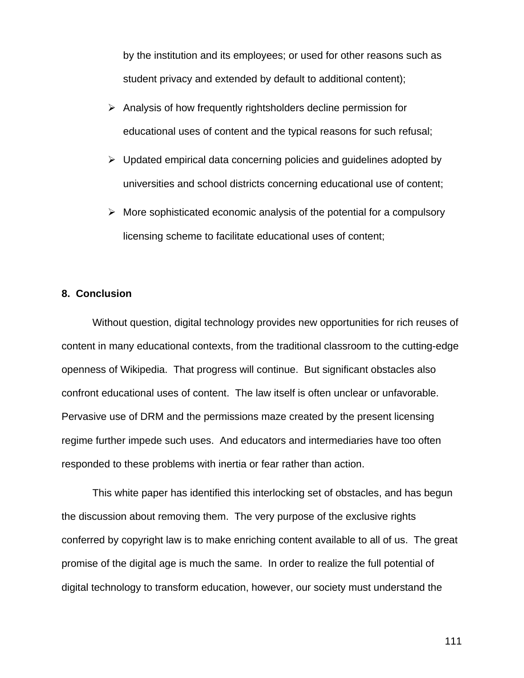by the institution and its employees; or used for other reasons such as student privacy and extended by default to additional content);

- $\triangleright$  Analysis of how frequently rightsholders decline permission for educational uses of content and the typical reasons for such refusal;
- $\triangleright$  Updated empirical data concerning policies and guidelines adopted by universities and school districts concerning educational use of content;
- $\triangleright$  More sophisticated economic analysis of the potential for a compulsory licensing scheme to facilitate educational uses of content;

## **8. Conclusion**

Without question, digital technology provides new opportunities for rich reuses of content in many educational contexts, from the traditional classroom to the cutting-edge openness of Wikipedia. That progress will continue. But significant obstacles also confront educational uses of content. The law itself is often unclear or unfavorable. Pervasive use of DRM and the permissions maze created by the present licensing regime further impede such uses. And educators and intermediaries have too often responded to these problems with inertia or fear rather than action.

This white paper has identified this interlocking set of obstacles, and has begun the discussion about removing them. The very purpose of the exclusive rights conferred by copyright law is to make enriching content available to all of us. The great promise of the digital age is much the same. In order to realize the full potential of digital technology to transform education, however, our society must understand the

111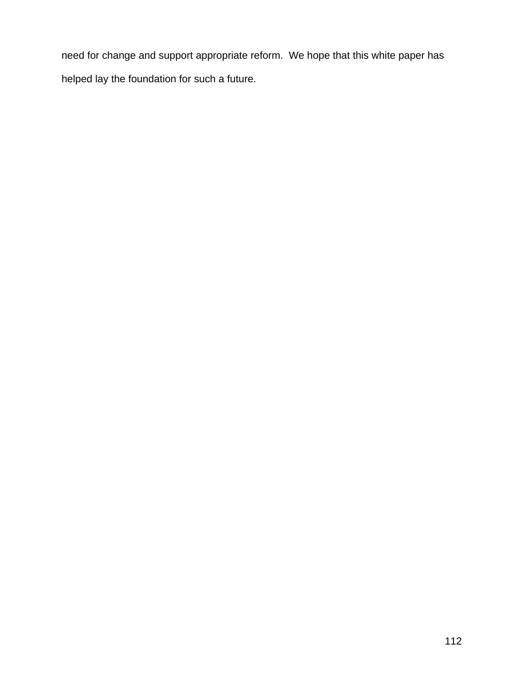need for change and support appropriate reform. We hope that this white paper has helped lay the foundation for such a future.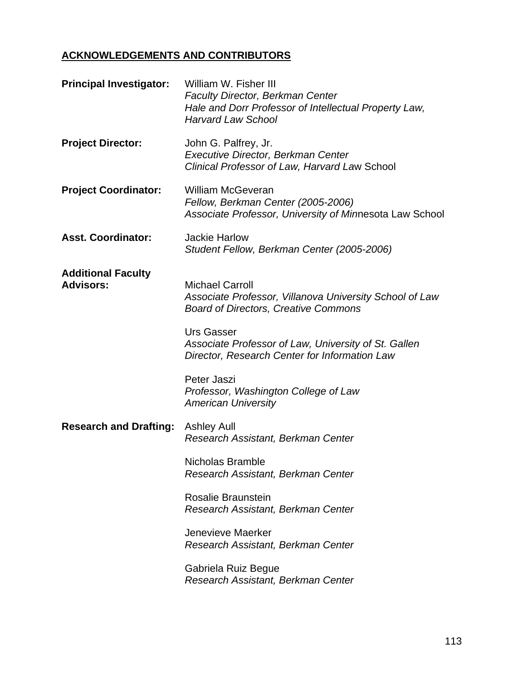## **ACKNOWLEDGEMENTS AND CONTRIBUTORS**

| <b>Principal Investigator:</b>                | William W. Fisher III<br>Faculty Director, Berkman Center<br>Hale and Dorr Professor of Intellectual Property Law,<br><b>Harvard Law School</b> |
|-----------------------------------------------|-------------------------------------------------------------------------------------------------------------------------------------------------|
| <b>Project Director:</b>                      | John G. Palfrey, Jr.<br>Executive Director, Berkman Center<br>Clinical Professor of Law, Harvard Law School                                     |
| <b>Project Coordinator:</b>                   | <b>William McGeveran</b><br>Fellow, Berkman Center (2005-2006)<br>Associate Professor, University of Minnesota Law School                       |
| <b>Asst. Coordinator:</b>                     | <b>Jackie Harlow</b><br>Student Fellow, Berkman Center (2005-2006)                                                                              |
| <b>Additional Faculty</b><br><b>Advisors:</b> | <b>Michael Carroll</b><br>Associate Professor, Villanova University School of Law<br><b>Board of Directors, Creative Commons</b>                |
|                                               | <b>Urs Gasser</b><br>Associate Professor of Law, University of St. Gallen<br>Director, Research Center for Information Law                      |
|                                               | Peter Jaszi<br>Professor, Washington College of Law<br><b>American University</b>                                                               |
| <b>Research and Drafting:</b>                 | <b>Ashley Aull</b><br>Research Assistant, Berkman Center                                                                                        |
|                                               | <b>Nicholas Bramble</b><br>Research Assistant, Berkman Center                                                                                   |
|                                               | <b>Rosalie Braunstein</b><br>Research Assistant, Berkman Center                                                                                 |
|                                               | Jenevieve Maerker<br>Research Assistant, Berkman Center                                                                                         |
|                                               | Gabriela Ruiz Begue<br>Research Assistant, Berkman Center                                                                                       |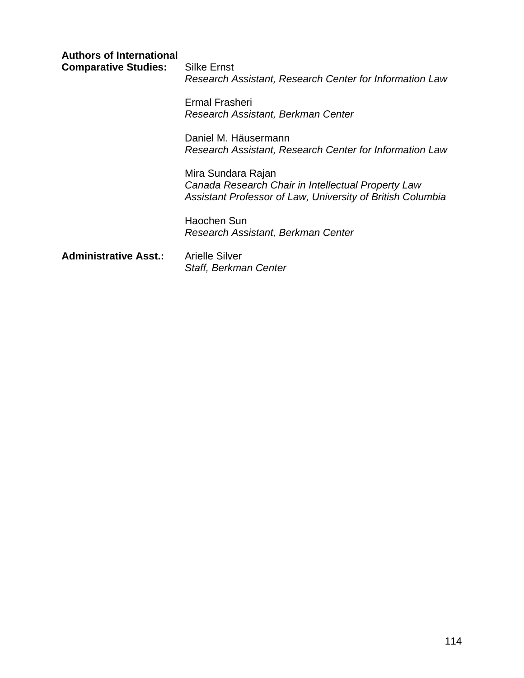## **Authors of International**

| <b>Comparative Studies:</b> | Silke Ernst<br>Research Assistant, Research Center for Information Law |
|-----------------------------|------------------------------------------------------------------------|
|                             | Ermal Frasheri<br>Research Assistant, Berkman Center                   |

 Daniel M. Häusermann  *Research Assistant, Research Center for Information Law* 

Mira Sundara Rajan *Canada Research Chair in Intellectual Property Law Assistant Professor of Law, University of British Columbia* 

Haochen Sun *Research Assistant, Berkman Center* 

**Administrative Asst.:** Arielle Silver  *Staff, Berkman Center*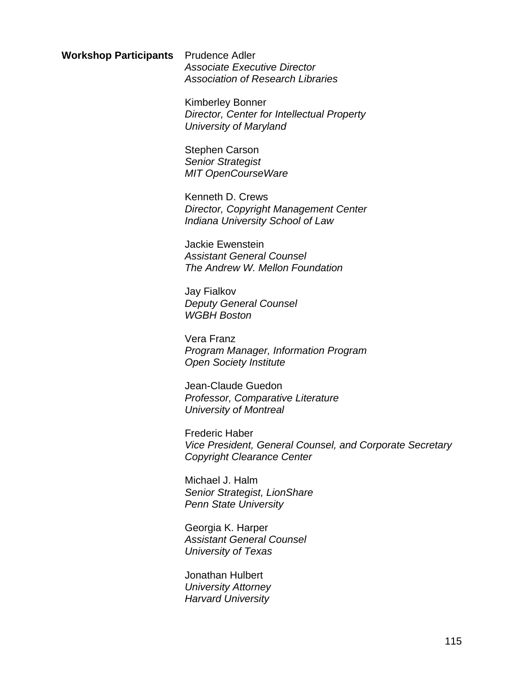| <b>Workshop Participants</b> | <b>Prudence Adler</b><br><b>Associate Executive Director</b><br><b>Association of Research Libraries</b>               |
|------------------------------|------------------------------------------------------------------------------------------------------------------------|
|                              | <b>Kimberley Bonner</b><br>Director, Center for Intellectual Property<br><b>University of Maryland</b>                 |
|                              | <b>Stephen Carson</b><br><b>Senior Strategist</b><br><b>MIT OpenCourseWare</b>                                         |
|                              | Kenneth D. Crews<br><b>Director, Copyright Management Center</b><br>Indiana University School of Law                   |
|                              | <b>Jackie Ewenstein</b><br><b>Assistant General Counsel</b><br>The Andrew W. Mellon Foundation                         |
|                              | Jay Fialkov<br><b>Deputy General Counsel</b><br><b>WGBH Boston</b>                                                     |
|                              | Vera Franz<br>Program Manager, Information Program<br><b>Open Society Institute</b>                                    |
|                              | Jean-Claude Guedon<br>Professor, Comparative Literature<br><b>University of Montreal</b>                               |
|                              | <b>Frederic Haber</b><br>Vice President, General Counsel, and Corporate Secretary<br><b>Copyright Clearance Center</b> |
|                              | Michael J. Halm<br>Senior Strategist, LionShare<br><b>Penn State University</b>                                        |
|                              | Georgia K. Harper<br><b>Assistant General Counsel</b><br>University of Texas                                           |
|                              | <b>Jonathan Hulbert</b><br><b>University Attorney</b><br><b>Harvard University</b>                                     |
|                              |                                                                                                                        |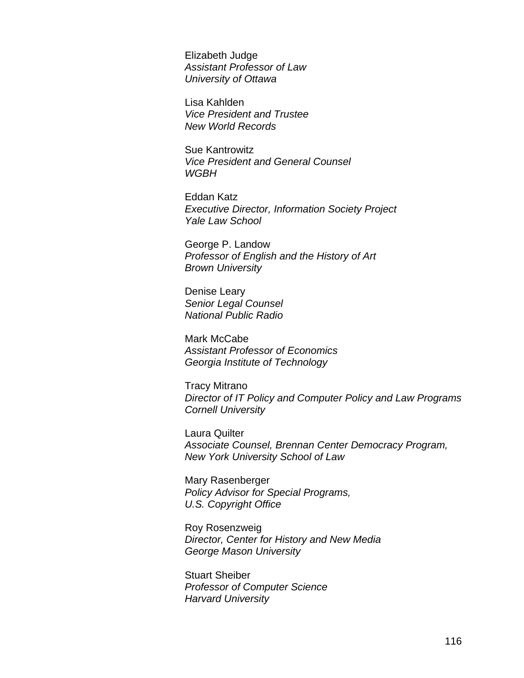Elizabeth Judge *Assistant Professor of Law University of Ottawa* 

Lisa Kahlden *Vice President and Trustee New World Records* 

Sue Kantrowitz *Vice President and General Counsel WGBH* 

Eddan Katz *Executive Director, Information Society Project Yale Law School* 

George P. Landow *Professor of English and the History of Art Brown University* 

Denise Leary *Senior Legal Counsel National Public Radio* 

Mark McCabe *Assistant Professor of Economics Georgia Institute of Technology* 

Tracy Mitrano *Director of IT Policy and Computer Policy and Law Programs Cornell University* 

Laura Quilter *Associate Counsel, Brennan Center Democracy Program, New York University School of Law* 

Mary Rasenberger *Policy Advisor for Special Programs, U.S. Copyright Office* 

Roy Rosenzweig *Director, Center for History and New Media George Mason University* 

Stuart Sheiber *Professor of Computer Science Harvard University*